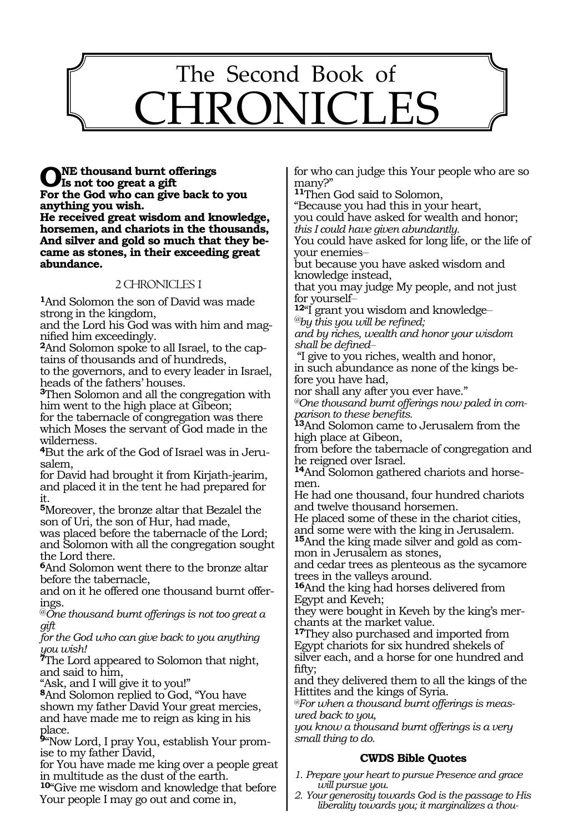

**ONE** thousand burnt offerings **Is not too great a gift For the God who can give back to you anything you wish. He received great wisdom and knowledge, horsemen, and chariots in the thousands, And silver and gold so much that they became as stones, in their exceeding great abundance.**

## 2 CHRONICLES 1

**<sup>1</sup>**And Solomon the son of David was made strong in the kingdom,

and the Lord his God was with him and magnified him exceedingly.

**2**And Solomon spoke to all Israel, to the captains of thousands and of hundreds,

to the governors, and to every leader in Israel, heads of the fathers' houses.

**<sup>3</sup>**Then Solomon and all the congregation with him went to the high place at Gibeon;

for the tabernacle of congregation was there which Moses the servant of God made in the wilderness.

**4**But the ark of the God of Israel was in Jerusalem,

for David had brought it from Kirjath-jearim, and placed it in the tent he had prepared for it.

**<sup>5</sup>**Moreover, the bronze altar that Bezalel the son of Uri, the son of Hur, had made,

was placed before the tabernacle of the Lord; and Solomon with all the congregation sought the Lord there.

**<sup>6</sup>**And Solomon went there to the bronze altar before the tabernacle,

and on it he offered one thousand burnt offerings.

@*One thousand burnt offerings is not too great a gift*

*for the God who can give back to you anything you wish!*

**<sup>7</sup>**The Lord appeared to Solomon that night, and said to him,

"Ask, and I will give it to you!"

**<sup>8</sup>**And Solomon replied to God, "You have shown my father David Your great mercies, and have made me to reign as king in his place.

**9**"Now Lord, I pray You, establish Your promise to my father David,

for You have made me king over a people great in multitude as the dust of the earth.

**<sup>10</sup>**"Give me wisdom and knowledge that before Your people I may go out and come in,

for who can judge this Your people who are so many?"

**<sup>11</sup>**Then God said to Solomon,

"Because you had this in your heart, you could have asked for wealth and honor; *this I could have given abundantly.*

You could have asked for long life, or the life of your enemies\_\_

but because you have asked wisdom and knowledge instead,

that you may judge My people, and not just for yourself\_\_

**<sup>12</sup>**"I grant you wisdom and knowledge\_\_ *@by this you will be refined;*

*and by riches, wealth and honor your wisdom shall be defined\_\_*

 "I give to you riches, wealth and honor, in such abundance as none of the kings be-

fore you have had, nor shall any after you ever have."

*@One thousand burnt offerings now paled in comparison to these benefits.*

**<sup>13</sup>**And Solomon came to Jerusalem from the high place at Gibeon,

from before the tabernacle of congregation and he reigned over Israel.

**<sup>14</sup>**And Solomon gathered chariots and horse- men.

He had one thousand, four hundred chariots and twelve thousand horsemen.

He placed some of these in the chariot cities, and some were with the king in Jerusalem.

**15**And the king made silver and gold as common in Jerusalem as stones,

and cedar trees as plenteous as the sycamore trees in the valleys around.

**<sup>16</sup>**And the king had horses delivered from Egypt and Keveh;

they were bought in Keveh by the king's merchants at the market value.

**<sup>17</sup>**They also purchased and imported from Egypt chariots for six hundred shekels of silver each, and a horse for one hundred and fifty;

and they delivered them to all the kings of the Hittites and the kings of Syria.

*@For when a thousand burnt offerings is measured back to you,*

*you know a thousand burnt offerings is a very small thing to do.*

# **CWDS Bible Quotes**

*1. Prepare your heart to pursue Presence and grace will pursue you.*

*2. Your generosity towards God is the passage to His liberality towards you; it marginalizes a thou-*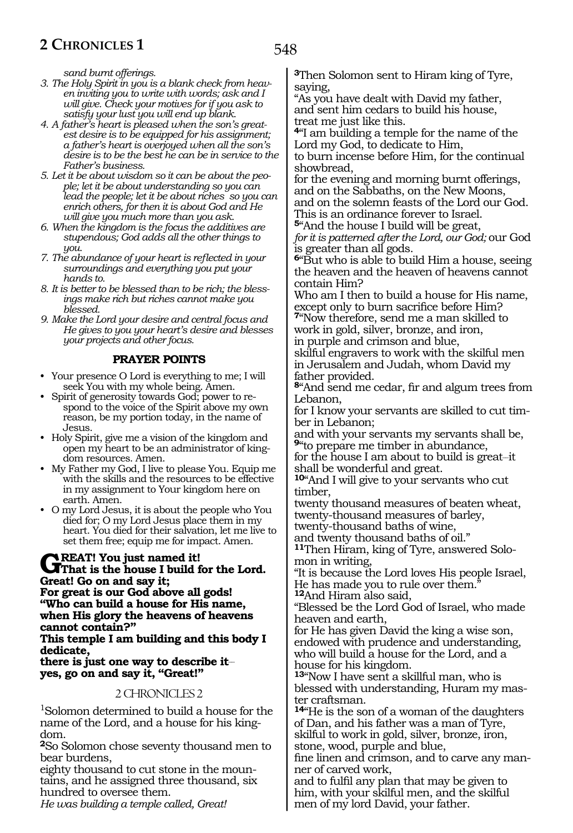*sand burnt offerings.*

- *3. The Holy Spirit in you is a blank check from heaven inviting you to write with words; ask and I will give. Check your motives for if you ask to satisfy your lust you will end up blank.*
- *4. A father's heart is pleased when the son's greatest desire is to be equipped for his assignment; a father's heart is overjoyed when all the son's desire is to be the best he can be in service to the Father's business.*
- *5. Let it be about wisdom so it can be about the people; let it be about understanding so you can lead the people; let it be about riches so you can enrich others, for then it is about God and He will give you much more than you ask.*
- *6. When the kingdom is the focus the additives are stupendous; God adds all the other things to you.*
- *7. The abundance of your heart is reflected in your surroundings and everything you put your hands to.*
- *8. It is better to be blessed than to be rich; the blessings make rich but riches cannot make you blessed.*
- *9. Make the Lord your desire and central focus and He gives to you your heart's desire and blesses your projects and other focus.*

#### **PRAYER POINTS**

- Your presence O Lord is everything to me; I will seek You with my whole being. Amen.
- Spirit of generosity towards God; power to respond to the voice of the Spirit above my own reason, be my portion today, in the name of Jesus.
- Holy Spirit, give me a vision of the kingdom and open my heart to be an administrator of kingdom resources. Amen.
- My Father my God, I live to please You. Equip me with the skills and the resources to be effective in my assignment to Your kingdom here on earth. Amen.
- O my Lord Jesus, it is about the people who You died for; O my Lord Jesus place them in my heart. You died for their salvation, let me live to set them free; equip me for impact. Amen.

# **GREAT!** You just named it!<br> **G**That is the house I build for the Lord. **Great! Go on and say it;**

**For great is our God above all gods! "Who can build a house for His name, when His glory the heavens of heavens cannot contain?"**

#### **This temple I am building and this body I dedicate,**

#### **there is just one way to describe it\_\_ yes, go on and say it, "Great!"**

#### 2 CHRONICLES 2

1 Solomon determined to build a house for the name of the Lord, and a house for his kingdom.

**<sup>2</sup>**So Solomon chose seventy thousand men to bear burdens,

eighty thousand to cut stone in the mountains, and he assigned three thousand, six hundred to oversee them.

*He was building a temple called, Great!*

**<sup>3</sup>**Then Solomon sent to Hiram king of Tyre, saying,

"As you have dealt with David my father, and sent him cedars to build his house, treat me just like this.

**<sup>4</sup>**"I am building a temple for the name of the Lord my God, to dedicate to Him,

to burn incense before Him, for the continual showbread,

for the evening and morning burnt offerings, and on the Sabbaths, on the New Moons, and on the solemn feasts of the Lord our God. This is an ordinance forever to Israel.

**<sup>5</sup>**"And the house I build will be great,

*for it is patterned after the Lord, our God;* our God is greater than all gods.

**<sup>6</sup>**"But who is able to build Him a house, seeing the heaven and the heaven of heavens cannot contain Him?

Who am I then to build a house for His name, except only to burn sacrifice before Him? **<sup>7</sup>**"Now therefore, send me a man skilled to

work in gold, silver, bronze, and iron,

in purple and crimson and blue,

skilful engravers to work with the skilful men in Jerusalem and Judah, whom David my father provided.

**<sup>8</sup>**"And send me cedar, fir and algum trees from Lebanon,

for I know your servants are skilled to cut timber in Lebanon;

and with your servants my servants shall be, **<sup>9</sup>**"to prepare me timber in abundance,

for the house I am about to build is great-it shall be wonderful and great.

**<sup>10</sup>**"And I will give to your servants who cut timber,

twenty thousand measures of beaten wheat, twenty-thousand measures of barley,

twenty-thousand baths of wine,

and twenty thousand baths of oil." **11**Then Hiram, king of Tyre, answered Solo-

mon in writing,

"It is because the Lord loves His people Israel, He has made you to rule over them."

**<sup>12</sup>**And Hiram also said,

"Blessed be the Lord God of Israel, who made heaven and earth,

for He has given David the king a wise son, endowed with prudence and understanding, who will build a house for the Lord, and a house for his kingdom.

**<sup>13</sup>**"Now I have sent a skillful man, who is blessed with understanding, Huram my master craftsman.

**<sup>14</sup>**"He is the son of a woman of the daughters of Dan, and his father was a man of Tyre, skilful to work in gold, silver, bronze, iron,

stone, wood, purple and blue,

fine linen and crimson, and to carve any manner of carved work,

and to fulfil any plan that may be given to him, with your skilful men, and the skilful men of my lord David, your father.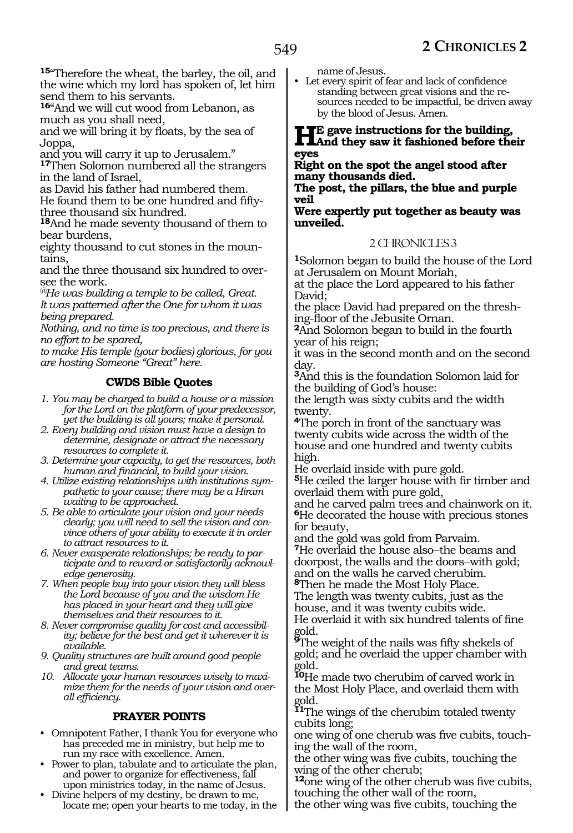**<sup>15</sup>**"Therefore the wheat, the barley, the oil, and the wine which my lord has spoken of, let him send them to his servants.

**<sup>16</sup>**"And we will cut wood from Lebanon, as much as you shall need,

and we will bring it by floats, by the sea of Joppa,

and you will carry it up to Jerusalem."

**<sup>17</sup>**Then Solomon numbered all the strangers in the land of Israel,

as David his father had numbered them. He found them to be one hundred and fiftythree thousand six hundred.

**<sup>18</sup>**And he made seventy thousand of them to bear burdens,

eighty thousand to cut stones in the mountains,

and the three thousand six hundred to oversee the work.

*@He was building a temple to be called, Great. It was patterned after the One for whom it was being prepared.*

*Nothing, and no time is too precious, and there is no effort to be spared,*

*to make His temple (your bodies) glorious, for you are hosting Someone "Great" here.*

# **CWDS Bible Quotes**

- *1. You may be charged to build a house or a mission for the Lord on the platform of your predecessor, yet the building is all yours; make it personal.*
- *2. Every building and vision must have a design to determine, designate or attract the necessary resources to complete it.*
- *3. Determine your capacity, to get the resources, both human and financial, to build your vision.*
- *4. Utilize existing relationships with institutions sympathetic to your cause; there may be a Hiram waiting to be approached.*
- *5. Be able to articulate your vision and your needs clearly; you will need to sell the vision and convince others of your ability to execute it in order to attract resources to it.*
- *6. Never exasperate relationships; be ready to participate and to reward or satisfactorily acknowledge generosity.*

*7. When people buy into your vision they will bless the Lord because of you and the wisdom He has placed in your heart and they will give themselves and their resources to it.*

*8. Never compromise quality for cost and accessibility; believe for the best and get it wherever it is available.*

- *9. Quality structures are built around good people and great teams.*
- *10. Allocate your human resources wisely to maximize them for the needs of your vision and overall efficiency.*

# **PRAYER POINTS**

- Omnipotent Father, I thank You for everyone who has preceded me in ministry, but help me to run my race with excellence. Amen.
- Power to plan, tabulate and to articulate the plan, and power to organize for effectiveness, fall upon ministries today, in the name of Jesus.
- Divine helpers of my destiny, be drawn to me, locate me; open your hearts to me today, in the

name of Jesus.

Let every spirit of fear and lack of confidence standing between great visions and the resources needed to be impactful, be driven away by the blood of Jesus. Amen.

# **He gave instructions for the building, And they saw it fashioned before their eyes**

**Right on the spot the angel stood after many thousands died.**

**The post, the pillars, the blue and purple veil**

**Were expertly put together as beauty was unveiled.**

# 2 CHRONICLES 3

**<sup>1</sup>**Solomon began to build the house of the Lord at Jerusalem on Mount Moriah,

at the place the Lord appeared to his father David;

the place David had prepared on the threshing-floor of the Jebusite Ornan.

**<sup>2</sup>**And Solomon began to build in the fourth year of his reign;

it was in the second month and on the second day.

**<sup>3</sup>**And this is the foundation Solomon laid for the building of God's house:

the length was sixty cubits and the width twenty.

**<sup>4</sup>**The porch in front of the sanctuary was twenty cubits wide across the width of the house and one hundred and twenty cubits high.

He overlaid inside with pure gold.

**<sup>5</sup>**He ceiled the larger house with fir timber and overlaid them with pure gold,

and he carved palm trees and chainwork on it. **<sup>6</sup>**He decorated the house with precious stones for beauty,

and the gold was gold from Parvaim. 7He overlaid the house also-the beams and doorpost, the walls and the doors-with gold; and on the walls he carved cherubim.

**<sup>8</sup>**Then he made the Most Holy Place.

The length was twenty cubits, just as the house, and it was twenty cubits wide. He overlaid it with six hundred talents of fine

gold.

**<sup>9</sup>**The weight of the nails was fifty shekels of gold; and he overlaid the upper chamber with gold.

**<sup>10</sup>**He made two cherubim of carved work in the Most Holy Place, and overlaid them with gold.

**<sup>11</sup>**The wings of the cherubim totaled twenty cubits long;

one wing of one cherub was five cubits, touch- ing the wall of the room,

the other wing was five cubits, touching the wing of the other cherub;

**<sup>12</sup>**one wing of the other cherub was five cubits, touching the other wall of the room,

the other wing was five cubits, touching the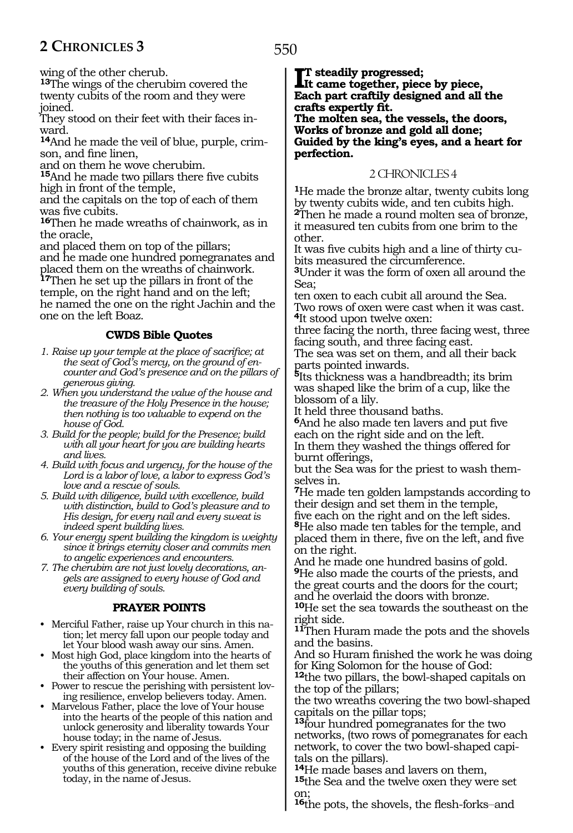wing of the other cherub.

**<sup>13</sup>**The wings of the cherubim covered the twenty cubits of the room and they were joined.

They stood on their feet with their faces inward.

**14**And he made the veil of blue, purple, crimson, and fine linen,

and on them he wove cherubim.

**<sup>15</sup>**And he made two pillars there five cubits high in front of the temple,

and the capitals on the top of each of them was five cubits.

**<sup>16</sup>**Then he made wreaths of chainwork, as in the oracle,

and placed them on top of the pillars; and he made one hundred pomegranates and placed them on the wreaths of chainwork.

**<sup>17</sup>**Then he set up the pillars in front of the temple, on the right hand and on the left; he named the one on the right Jachin and the one on the left Boaz.

# **CWDS Bible Quotes**

- *1. Raise up your temple at the place of sacrifice; at the seat of God's mercy, on the ground of encounter and God's presence and on the pillars of generous giving.*
- *2. When you understand the value of the house and the treasure of the Holy Presence in the house; then nothing is too valuable to expend on the house of God.*
- *3. Build for the people; build for the Presence; build with all your heart for you are building hearts and lives.*
- *4. Build with focus and urgency, for the house of the Lord is a labor of love, a labor to express God's love and a rescue of souls.*
- *5. Build with diligence, build with excellence, build with distinction, build to God's pleasure and to His design, for every nail and every sweat is indeed spent building lives.*
- *6. Your energy spent building the kingdom is weighty since it brings eternity closer and commits men to angelic experiences and encounters.*
- *7. The cherubim are not just lovely decorations, angels are assigned to every house of God and every building of souls.*

# **PRAYER POINTS**

- Merciful Father, raise up Your church in this nation; let mercy fall upon our people today and let Your blood wash away our sins. Amen.
- Most high God, place kingdom into the hearts of the youths of this generation and let them set their affection on Your house. Amen.
- Power to rescue the perishing with persistent loving resilience, envelop believers today. Amen.
- Marvelous Father, place the love of Your house into the hearts of the people of this nation and unlock generosity and liberality towards Your house today; in the name of Jesus.
- Every spirit resisting and opposing the building of the house of the Lord and of the lives of the youths of this generation, receive divine rebuke today, in the name of Jesus.

550

**II** steadily progressed;<br>It came together, piec **It came together, piece by piece, Each part craftily designed and all the crafts expertly fit.**

**The molten sea, the vessels, the doors, Works of bronze and gold all done; Guided by the king's eyes, and a heart for perfection.**

# 2 CHRONICLES 4

**<sup>1</sup>**He made the bronze altar, twenty cubits long by twenty cubits wide, and ten cubits high. **<sup>2</sup>**Then he made a round molten sea of bronze, it measured ten cubits from one brim to the other.

It was five cubits high and a line of thirty cubits measured the circumference.

**<sup>3</sup>**Under it was the form of oxen all around the Sea;

ten oxen to each cubit all around the Sea. Two rows of oxen were cast when it was cast. **<sup>4</sup>**It stood upon twelve oxen:

three facing the north, three facing west, three facing south, and three facing east.

The sea was set on them, and all their back parts pointed inwards.

**<sup>5</sup>**Its thickness was a handbreadth; its brim was shaped like the brim of a cup, like the blossom of a lily.

It held three thousand baths.

**<sup>6</sup>**And he also made ten lavers and put five each on the right side and on the left. In them they washed the things offered for burnt offerings,

but the Sea was for the priest to wash themselves in.

**<sup>7</sup>**He made ten golden lampstands according to their design and set them in the temple,

five each on the right and on the left sides. **<sup>8</sup>**He also made ten tables for the temple, and placed them in there, five on the left, and five on the right.

And he made one hundred basins of gold. **<sup>9</sup>**He also made the courts of the priests, and the great courts and the doors for the court; and he overlaid the doors with bronze.

**<sup>10</sup>**He set the sea towards the southeast on the right side.

**<sup>11</sup>**Then Huram made the pots and the shovels and the basins.

And so Huram finished the work he was doing for King Solomon for the house of God:

**<sup>12</sup>**the two pillars, the bowl-shaped capitals on the top of the pillars;

the two wreaths covering the two bowl-shaped capitals on the pillar tops;

**<sup>13</sup>**four hundred pomegranates for the two networks, (two rows of pomegranates for each network, to cover the two bowl-shaped capitals on the pillars).

**<sup>14</sup>**He made bases and lavers on them,

**<sup>15</sup>**the Sea and the twelve oxen they were set on;

**<sup>16</sup>**the pots, the shovels, the flesh-forks\_\_and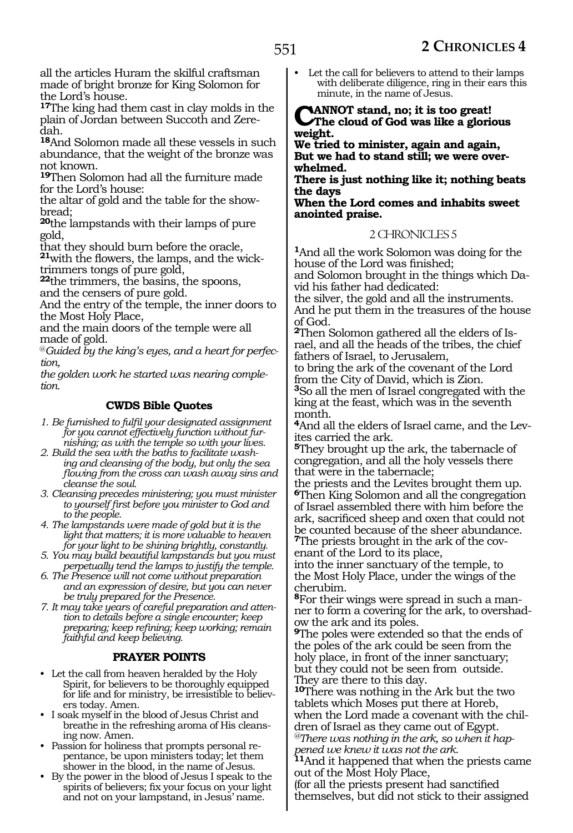all the articles Huram the skilful craftsman made of bright bronze for King Solomon for the Lord's house.

**<sup>17</sup>**The king had them cast in clay molds in the plain of Jordan between Succoth and Zeredah.

**<sup>18</sup>**And Solomon made all these vessels in such abundance, that the weight of the bronze was not known.

**<sup>19</sup>**Then Solomon had all the furniture made for the Lord's house:

the altar of gold and the table for the showbread;

**<sup>20</sup>**the lampstands with their lamps of pure gold,

that they should burn before the oracle,

**21**with the flowers, the lamps, and the wicktrimmers tongs of pure gold,

**<sup>22</sup>**the trimmers, the basins, the spoons, and the censers of pure gold.

And the entry of the temple, the inner doors to the Most Holy Place,

and the main doors of the temple were all made of gold.

@*Guided by the king's eyes, and a heart for perfection,*

*the golden work he started was nearing completion.*

# **CWDS Bible Quotes**

*1. Be furnished to fulfil your designated assignment for you cannot effectively function without furnishing; as with the temple so with your lives.*

- *2. Build the sea with the baths to facilitate washing and cleansing of the body, but only the sea flowing from the cross can wash away sins and cleanse the soul.*
- *3. Cleansing precedes ministering; you must minister to yourself first before you minister to God and to the people.*
- *4. The lampstands were made of gold but it is the light that matters; it is more valuable to heaven for your light to be shining brightly, constantly.*
- *5. You may build beautiful lampstands but you must perpetually tend the lamps to justify the temple.*
- *6. The Presence will not come without preparation and an expression of desire, but you can never be truly prepared for the Presence.*

*7. It may take years of careful preparation and attention to details before a single encounter; keep preparing; keep refining; keep working; remain faithful and keep believing.*

# **PRAYER POINTS**

- Let the call from heaven heralded by the Holy Spirit, for believers to be thoroughly equipped for life and for ministry, be irresistible to believers today. Amen.
- I soak myself in the blood of Jesus Christ and breathe in the refreshing aroma of His cleansing now. Amen.
- Passion for holiness that prompts personal repentance, be upon ministers today; let them shower in the blood, in the name of Jesus.
- By the power in the blood of Jesus I speak to the spirits of believers; fix your focus on your light and not on your lampstand, in Jesus' name.

Let the call for believers to attend to their lamps with deliberate diligence, ring in their ears this minute, in the name of Jesus.

**CanNOt stand, no; it is too great! The cloud of God was like a glorious weight.** 

**We tried to minister, again and again, But we had to stand still; we were over- whelmed.**

**There is just nothing like it; nothing beats the days** 

**When the Lord comes and inhabits sweet anointed praise.** 

# 2 CHRONICLES 5

**<sup>1</sup>**And all the work Solomon was doing for the house of the Lord was finished;

and Solomon brought in the things which Da- vid his father had dedicated:

the silver, the gold and all the instruments. And he put them in the treasures of the house of God.

**<sup>2</sup>**Then Solomon gathered all the elders of Is- rael, and all the heads of the tribes, the chief fathers of Israel, to Jerusalem,

to bring the ark of the covenant of the Lord from the City of David, which is Zion. **<sup>3</sup>**So all the men of Israel congregated with the king at the feast, which was in the seventh month.

**<sup>4</sup>**And all the elders of Israel came, and the Lev- ites carried the ark.

**<sup>5</sup>**They brought up the ark, the tabernacle of congregation, and all the holy vessels there that were in the tabernacle;

the priests and the Levites brought them up. **<sup>6</sup>**Then King Solomon and all the congregation of Israel assembled there with him before the ark, sacrificed sheep and oxen that could not be counted because of the sheer abundance. **7**The priests brought in the ark of the cov-

enant of the Lord to its place, into the inner sanctuary of the temple, to

the Most Holy Place, under the wings of the cherubim.

**8**For their wings were spread in such a manner to form a covering for the ark, to overshadow the ark and its poles.

**<sup>9</sup>**The poles were extended so that the ends of the poles of the ark could be seen from the holy place, in front of the inner sanctuary; but they could not be seen from outside. They are there to this day.

**<sup>10</sup>**There was nothing in the Ark but the two tablets which Moses put there at Horeb, when the Lord made a covenant with the children of Israel as they came out of Egypt. *@There was nothing in the ark, so when it hap-*

*pened we knew it was not the ark.* 

**<sup>11</sup>**And it happened that when the priests came out of the Most Holy Place,

(for all the priests present had sanctified themselves, but did not stick to their assigned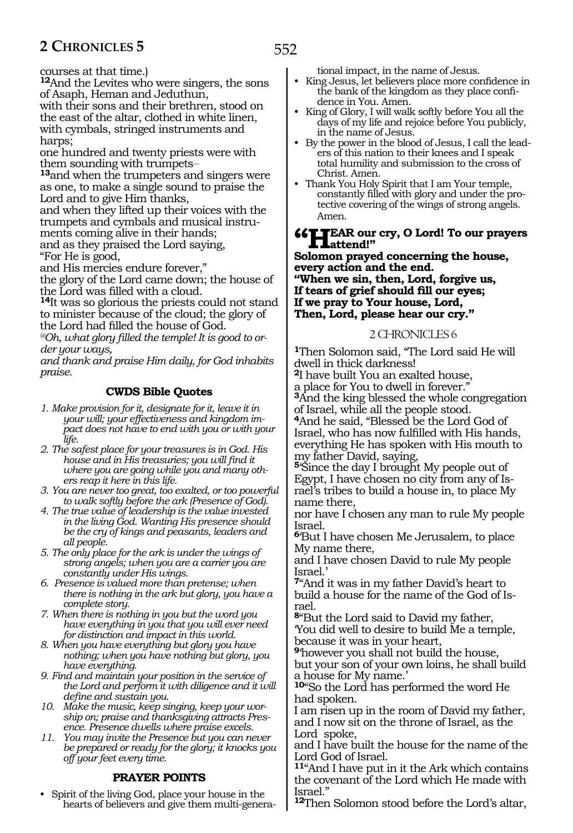courses at that time.)

**<sup>12</sup>**And the Levites who were singers, the sons of Asaph, Heman and Jeduthun,

with their sons and their brethren, stood on the east of the altar, clothed in white linen, with cymbals, stringed instruments and harps;

one hundred and twenty priests were with them sounding with trumpets-

**<sup>13</sup>**and when the trumpeters and singers were as one, to make a single sound to praise the Lord and to give Him thanks,

and when they lifted up their voices with the trumpets and cymbals and musical instruments coming alive in their hands; and as they praised the Lord saying,

"For He is good,

and His mercies endure forever,"

the glory of the Lord came down; the house of the Lord was filled with a cloud.

**<sup>14</sup>**It was so glorious the priests could not stand to minister because of the cloud; the glory of the Lord had filled the house of God.

*@Oh, what glory filled the temple! It is good to order your ways,* 

*and thank and praise Him daily, for God inhabits praise.*

## **CWDS Bible Quotes**

*1. Make provision for it, designate for it, leave it in your will; your effectiveness and kingdom impact does not have to end with you or with your life.*

*2. The safest place for your treasures is in God. His house and in His treasuries; you will find it where you are going while you and many others reap it here in this life.*

- *3. You are never too great, too exalted, or too powerful to walk softly before the ark (Presence of God).*
- *4. The true value of leadership is the value invested in the living God. Wanting His presence should be the cry of kings and peasants, leaders and all people.*

*5. The only place for the ark is under the wings of strong angels; when you are a carrier you are constantly under His wings.*

- *6. Presence is valued more than pretense; when there is nothing in the ark but glory, you have a complete story.*
- *7. When there is nothing in you but the word you have everything in you that you will ever need for distinction and impact in this world.*
- *8. When you have everything but glory you have nothing; when you have nothing but glory, you have everything.*

*9. Find and maintain your position in the service of the Lord and perform it with diligence and it will define and sustain you.*

*10. Make the music, keep singing, keep your worship on; praise and thanksgiving attracts Presence. Presence dwells where praise excels.*

*11. You may invite the Presence but you can never be prepared or ready for the glory; it knocks you off your feet every time.*

#### **PRAYER POINTS**

• Spirit of the living God, place your house in the hearts of believers and give them multi-generational impact, in the name of Jesus.

- King Jesus, let believers place more confidence in the bank of the kingdom as they place confidence in You. Amen.
- King of Glory, I will walk softly before You all the days of my life and rejoice before You publicly, in the name of Jesus.
- By the power in the blood of Jesus, I call the leaders of this nation to their knees and I speak total humility and submission to the cross of Christ. Amen.
- Thank You Holy Spirit that I am Your temple, constantly filled with glory and under the protective covering of the wings of strong angels. Amen.

# **"Hear our cry, O Lord! To our prayers attend!"**

**Solomon prayed concerning the house, every action and the end. "When we sin, then, Lord, forgive us, If tears of grief should fill our eyes; If we pray to Your house, Lord, Then, Lord, please hear our cry."**

#### 2 CHRONICLES 6

**<sup>1</sup>**Then Solomon said, "The Lord said He will dwell in thick darkness!

**<sup>2</sup>**I have built You an exalted house,

a place for You to dwell in forever."

**<sup>3</sup>**And the king blessed the whole congregation of Israel, while all the people stood.

**<sup>4</sup>**And he said, "Blessed be the Lord God of Israel, who has now fulfilled with His hands, everything He has spoken with His mouth to my father David, saying,

**<sup>5</sup>**'Since the day I brought My people out of Egypt, I have chosen no city from any of Is- rael's tribes to build a house in, to place My name there,

nor have I chosen any man to rule My people Israel.

**<sup>6</sup>**'But I have chosen Me Jerusalem, to place My name there,

and I have chosen David to rule My people Israel.'

**<sup>7</sup>**"And it was in my father David's heart to build a house for the name of the God of Is- rael.

**<sup>8</sup>**"But the Lord said to David my father, 'You did well to desire to build Me a temple, because it was in your heart,

**<sup>9</sup>**'however you shall not build the house, but your son of your own loins, he shall build a house for My name.'

**<sup>10</sup>**"So the Lord has performed the word He had spoken.

I am risen up in the room of David my father, and I now sit on the throne of Israel, as the Lord spoke,

and I have built the house for the name of the Lord God of Israel.

**<sup>11</sup>**"And I have put in it the Ark which contains the covenant of the Lord which He made with Israel."

**<sup>12</sup>**Then Solomon stood before the Lord's altar,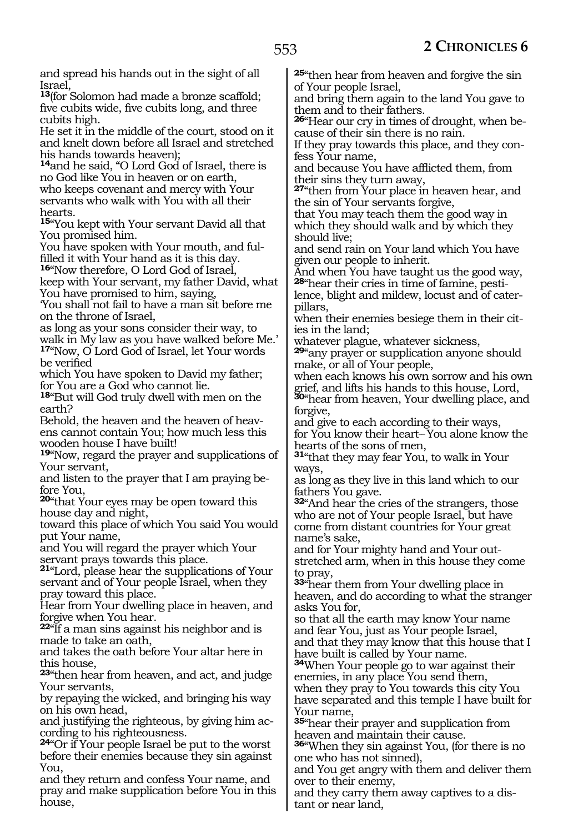and spread his hands out in the sight of all Israel,

**<sup>13</sup>**(for Solomon had made a bronze scaffold; five cubits wide, five cubits long, and three cubits high.

He set it in the middle of the court, stood on it and knelt down before all Israel and stretched his hands towards heaven);

**<sup>14</sup>**and he said, "O Lord God of Israel, there is no God like You in heaven or on earth, who keeps covenant and mercy with Your servants who walk with You with all their hearts.

**<sup>15</sup>**"You kept with Your servant David all that You promised him.

You have spoken with Your mouth, and fulfilled it with Your hand as it is this day.

**<sup>16</sup>**"Now therefore, O Lord God of Israel,

keep with Your servant, my father David, what You have promised to him, saying,

'You shall not fail to have a man sit before me on the throne of Israel,

as long as your sons consider their way, to walk in My law as you have walked before Me.' **<sup>17</sup>**"Now, O Lord God of Israel, let Your words be verified

which You have spoken to David my father; for You are a God who cannot lie.

**<sup>18</sup>**"But will God truly dwell with men on the earth?

Behold, the heaven and the heaven of heavens cannot contain You; how much less this wooden house I have built!

**<sup>19</sup>**"Now, regard the prayer and supplications of Your servant,

and listen to the prayer that I am praying be- fore You,

**<sup>20</sup>**"that Your eyes may be open toward this house day and night,

toward this place of which You said You would put Your name,

and You will regard the prayer which Your servant prays towards this place.

**<sup>21</sup>**"Lord, please hear the supplications of Your servant and of Your people Israel, when they pray toward this place.

Hear from Your dwelling place in heaven, and forgive when You hear.

**<sup>22</sup>**"If a man sins against his neighbor and is made to take an oath,

and takes the oath before Your altar here in this house,

**<sup>23</sup>**"then hear from heaven, and act, and judge Your servants,

by repaying the wicked, and bringing his way on his own head,

and justifying the righteous, by giving him according to his righteousness.

**<sup>24</sup>**"Or if Your people Israel be put to the worst before their enemies because they sin against You,

and they return and confess Your name, and pray and make supplication before You in this house,

**<sup>25</sup>**"then hear from heaven and forgive the sin of Your people Israel,

and bring them again to the land You gave to them and to their fathers.

**26**"Hear our cry in times of drought, when because of their sin there is no rain.

If they pray towards this place, and they confess Your name,

and because You have afflicted them, from their sins they turn away,

**<sup>27</sup>**"then from Your place in heaven hear, and the sin of Your servants forgive,

that You may teach them the good way in which they should walk and by which they should live;

and send rain on Your land which You have given our people to inherit.

And when You have taught us the good way, **28**"hear their cries in time of famine, pestilence, blight and mildew, locust and of cater-

pillars, when their enemies besiege them in their cities in the land;

whatever plague, whatever sickness,

**<sup>29</sup>**"any prayer or supplication anyone should make, or all of Your people,

when each knows his own sorrow and his own grief, and lifts his hands to this house, Lord,

**<sup>30</sup>**"hear from heaven, Your dwelling place, and forgive,

and give to each according to their ways, for You know their heart-You alone know the hearts of the sons of men,

**<sup>31</sup>**"that they may fear You, to walk in Your ways,

as long as they live in this land which to our fathers You gave.

**<sup>32</sup>**"And hear the cries of the strangers, those who are not of Your people Israel, but have come from distant countries for Your great name's sake,

and for Your mighty hand and Your outstretched arm, when in this house they come to pray,

**<sup>33</sup>**"hear them from Your dwelling place in heaven, and do according to what the stranger asks You for,

so that all the earth may know Your name and fear You, just as Your people Israel, and that they may know that this house that I

have built is called by Your name. **<sup>34</sup>**When Your people go to war against their enemies, in any place You send them, when they pray to You towards this city You have separated and this temple I have built for Your name,

**<sup>35</sup>**"hear their prayer and supplication from heaven and maintain their cause.

**<sup>36</sup>**"When they sin against You, (for there is no one who has not sinned),

and You get angry with them and deliver them over to their enemy,

and they carry them away captives to a distant or near land,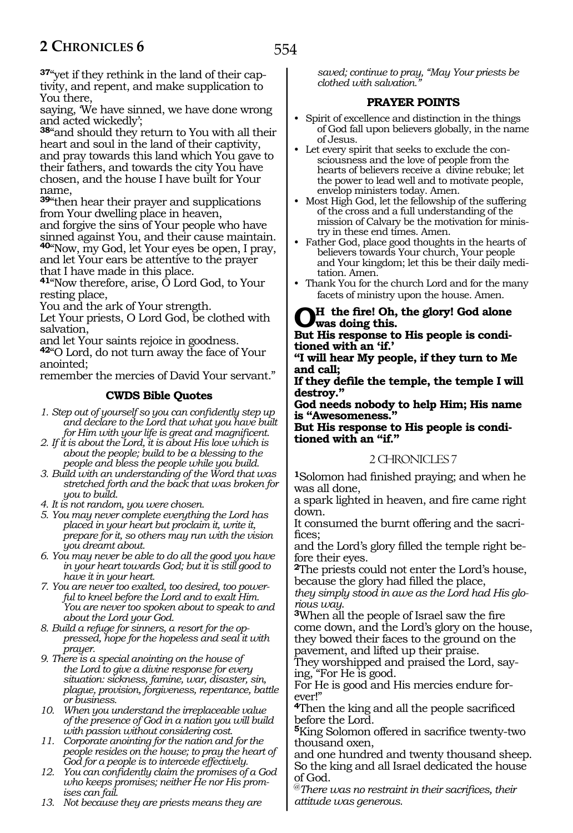**37**"yet if they rethink in the land of their captivity, and repent, and make supplication to You there,

saying, 'We have sinned, we have done wrong and acted wickedly';

**<sup>38</sup>**"and should they return to You with all their heart and soul in the land of their captivity, and pray towards this land which You gave to their fathers, and towards the city You have chosen, and the house I have built for Your name,

**<sup>39</sup>**"then hear their prayer and supplications from Your dwelling place in heaven,

and forgive the sins of Your people who have sinned against You, and their cause maintain. **<sup>40</sup>**"Now, my God, let Your eyes be open, I pray,

and let Your ears be attentive to the prayer that I have made in this place.

**<sup>41</sup>**"Now therefore, arise, O Lord God, to Your resting place,

You and the ark of Your strength.

Let Your priests, O Lord God, be clothed with salvation,

and let Your saints rejoice in goodness.

**<sup>42</sup>**"O Lord, do not turn away the face of Your anointed;

remember the mercies of David Your servant."

## **CWDS Bible Quotes**

*1. Step out of yourself so you can confidently step up and declare to the Lord that what you have built for Him with your life is great and magnificent.*

*2. If it is about the Lord, it is about His love which is about the people; build to be a blessing to the people and bless the people while you build.*

*3. Build with an understanding of the Word that was stretched forth and the back that was broken for you to build.*

*4. It is not random, you were chosen.*

- *5. You may never complete everything the Lord has placed in your heart but proclaim it, write it, prepare for it, so others may run with the vision you dreamt about.*
- *6. You may never be able to do all the good you have in your heart towards God; but it is still good to have it in your heart.*
- *7. You are never too exalted, too desired, too powerful to kneel before the Lord and to exalt Him. You are never too spoken about to speak to and about the Lord your God.*
- *8. Build a refuge for sinners, a resort for the oppressed, hope for the hopeless and seal it with prayer.*
- *9. There is a special anointing on the house of the Lord to give a divine response for every situation: sickness, famine, war, disaster, sin, plague, provision, forgiveness, repentance, battle or business.*
- *10. When you understand the irreplaceable value of the presence of God in a nation you will build with passion without considering cost.*
- *11. Corporate anointing for the nation and for the people resides on the house; to pray the heart of God for a people is to intercede effectively.*
- *12. You can confidently claim the promises of a God who keeps promises; neither He nor His promises can fail.*
- *13. Not because they are priests means they are*

*saved; continue to pray, "May Your priests be clothed with salvation."*

# **PRAYER POINTS**

- Spirit of excellence and distinction in the things of God fall upon believers globally, in the name of Jesus.
- Let every spirit that seeks to exclude the consciousness and the love of people from the hearts of believers receive a divine rebuke; let the power to lead well and to motivate people, envelop ministers today. Amen.
- Most High God, let the fellowship of the suffering of the cross and a full understanding of the mission of Calvary be the motivation for ministry in these end times. Amen.
- Father God, place good thoughts in the hearts of believers towards Your church, Your people and Your kingdom; let this be their daily meditation. Amen.
- Thank You for the church Lord and for the many facets of ministry upon the house. Amen.

# **Oh the fire! Oh, the glory! God alone was doing this.**

#### **But His response to His people is conditioned with an 'if.'**

**"I will hear My people, if they turn to Me and call;**

**If they defile the temple, the temple I will destroy."**

**God needs nobody to help Him; His name is "Awesomeness."**

**But His response to His people is conditioned with an "if."**

# 2 CHRONICLES 7

**<sup>1</sup>**Solomon had finished praying; and when he was all done,

a spark lighted in heaven, and fire came right down.

It consumed the burnt offering and the sacrifices;

and the Lord's glory filled the temple right before their eyes.

**<sup>2</sup>**The priests could not enter the Lord's house, because the glory had filled the place,

*they simply stood in awe as the Lord had His glo-*

*rious way*. **<sup>3</sup>**When all the people of Israel saw the fire come down, and the Lord's glory on the house, they bowed their faces to the ground on the pavement, and lifted up their praise.

They worshipped and praised the Lord, say- ing, "For He is good.

For He is good and His mercies endure for- ever!"

**<sup>4</sup>**Then the king and all the people sacrificed before the Lord.

**<sup>5</sup>**King Solomon offered in sacrifice twenty-two thousand oxen,

and one hundred and twenty thousand sheep. So the king and all Israel dedicated the house of God.

@*There was no restraint in their sacrifices, their attitude was generous.*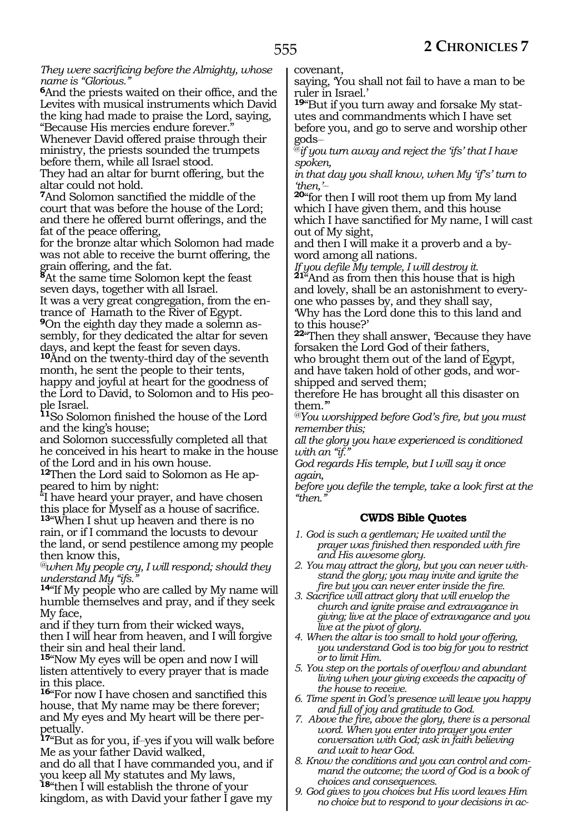*They were sacrificing before the Almighty, whose name is "Glorious."*

**<sup>6</sup>**And the priests waited on their office, and the Levites with musical instruments which David the king had made to praise the Lord, saying, "Because His mercies endure forever."

Whenever David offered praise through their ministry, the priests sounded the trumpets before them, while all Israel stood.

They had an altar for burnt offering, but the altar could not hold.

**<sup>7</sup>**And Solomon sanctified the middle of the court that was before the house of the Lord; and there he offered burnt offerings, and the fat of the peace offering,

for the bronze altar which Solomon had made was not able to receive the burnt offering, the grain offering, and the fat.

**<sup>8</sup>**At the same time Solomon kept the feast seven days, together with all Israel.

It was a very great congregation, from the entrance of Hamath to the River of Egypt.

**9**On the eighth day they made a solemn assembly, for they dedicated the altar for seven days, and kept the feast for seven days.

**<sup>10</sup>**And on the twenty-third day of the seventh month, he sent the people to their tents, happy and joyful at heart for the goodness of the Lord to David, to Solomon and to His people Israel.

**<sup>11</sup>**So Solomon finished the house of the Lord and the king's house;

and Solomon successfully completed all that he conceived in his heart to make in the house of the Lord and in his own house.<br><sup>12</sup>Then the Lord said to Solomon as He ap-

**<sup>12</sup>**Then the Lord said to Solomon as He ap- peared to him by night:

"I have heard your prayer, and have chosen this place for Myself as a house of sacrifice. **<sup>13</sup>**"When I shut up heaven and there is no rain, or if I command the locusts to devour the land, or send pestilence among my people then know this,

*@when My people cry, I will respond; should they understand My "ifs."*

**<sup>14</sup>**"If My people who are called by My name will humble themselves and pray, and if they seek My face,

and if they turn from their wicked ways, then I will hear from heaven, and I will forgive their sin and heal their land.

**<sup>15</sup>**"Now My eyes will be open and now I will listen attentively to every prayer that is made in this place.

**<sup>16</sup>**"For now I have chosen and sanctified this house, that My name may be there forever; and My eyes and My heart will be there perpetually.

**<sup>17</sup>**"But as for you, if\_\_yes if you will walk before Me as your father David walked,

and do all that I have commanded you, and if you keep all My statutes and My laws, **<sup>18</sup>**"then I will establish the throne of your

kingdom, as with David your father I gave my

covenant,

saying, 'You shall not fail to have a man to be ruler in Israel.'

**19**"But if you turn away and forsake My statutes and commandments which I have set before you, and go to serve and worship other gods\_\_

@*if you turn away and reject the 'ifs' that I have spoken,* 

*in that day you shall know, when My 'if's' turn to 'then,'\_\_*

**<sup>20</sup>**"for then I will root them up from My land which I have given them, and this house which I have sanctified for My name, I will cast out of My sight,

and then I will make it a proverb and a by- word among all nations.

*If you defile My temple, I will destroy it.* **<sup>21</sup>**"And as from then this house that is high and lovely, shall be an astonishment to everyone who passes by, and they shall say,

'Why has the Lord done this to this land and to this house?'

**<sup>22</sup>**"Then they shall answer, 'Because they have forsaken the Lord God of their fathers who brought them out of the land of Egypt, and have taken hold of other gods, and worshipped and served them;

therefore He has brought all this disaster on them."

*@You worshipped before God's fire, but you must remember this;*

*all the glory you have experienced is conditioned*  with an "if.

*God regards His temple, but I will say it once again,*

*before you defile the temple, take a look first at the "then."*

# **CWDS Bible Quotes**

- *1. God is such a gentleman; He waited until the prayer was finished then responded with fire and His awesome glory.*
- *2. You may attract the glory, but you can never withstand the glory; you may invite and ignite the fire but you can never enter inside the fire.*
- *3. Sacrifice will attract glory that will envelop the church and ignite praise and extravagance in giving; live at the place of extravagance and you live at the pivot of glory.*
- *4. When the altar is too small to hold your offering, you understand God is too big for you to restrict or to limit Him.*
- *5. You step on the portals of overflow and abundant living when your giving exceeds the capacity of the house to receive.*
- *6. Time spent in God's presence will leave you happy and full of joy and gratitude to God.*
- *7. Above the fire, above the glory, there is a personal word. When you enter into prayer you enter conversation with God; ask in faith believing and wait to hear God.*
- *8. Know the conditions and you can control and command the outcome; the word of God is a book of choices and consequences.*
- *9. God gives to you choices but His word leaves Him no choice but to respond to your decisions in ac-*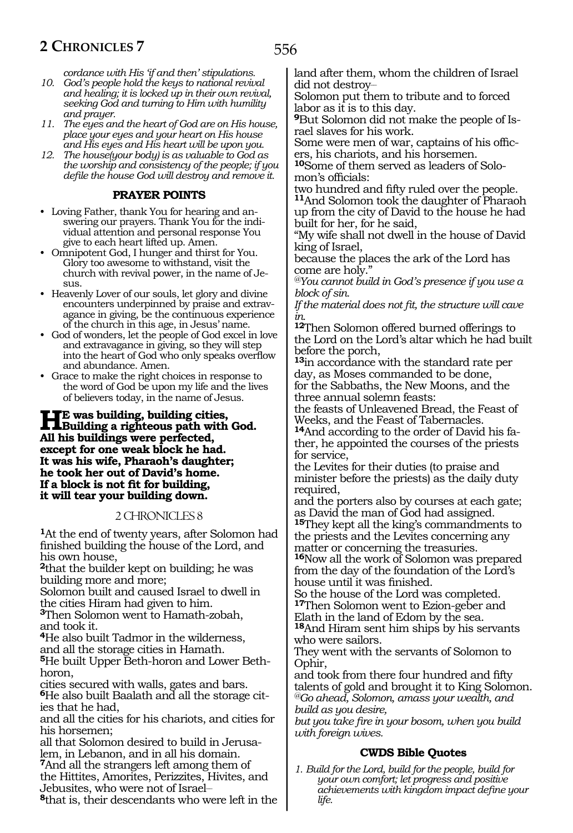*cordance with His 'if and then' stipulations.*

- *10. God's people hold the keys to national revival and healing; it is locked up in their own revival, seeking God and turning to Him with humility and prayer.*
- *11. The eyes and the heart of God are on His house, place your eyes and your heart on His house and His eyes and His heart will be upon you.*
- *12. The house(your body) is as valuable to God as the worship and consistency of the people; if you defile the house God will destroy and remove it.*

## **PRAYER POINTS**

- Loving Father, thank You for hearing and answering our prayers. Thank You for the individual attention and personal response You give to each heart lifted up. Amen.
- Omnipotent God, I hunger and thirst for You. Glory too awesome to withstand, visit the church with revival power, in the name of Jesus.
- Heavenly Lover of our souls, let glory and divine encounters underpinned by praise and extravagance in giving, be the continuous experience of the church in this age, in Jesus' name.
- God of wonders, let the people of God excel in love and extravagance in giving, so they will step into the heart of God who only speaks overflow and abundance. Amen.
- Grace to make the right choices in response to the word of God be upon my life and the lives of believers today, in the name of Jesus.

# **He was building, building cities,<br>Building a righteous path with God. All his buildings were perfected, except for one weak block he had. It was his wife, Pharaoh's daughter; he took her out of David's home. If a block is not fit for building, it will tear your building down.**

# 2 CHRONICLES 8

**<sup>1</sup>**At the end of twenty years, after Solomon had finished building the house of the Lord, and his own house,

**<sup>2</sup>**that the builder kept on building; he was building more and more;

Solomon built and caused Israel to dwell in the cities Hiram had given to him.

**<sup>3</sup>**Then Solomon went to Hamath-zobah, and took it.

**<sup>4</sup>**He also built Tadmor in the wilderness, and all the storage cities in Hamath.

**5**He built Upper Beth-horon and Lower Bethhoron,

cities secured with walls, gates and bars. **6**He also built Baalath and all the storage cities that he had,

and all the cities for his chariots, and cities for his horsemen;

all that Solomon desired to build in Jerusa- lem, in Lebanon, and in all his domain. **<sup>7</sup>**And all the strangers left among them of

the Hittites, Amorites, Perizzites, Hivites, and Jebusites, who were not of Israel\_\_

**<sup>8</sup>**that is, their descendants who were left in the

land after them, whom the children of Israel did not destroy\_\_

Solomon put them to tribute and to forced labor as it is to this day.

**<sup>9</sup>**But Solomon did not make the people of Is- rael slaves for his work.

Some were men of war, captains of his offic- ers, his chariots, and his horsemen.

**<sup>10</sup>**Some of them served as leaders of Solo- mon's officials:

two hundred and fifty ruled over the people.

**<sup>11</sup>**And Solomon took the daughter of Pharaoh up from the city of David to the house he had built for her, for he said,

"My wife shall not dwell in the house of David king of Israel,

because the places the ark of the Lord has come are holy."

*@You cannot build in God's presence if you use a block of sin.*

*If the material does not fit, the structure will cave in.*

**<sup>12</sup>**Then Solomon offered burned offerings to the Lord on the Lord's altar which he had built before the porch,

**<sup>13</sup>**in accordance with the standard rate per day, as Moses commanded to be done, for the Sabbaths, the New Moons, and the three annual solemn feasts:

the feasts of Unleavened Bread, the Feast of Weeks, and the Feast of Tabernacles.

**14**And according to the order of David his father, he appointed the courses of the priests for service,

the Levites for their duties (to praise and minister before the priests) as the daily duty required,

and the porters also by courses at each gate; as David the man of God had assigned.

**<sup>15</sup>**They kept all the king's commandments to the priests and the Levites concerning any matter or concerning the treasuries.

**<sup>16</sup>**Now all the work of Solomon was prepared from the day of the foundation of the Lord's house until it was finished.

So the house of the Lord was completed. **<sup>17</sup>**Then Solomon went to Ezion-geber and Elath in the land of Edom by the sea.

**<sup>18</sup>**And Hiram sent him ships by his servants who were sailors.

They went with the servants of Solomon to Ophir,

and took from there four hundred and fifty talents of gold and brought it to King Solomon. *@Go ahead, Solomon, amass your wealth, and build as you desire,*

*but you take fire in your bosom, when you build with foreign wives.*

# **CWDS Bible Quotes**

*1. Build for the Lord, build for the people, build for your own comfort; let progress and positive achievements with kingdom impact define your life.*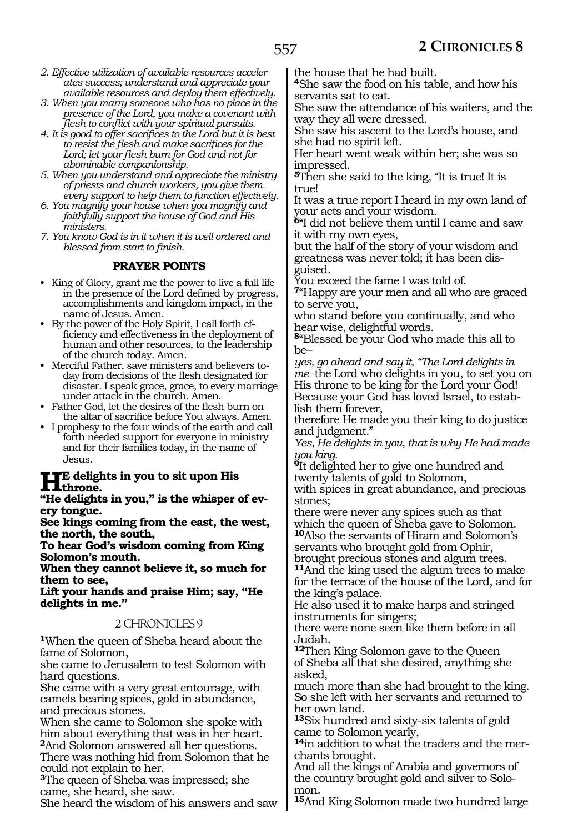- *2. Effective utilization of available resources accelerates success; understand and appreciate your available resources and deploy them effectively.*
- *3. When you marry someone who has no place in the presence of the Lord, you make a covenant with flesh to conflict with your spiritual pursuits.*
- *4. It is good to offer sacrifices to the Lord but it is best to resist the flesh and make sacrifices for the Lord; let your flesh burn for God and not for abominable companionship.*
- *5. When you understand and appreciate the ministry of priests and church workers, you give them every support to help them to function effectively.*
- *6. You magnify your house when you magnify and faithfully support the house of God and His ministers.*
- *7. You know God is in it when it is well ordered and blessed from start to finish.*

# **PRAYER POINTS**

- King of Glory, grant me the power to live a full life in the presence of the Lord defined by progress, accomplishments and kingdom impact, in the name of Jesus. Amen.
- By the power of the Holy Spirit, I call forth efficiency and effectiveness in the deployment of human and other resources, to the leadership of the church today. Amen.
- Merciful Father, save ministers and believers today from decisions of the flesh designated for disaster. I speak grace, grace, to every marriage under attack in the church. Amen.
- Father God, let the desires of the flesh burn on the altar of sacrifice before You always. Amen.
- I prophesy to the four winds of the earth and call forth needed support for everyone in ministry and for their families today, in the name of Jesus.

#### **He delights in you to sit upon His throne.**

**"He delights in you," is the whisper of every tongue.**

**See kings coming from the east, the west, the north, the south,**

**To hear God's wisdom coming from King Solomon's mouth.**

**When they cannot believe it, so much for them to see,**

**Lift your hands and praise Him; say, "He delights in me."**

# 2 CHRONICLES 9

**<sup>1</sup>**When the queen of Sheba heard about the fame of Solomon,

she came to Jerusalem to test Solomon with hard questions.

She came with a very great entourage, with camels bearing spices, gold in abundance, and precious stones.

When she came to Solomon she spoke with him about everything that was in her heart. **<sup>2</sup>**And Solomon answered all her questions.

There was nothing hid from Solomon that he could not explain to her.

**<sup>3</sup>**The queen of Sheba was impressed; she came, she heard, she saw.

She heard the wisdom of his answers and saw

the house that he had built.

**<sup>4</sup>**She saw the food on his table, and how his servants sat to eat.

She saw the attendance of his waiters, and the way they all were dressed.

She saw his ascent to the Lord's house, and she had no spirit left.

Her heart went weak within her; she was so impressed.

**<sup>5</sup>**Then she said to the king, "It is true! It is truel

It was a true report I heard in my own land of your acts and your wisdom.

**<sup>6</sup>**"I did not believe them until I came and saw it with my own eyes,

but the half of the story of your wisdom and greatness was never told; it has been disguised.

You exceed the fame I was told of.

**<sup>7</sup>**"Happy are your men and all who are graced to serve you,

who stand before you continually, and who hear wise, delightful words.

**<sup>8</sup>**"Blessed be your God who made this all to  $he$ 

*yes, go ahead and say it, "The Lord delights in me\_\_*the Lord who delights in you, to set you on His throne to be king for the Lord your God! Because your God has loved Israel, to establish them forever,

therefore He made you their king to do justice and judgment."

*Yes, He delights in you, that is why He had made you king.* 

**<sup>9</sup>**It delighted her to give one hundred and twenty talents of gold to Solomon,

with spices in great abundance, and precious stones;

there were never any spices such as that which the queen of Sheba gave to Solomon. **<sup>10</sup>**Also the servants of Hiram and Solomon's servants who brought gold from Ophir,

brought precious stones and algum trees. **<sup>11</sup>**And the king used the algum trees to make for the terrace of the house of the Lord, and for the king's palace.

He also used it to make harps and stringed instruments for singers;

there were none seen like them before in all Judah.

**<sup>12</sup>**Then King Solomon gave to the Queen of Sheba all that she desired, anything she asked,

much more than she had brought to the king. So she left with her servants and returned to her own land.

**<sup>13</sup>**Six hundred and sixty-six talents of gold came to Solomon yearly,

**<sup>14</sup>**in addition to what the traders and the mer- chants brought.

And all the kings of Arabia and governors of the country brought gold and silver to Solo- mon.

**<sup>15</sup>**And King Solomon made two hundred large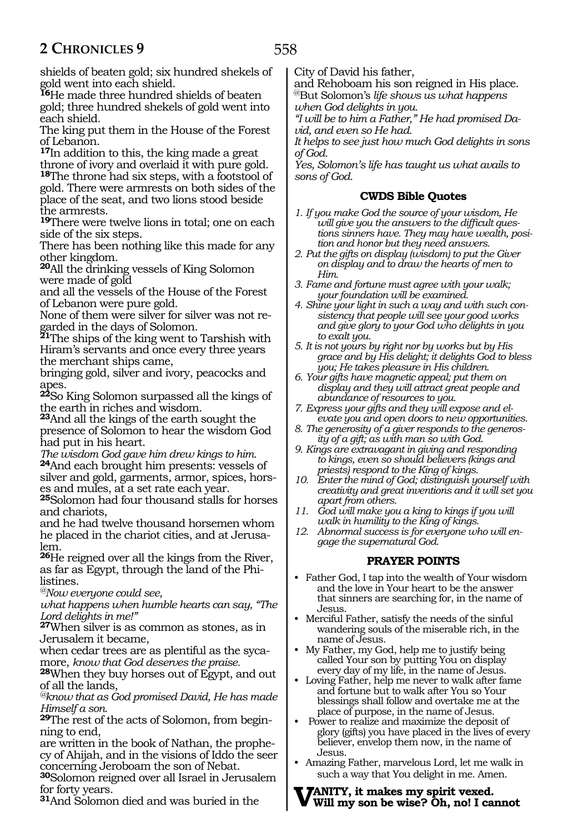shields of beaten gold; six hundred shekels of gold went into each shield.

**<sup>16</sup>**He made three hundred shields of beaten gold; three hundred shekels of gold went into each shield.

The king put them in the House of the Forest of Lebanon.

**<sup>17</sup>**In addition to this, the king made a great throne of ivory and overlaid it with pure gold.

**<sup>18</sup>**The throne had six steps, with a footstool of gold. There were armrests on both sides of the place of the seat, and two lions stood beside the armrests.

**<sup>19</sup>**There were twelve lions in total; one on each side of the six steps.

There has been nothing like this made for any other kingdom.

**<sup>20</sup>**All the drinking vessels of King Solomon were made of gold

and all the vessels of the House of the Forest of Lebanon were pure gold.

None of them were silver for silver was not regarded in the days of Solomon.

**<sup>21</sup>**The ships of the king went to Tarshish with Hiram's servants and once every three years the merchant ships came,

bringing gold, silver and ivory, peacocks and apes.

**<sup>22</sup>**So King Solomon surpassed all the kings of the earth in riches and wisdom.

**<sup>23</sup>**And all the kings of the earth sought the presence of Solomon to hear the wisdom God had put in his heart.

*The wisdom God gave him drew kings to him.*  **<sup>24</sup>**And each brought him presents: vessels of silver and gold, garments, armor, spices, horses and mules, at a set rate each year.

**<sup>25</sup>**Solomon had four thousand stalls for horses and chariots,

and he had twelve thousand horsemen whom he placed in the chariot cities, and at Jerusa- lem.

**<sup>26</sup>**He reigned over all the kings from the River, as far as Egypt, through the land of the Philistines.

*@Now everyone could see,*

*what happens when humble hearts can say, "The Lord delights in me!"* 

**<sup>27</sup>**When silver is as common as stones, as in Jerusalem it became,

when cedar trees are as plentiful as the sycamore, *know that God deserves the praise.*

**<sup>28</sup>**When they buy horses out of Egypt, and out of all the lands,

*@know that as God promised David, He has made Himself a son.* 

**<sup>29</sup>**The rest of the acts of Solomon, from begin- ning to end,

are written in the book of Nathan, the prophe- cy of Ahijah, and in the visions of Iddo the seer concerning Jeroboam the son of Nebat.

**<sup>30</sup>**Solomon reigned over all Israel in Jerusalem for forty years.

**<sup>31</sup>**And Solomon died and was buried in the

City of David his father,

and Rehoboam his son reigned in His place. @But Solomon's *life shows us what happens when God delights in you.*

*"I will be to him a Father," He had promised David, and even so He had.*

*It helps to see just how much God delights in sons of God.*

*Yes, Solomon's life has taught us what avails to sons of God.*

## **CWDS Bible Quotes**

- *1. If you make God the source of your wisdom, He will give you the answers to the difficult questions sinners have. They may have wealth, position and honor but they need answers.*
- *2. Put the gifts on display (wisdom) to put the Giver on display and to draw the hearts of men to Him.*
- *3. Fame and fortune must agree with your walk; your foundation will be examined.*
- *4. Shine your light in such a way and with such consistency that people will see your good works and give glory to your God who delights in you to exalt you.*
- *5. It is not yours by right nor by works but by His grace and by His delight; it delights God to bless you; He takes pleasure in His children.*
- *6. Your gifts have magnetic appeal; put them on display and they will attract great people and abundance of resources to you.*
- *7. Express your gifts and they will expose and elevate you and open doors to new opportunities.*
- *8. The generosity of a giver responds to the generosity of a gift; as with man so with God.*
- *9. Kings are extravagant in giving and responding to kings, even so should believers (kings and priests) respond to the King of kings.*
- *10. Enter the mind of God; distinguish yourself with creativity and great inventions and it will set you apart from others.*
- *11. God will make you a king to kings if you will walk in humility to the King of kings.*
- *12. Abnormal success is for everyone who will engage the supernatural God.*

# **PRAYER POINTS**

- Father God, I tap into the wealth of Your wisdom and the love in Your heart to be the answer that sinners are searching for, in the name of Jesus.
- Merciful Father, satisfy the needs of the sinful wandering souls of the miserable rich, in the name of Jesus.
- My Father, my God, help me to justify being called Your son by putting You on display every day of my life, in the name of Jesus.
- Loving Father, help me never to walk after fame and fortune but to walk after You so Your blessings shall follow and overtake me at the place of purpose, in the name of Jesus.
- Power to realize and maximize the deposit of glory (gifts) you have placed in the lives of every believer, envelop them now, in the name of Jesus.
- Amazing Father, marvelous Lord, let me walk in such a way that You delight in me. Amen.

#### **Vanity, it makes my spirit vexed. Will my son be wise? Oh, no! I cannot**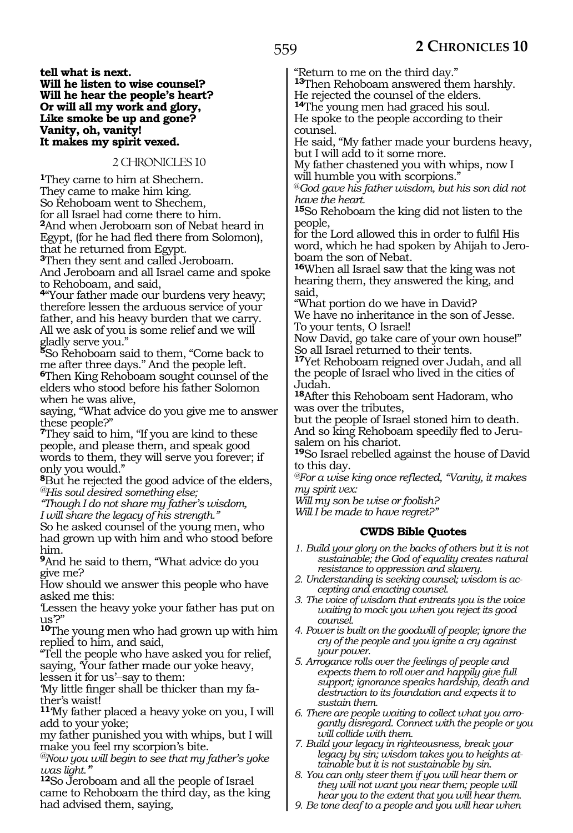**tell what is next. Will he listen to wise counsel? Will he hear the people's heart? Or will all my work and glory, Like smoke be up and gone? Vanity, oh, vanity! It makes my spirit vexed.**

## 2 CHRONICLES 10

**<sup>1</sup>**They came to him at Shechem. They came to make him king. So Rehoboam went to Shechem, for all Israel had come there to him. **<sup>2</sup>**And when Jeroboam son of Nebat heard in Egypt, (for he had fled there from Solomon), that he returned from Egypt.

**<sup>3</sup>**Then they sent and called Jeroboam. And Jeroboam and all Israel came and spoke to Rehoboam, and said,

**<sup>4</sup>**"Your father made our burdens very heavy; therefore lessen the arduous service of your father, and his heavy burden that we carry. All we ask of you is some relief and we will gladly serve you."

**<sup>5</sup>**So Rehoboam said to them, "Come back to me after three days." And the people left. **<sup>6</sup>**Then King Rehoboam sought counsel of the

elders who stood before his father Solomon when he was alive,

saying, "What advice do you give me to answer these people?"

**<sup>7</sup>**They said to him, "If you are kind to these people, and please them, and speak good words to them, they will serve you forever; if only you would."

**<sup>8</sup>**But he rejected the good advice of the elders, *@His soul desired something else;*

*"Though I do not share my father's wisdom, I will share the legacy of his strength."*

So he asked counsel of the young men, who had grown up with him and who stood before him.

**<sup>9</sup>**And he said to them, "What advice do you give me?

How should we answer this people who have asked me this:

'Lessen the heavy yoke your father has put on us'?"

**<sup>10</sup>**The young men who had grown up with him replied to him, and said,

"Tell the people who have asked you for relief, saying, 'Your father made our yoke heavy, lessen it for us'-say to them:

'My little finger shall be thicker than my father's waist!

**<sup>11</sup>**'My father placed a heavy yoke on you, I will add to your yoke;

my father punished you with whips, but I will make you feel my scorpion's bite.

*@Now you will begin to see that my father's yoke* 

<sup>12</sup>So Jeroboam and all the people of Israel came to Rehoboam the third day, as the king had advised them, saying,

"Return to me on the third day."

**<sup>13</sup>**Then Rehoboam answered them harshly.

He rejected the counsel of the elders. **<sup>14</sup>**The young men had graced his soul.

He spoke to the people according to their counsel.

He said, "My father made your burdens heavy, but I will add to it some more.

My father chastened you with whips, now I will humble you with scorpions."

@*God gave his father wisdom, but his son did not have the heart.*

**<sup>15</sup>**So Rehoboam the king did not listen to the people,

for the Lord allowed this in order to fulfil His word, which he had spoken by Ahijah to Jeroboam the son of Nebat.

**<sup>16</sup>**When all Israel saw that the king was not hearing them, they answered the king, and said,

"What portion do we have in David? We have no inheritance in the son of Jesse. To your tents, O Israel!

Now David, go take care of your own house!" So all Israel returned to their tents.

**<sup>17</sup>**Yet Rehoboam reigned over Judah, and all the people of Israel who lived in the cities of Judah.

**<sup>18</sup>**After this Rehoboam sent Hadoram, who was over the tributes,

but the people of Israel stoned him to death. And so king Rehoboam speedily fled to Jerusalem on his chariot.

**<sup>19</sup>**So Israel rebelled against the house of David to this day.

*@For a wise king once reflected, "Vanity, it makes my spirit vex:*

*Will my son be wise or foolish?* 

*Will I be made to have regret?"*

#### **CWDS Bible Quotes**

- *1. Build your glory on the backs of others but it is not sustainable; the God of equality creates natural resistance to oppression and slavery.*
- *2. Understanding is seeking counsel; wisdom is accepting and enacting counsel.*
- *3. The voice of wisdom that entreats you is the voice waiting to mock you when you reject its good counsel.*
- *4. Power is built on the goodwill of people; ignore the cry of the people and you ignite a cry against your power.*
- *5. Arrogance rolls over the feelings of people and expects them to roll over and happily give full support; ignorance speaks hardship, death and destruction to its foundation and expects it to sustain them.*
- *6. There are people waiting to collect what you arrogantly disregard. Connect with the people or you will collide with them.*
- *7. Build your legacy in righteousness, break your legacy by sin; wisdom takes you to heights attainable but it is not sustainable by sin.*
- *8. You can only steer them if you will hear them or they will not want you near them; people will hear you to the extent that you will hear them.*
- *9. Be tone deaf to a people and you will hear when*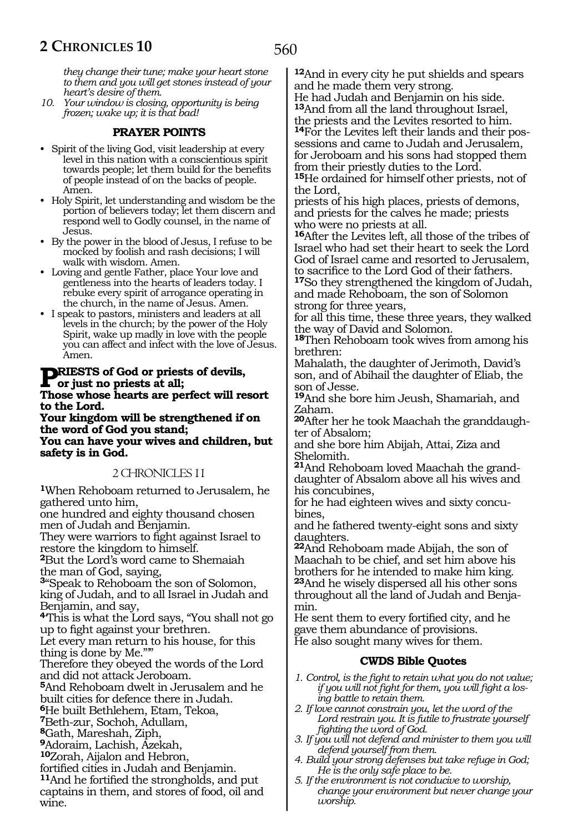*they change their tune; make your heart stone to them and you will get stones instead of your heart's desire of them.* 

*10. Your window is closing, opportunity is being frozen; wake up; it is that bad!*

## **PRAYER POINTS**

- Spirit of the living God, visit leadership at every level in this nation with a conscientious spirit towards people; let them build for the benefits of people instead of on the backs of people. Amen.
- Holy Spirit, let understanding and wisdom be the portion of believers today; let them discern and respond well to Godly counsel, in the name of Jesus.
- By the power in the blood of Jesus, I refuse to be mocked by foolish and rash decisions; I will walk with wisdom. Amen.
- Loving and gentle Father, place Your love and gentleness into the hearts of leaders today. I rebuke every spirit of arrogance operating in the church, in the name of Jesus. Amen.
- I speak to pastors, ministers and leaders at all levels in the church; by the power of the Holy Spirit, wake up madly in love with the people you can affect and infect with the love of Jesus. Amen.

#### **Priests of God or priests of devils, or just no priests at all; Those whose hearts are perfect will resort**

**to the Lord.**

**Your kingdom will be strengthened if on the word of God you stand; You can have your wives and children, but safety is in God.**

#### 2 CHRONICLES 11

**<sup>1</sup>**When Rehoboam returned to Jerusalem, he gathered unto him,

one hundred and eighty thousand chosen men of Judah and Benjamin.

They were warriors to fight against Israel to restore the kingdom to himself.

**<sup>2</sup>**But the Lord's word came to Shemaiah the man of God, saying,

**<sup>3</sup>**"Speak to Rehoboam the son of Solomon, king of Judah, and to all Israel in Judah and Benjamin, and say,

**<sup>4</sup>**'This is what the Lord says, "You shall not go up to fight against your brethren.

Let every man return to his house, for this thing is done by Me."'"

Therefore they obeyed the words of the Lord and did not attack Jeroboam.

**<sup>5</sup>**And Rehoboam dwelt in Jerusalem and he built cities for defence there in Judah.

**<sup>6</sup>**He built Bethlehem, Etam, Tekoa,

**<sup>7</sup>**Beth-zur, Sochoh, Adullam,

**<sup>8</sup>**Gath, Mareshah, Ziph,

**<sup>9</sup>**Adoraim, Lachish, Azekah,

**<sup>10</sup>**Zorah, Aijalon and Hebron,

fortified cities in Judah and Benjamin.

**<sup>11</sup>**And he fortified the strongholds, and put captains in them, and stores of food, oil and wine.

**<sup>12</sup>**And in every city he put shields and spears and he made them very strong. He had Judah and Benjamin on his side.

**<sup>13</sup>**And from all the land throughout Israel, the priests and the Levites resorted to him. **14**For the Levites left their lands and their possessions and came to Judah and Jerusalem, for Jeroboam and his sons had stopped them from their priestly duties to the Lord. **<sup>15</sup>**He ordained for himself other priests, not of

the Lord,

priests of his high places, priests of demons, and priests for the calves he made; priests who were no priests at all.

**<sup>16</sup>**After the Levites left, all those of the tribes of Israel who had set their heart to seek the Lord God of Israel came and resorted to Jerusalem, to sacrifice to the Lord God of their fathers.

**<sup>17</sup>**So they strengthened the kingdom of Judah, and made Rehoboam, the son of Solomon strong for three years,

for all this time, these three years, they walked the way of David and Solomon.

**<sup>18</sup>**Then Rehoboam took wives from among his brethren:

Mahalath, the daughter of Jerimoth, David's son, and of Abihail the daughter of Eliab, the son of Jesse.

**<sup>19</sup>**And she bore him Jeush, Shamariah, and Zaham.

**20**After her he took Maachah the granddaughter of Absalom;

and she bore him Abijah, Attai, Ziza and Shelomith.

**21**And Rehoboam loved Maachah the granddaughter of Absalom above all his wives and his concubines,

for he had eighteen wives and sixty concubines,

and he fathered twenty-eight sons and sixty daughters.

**<sup>22</sup>**And Rehoboam made Abijah, the son of Maachah to be chief, and set him above his brothers for he intended to make him king. **<sup>23</sup>**And he wisely dispersed all his other sons throughout all the land of Judah and Benjamin.

He sent them to every fortified city, and he gave them abundance of provisions. He also sought many wives for them.

#### **CWDS Bible Quotes**

- *1. Control, is the fight to retain what you do not value; if you will not fight for them, you will fight a losing battle to retain them.*
- *2. If love cannot constrain you, let the word of the Lord restrain you. It is futile to frustrate yourself fighting the word of God.*
- *3. If you will not defend and minister to them you will defend yourself from them.*
- *4. Build your strong defenses but take refuge in God; He is the only safe place to be.*
- *5. If the environment is not conducive to worship, change your environment but never change your worship.*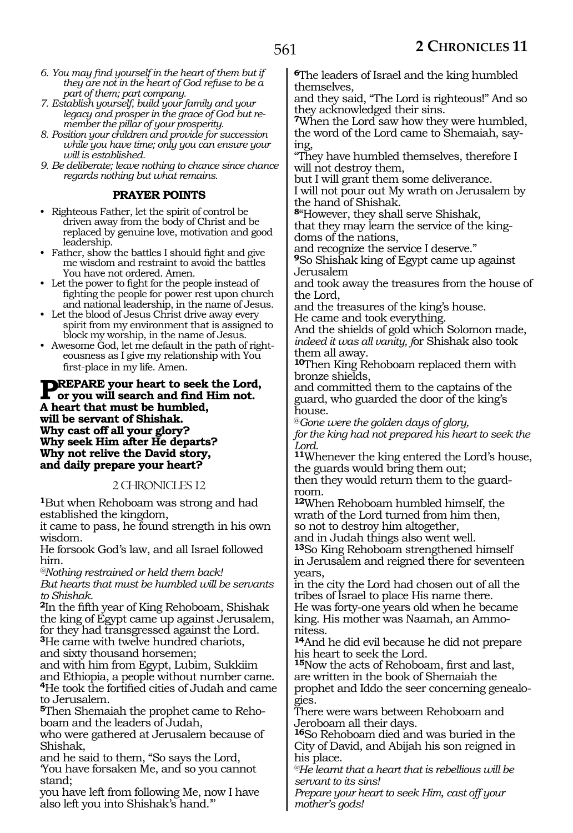- *6. You may find yourself in the heart of them but if they are not in the heart of God refuse to be a part of them; part company.*
- *7. Establish yourself, build your family and your legacy and prosper in the grace of God but remember the pillar of your prosperity.*
- *8. Position your children and provide for succession while you have time; only you can ensure your will is established.*
- *9. Be deliberate; leave nothing to chance since chance regards nothing but what remains.*

## **PRAYER POINTS**

- Righteous Father, let the spirit of control be driven away from the body of Christ and be replaced by genuine love, motivation and good leadership.
- Father, show the battles I should fight and give me wisdom and restraint to avoid the battles You have not ordered. Amen.
- Let the power to fight for the people instead of fighting the people for power rest upon church and national leadership, in the name of Jesus.
- Let the blood of Jesus Christ drive away every spirit from my environment that is assigned to block my worship, in the name of Jesus.
- Awesome God, let me default in the path of righteousness as I give my relationship with You first-place in my life. Amen.

#### **PREPARE your heart to seek the Lord, or you will search and find Him not. A heart that must be humbled, will be servant of Shishak. Why cast off all your glory? Why seek Him after He departs? Why not relive the David story, and daily prepare your heart?**

# 2 CHRONICLES 12

**<sup>1</sup>**But when Rehoboam was strong and had established the kingdom,

it came to pass, he found strength in his own wisdom.

He forsook God's law, and all Israel followed him.

*@Nothing restrained or held them back! But hearts that must be humbled will be servants to Shishak.*

**<sup>2</sup>**In the fifth year of King Rehoboam, Shishak the king of Egypt came up against Jerusalem, for they had transgressed against the Lord.

**<sup>3</sup>**He came with twelve hundred chariots, and sixty thousand horsemen;

and with him from Egypt, Lubim, Sukkiim and Ethiopia, a people without number came. **<sup>4</sup>**He took the fortified cities of Judah and came to Jerusalem.

**5**Then Shemaiah the prophet came to Rehoboam and the leaders of Judah,

who were gathered at Jerusalem because of Shishak,

and he said to them, "So says the Lord, 'You have forsaken Me, and so you cannot stand;

you have left from following Me, now I have also left you into Shishak's hand.'"

**<sup>6</sup>**The leaders of Israel and the king humbled themselves,

and they said, "The Lord is righteous!" And so they acknowledged their sins.

**<sup>7</sup>**When the Lord saw how they were humbled, the word of the Lord came to Shemaiah, saying,

"They have humbled themselves, therefore I will not destroy them,

but I will grant them some deliverance.

I will not pour out My wrath on Jerusalem by the hand of Shishak.

**<sup>8</sup>**"However, they shall serve Shishak,

that they may learn the service of the kingdoms of the nations,

and recognize the service I deserve."

**<sup>9</sup>**So Shishak king of Egypt came up against Jerusalem

and took away the treasures from the house of the Lord,

and the treasures of the king's house. He came and took everything.

And the shields of gold which Solomon made, *indeed it was all vanity, f*or Shishak also took them all away.

**<sup>10</sup>**Then King Rehoboam replaced them with bronze shields,

and committed them to the captains of the guard, who guarded the door of the king's house.

@*Gone were the golden days of glory, for the king had not prepared his heart to seek the Lord.*

**<sup>11</sup>**Whenever the king entered the Lord's house, the guards would bring them out;

then they would return them to the guardroom.

**<sup>12</sup>**When Rehoboam humbled himself, the wrath of the Lord turned from him then, so not to destroy him altogether,

and in Judah things also went well. **<sup>13</sup>**So King Rehoboam strengthened himself in Jerusalem and reigned there for seventeen years,

in the city the Lord had chosen out of all the tribes of Israel to place His name there. He was forty-one years old when he became king. His mother was Naamah, an Ammonitess.

**<sup>14</sup>**And he did evil because he did not prepare his heart to seek the Lord.

**<sup>15</sup>**Now the acts of Rehoboam, first and last, are written in the book of Shemaiah the prophet and Iddo the seer concerning genealogies.

There were wars between Rehoboam and Jeroboam all their days.

**<sup>16</sup>**So Rehoboam died and was buried in the City of David, and Abijah his son reigned in his place.

*@He learnt that a heart that is rebellious will be servant to its sins!*

*Prepare your heart to seek Him, cast off your mother's gods!*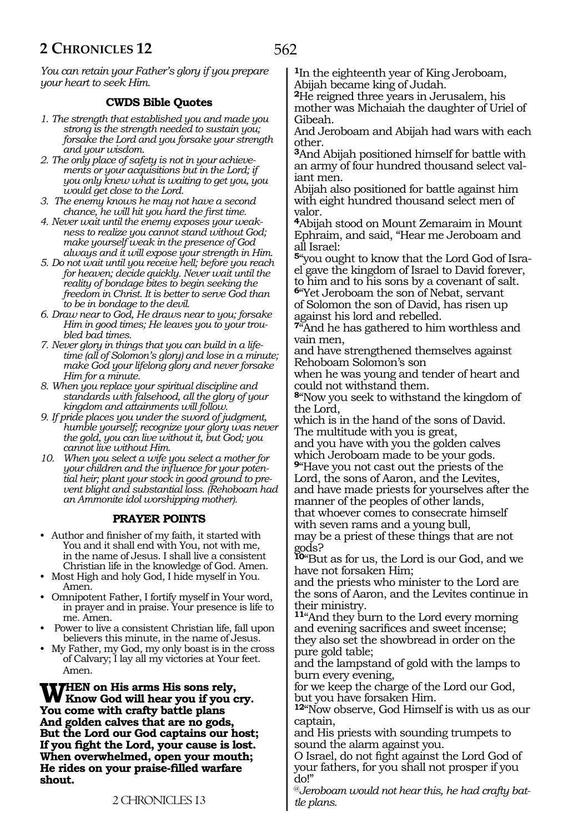*You can retain your Father's glory if you prepare your heart to seek Him.*

# **CWDS Bible Quotes**

- *1. The strength that established you and made you strong is the strength needed to sustain you; forsake the Lord and you forsake your strength and your wisdom.*
- *2. The only place of safety is not in your achievements or your acquisitions but in the Lord; if you only knew what is waiting to get you, you would get close to the Lord.*
- *3. The enemy knows he may not have a second chance, he will hit you hard the first time.*
- *4. Never wait until the enemy exposes your weakness to realize you cannot stand without God; make yourself weak in the presence of God always and it will expose your strength in Him.*
- *5. Do not wait until you receive hell; before you reach for heaven; decide quickly. Never wait until the reality of bondage bites to begin seeking the freedom in Christ. It is better to serve God than to be in bondage to the devil.*
- *6. Draw near to God, He draws near to you; forsake Him in good times; He leaves you to your troubled bad times.*
- *7. Never glory in things that you can build in a lifetime (all of Solomon's glory) and lose in a minute; make God your lifelong glory and never forsake Him for a minute.*
- *8. When you replace your spiritual discipline and standards with falsehood, all the glory of your kingdom and attainments will follow.*
- *9. If pride places you under the sword of judgment, humble yourself; recognize your glory was never the gold, you can live without it, but God; you cannot live without Him.*
- *10. When you select a wife you select a mother for your children and the influence for your potential heir; plant your stock in good ground to prevent blight and substantial loss. (Rehoboam had an Ammonite idol worshipping mother).*

#### **PRAYER POINTS**

- Author and finisher of my faith, it started with You and it shall end with You, not with me, in the name of Jesus. I shall live a consistent Christian life in the knowledge of God. Amen.
- Most High and holy God, I hide myself in You. Amen.
- Omnipotent Father, I fortify myself in Your word, in prayer and in praise. Your presence is life to me. Amen.
- Power to live a consistent Christian life, fall upon believers this minute, in the name of Jesus.
- My Father, my God, my only boast is in the cross of Calvary; I lay all my victories at Your feet. Amen.

WHEN on His arms His sons rely,<br>
W Know God will hear you if you cry. **You come with crafty battle plans And golden calves that are no gods, But the Lord our God captains our host; If you fight the Lord, your cause is lost. When overwhelmed, open your mouth; He rides on your praise-filled warfare shout.**

**<sup>1</sup>**In the eighteenth year of King Jeroboam, Abijah became king of Judah.

**<sup>2</sup>**He reigned three years in Jerusalem, his mother was Michaiah the daughter of Uriel of Gibeah.

And Jeroboam and Abijah had wars with each other.

**<sup>3</sup>**And Abijah positioned himself for battle with an army of four hundred thousand select val- iant men.

Abijah also positioned for battle against him with eight hundred thousand select men of valor.

**<sup>4</sup>**Abijah stood on Mount Zemaraim in Mount Ephraim, and said, "Hear me Jeroboam and all Israel:

**5**"you ought to know that the Lord God of Israel gave the kingdom of Israel to David forever, to him and to his sons by a covenant of salt.

**<sup>6</sup>**"Yet Jeroboam the son of Nebat, servant of Solomon the son of David, has risen up against his lord and rebelled.

**<sup>7</sup>**"And he has gathered to him worthless and vain men,

and have strengthened themselves against Rehoboam Solomon's son

when he was young and tender of heart and could not withstand them.

**<sup>8</sup>**"Now you seek to withstand the kingdom of the Lord,

which is in the hand of the sons of David. The multitude with you is great,

and you have with you the golden calves which Jeroboam made to be your gods. **<sup>9</sup>**"Have you not cast out the priests of the Lord, the sons of Aaron, and the Levites, and have made priests for yourselves after the manner of the peoples of other lands, that whoever comes to consecrate himself

with seven rams and a young bull, may be a priest of these things that are not

gods? **<sup>10</sup>**"But as for us, the Lord is our God, and we have not forsaken Him;

and the priests who minister to the Lord are the sons of Aaron, and the Levites continue in their ministry.

**<sup>11</sup>**"And they burn to the Lord every morning and evening sacrifices and sweet incense; they also set the showbread in order on the pure gold table;

and the lampstand of gold with the lamps to burn every evening,

for we keep the charge of the Lord our God, but you have forsaken Him.

**<sup>12</sup>**"Now observe, God Himself is with us as our captain,

and His priests with sounding trumpets to sound the alarm against you.

O Israel, do not fight against the Lord God of your fathers, for you shall not prosper if you do!"

@*Jeroboam would not hear this, he had crafty battle plans.*

#### 2 CHRONICLES 13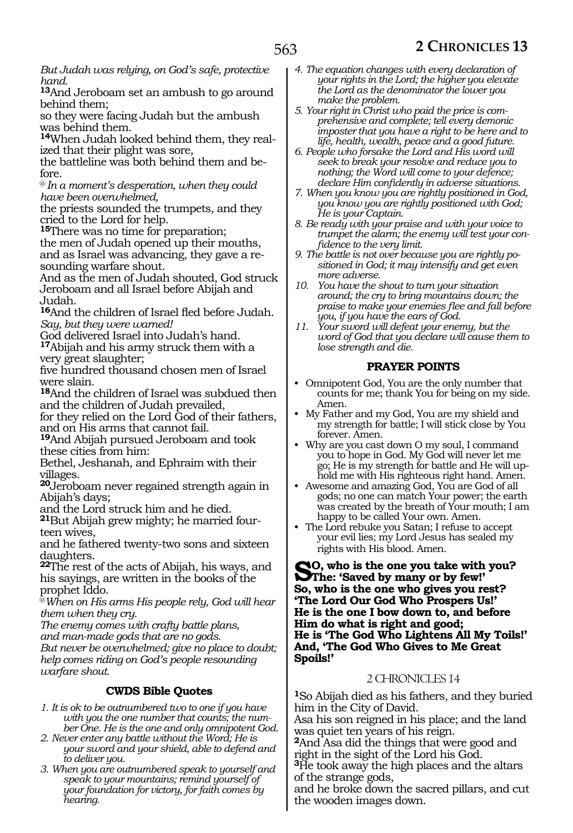*But Judah was relying, on God's safe, protective hand.*

**<sup>13</sup>**And Jeroboam set an ambush to go around behind them;

so they were facing Judah but the ambush was behind them.

**14**When Judah looked behind them, they realized that their plight was sore,

the battleline was both behind them and before.

@ *In a moment's desperation, when they could have been overwhelmed,*

the priests sounded the trumpets, and they cried to the Lord for help.

**<sup>15</sup>**There was no time for preparation; the men of Judah opened up their mouths, and as Israel was advancing, they gave a resounding warfare shout.

And as the men of Judah shouted, God struck Jeroboam and all Israel before Abijah and Judah.

**<sup>16</sup>**And the children of Israel fled before Judah. *Say, but they were warned!*

God delivered Israel into Judah's hand. **<sup>17</sup>**Abijah and his army struck them with a very great slaughter;

five hundred thousand chosen men of Israel were slain.

**<sup>18</sup>**And the children of Israel was subdued then and the children of Judah prevailed,

for they relied on the Lord God of their fathers, and on His arms that cannot fail.

**<sup>19</sup>**And Abijah pursued Jeroboam and took these cities from him:

Bethel, Jeshanah, and Ephraim with their villages.

**<sup>20</sup>**Jeroboam never regained strength again in Abijah's days;

and the Lord struck him and he died.

**21**But Abijah grew mighty; he married fourteen wives,

and he fathered twenty-two sons and sixteen daughters.

**<sup>22</sup>**The rest of the acts of Abijah, his ways, and his sayings, are written in the books of the prophet Iddo.

@*When on His arms His people rely, God will hear them when they cry.*

*The enemy comes with crafty battle plans,*

*and man-made gods that are no gods. But never be overwhelmed; give no place to doubt; help comes riding on God's people resounding warfare shout.*

# **CWDS Bible Quotes**

*1. It is ok to be outnumbered two to one if you have with you the one number that counts; the number One. He is the one and only omnipotent God.*

- *2. Never enter any battle without the Word; He is your sword and your shield, able to defend and to deliver you.*
- *3. When you are outnumbered speak to yourself and speak to your mountains; remind yourself of your foundation for victory, for faith comes by hearing.*
- *4. The equation changes with every declaration of your rights in the Lord; the higher you elevate the Lord as the denominator the lower you make the problem.*
- *5. Your right in Christ who paid the price is comprehensive and complete; tell every demonic imposter that you have a right to be here and to life, health, wealth, peace and a good future.*
- *6. People who forsake the Lord and His word will seek to break your resolve and reduce you to nothing; the Word will come to your defence; declare Him confidently in adverse situations.*
- *7. When you know you are rightly positioned in God, you know you are rightly positioned with God; He is your Captain.*

*8. Be ready with your praise and with your voice to trumpet the alarm; the enemy will test your confidence to the very limit.*

*9. The battle is not over because you are rightly positioned in God; it may intensify and get even more adverse.*

- *10. You have the shout to turn your situation around; the cry to bring mountains down; the praise to make your enemies flee and fall before you, if you have the ears of God.*
- *11. Your sword will defeat your enemy, but the word of God that you declare will cause them to lose strength and die.*

# **PRAYER POINTS**

- Omnipotent God, You are the only number that counts for me; thank You for being on my side. Amen.
- My Father and my God, You are my shield and my strength for battle; I will stick close by You forever. Amen.
- Why are you cast down O my soul, I command you to hope in God. My God will never let me go; He is my strength for battle and He will uphold me with His righteous right hand. Amen.
- Awesome and amazing God, You are God of all gods; no one can match Your power; the earth was created by the breath of Your mouth; I am happy to be called Your own. Amen.
- The Lord rebuke you Satan; I refuse to accept your evil lies; my Lord Jesus has sealed my rights with His blood. Amen.

**So, who is the one you take with you? The: 'Saved by many or by few!' So, who is the one who gives you rest? 'The Lord Our God Who Prospers Us!' He is the one I bow down to, and before Him do what is right and good; He is 'The God Who Lightens All My Toils!' And, 'The God Who Gives to Me Great Spoils!'**

# 2 CHRONICLES 14

**<sup>1</sup>**So Abijah died as his fathers, and they buried him in the City of David.

Asa his son reigned in his place; and the land was quiet ten years of his reign.

**<sup>2</sup>**And Asa did the things that were good and right in the sight of the Lord his God. **<sup>3</sup>**He took away the high places and the altars of the strange gods,

and he broke down the sacred pillars, and cut the wooden images down.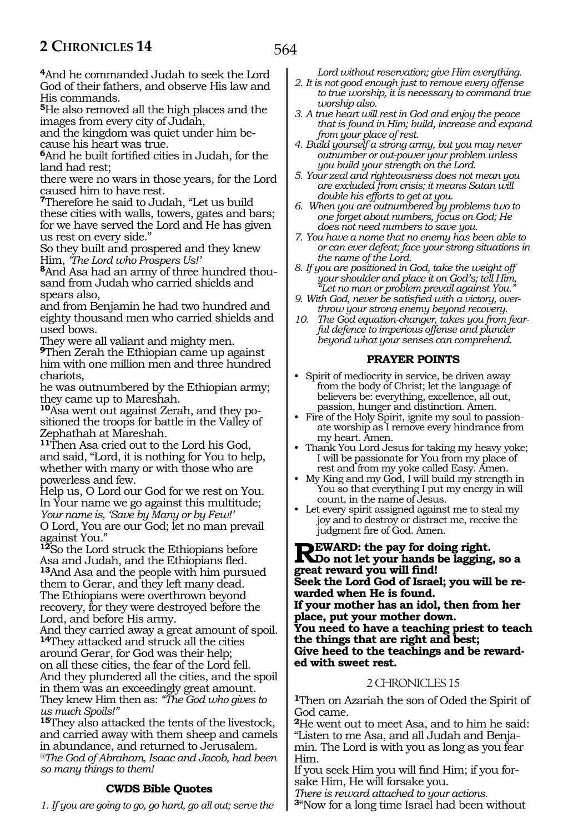564

**<sup>4</sup>**And he commanded Judah to seek the Lord God of their fathers, and observe His law and His commands.

**<sup>5</sup>**He also removed all the high places and the images from every city of Judah,

and the kingdom was quiet under him because his heart was true.

**<sup>6</sup>**And he built fortified cities in Judah, for the land had rest;

there were no wars in those years, for the Lord caused him to have rest.

**<sup>7</sup>**Therefore he said to Judah, "Let us build these cities with walls, towers, gates and bars; for we have served the Lord and He has given us rest on every side."

So they built and prospered and they knew Him, *'The Lord who Prospers Us!'*

**8**And Asa had an army of three hundred thousand from Judah who carried shields and spears also,

and from Benjamin he had two hundred and eighty thousand men who carried shields and used bows.

They were all valiant and mighty men. **<sup>9</sup>**Then Zerah the Ethiopian came up against him with one million men and three hundred chariots,

he was outnumbered by the Ethiopian army; they came up to Mareshah.

**10**Asa went out against Zerah, and they positioned the troops for battle in the Valley of Zephathah at Mareshah.

**<sup>11</sup>**Then Asa cried out to the Lord his God, and said, "Lord, it is nothing for You to help, whether with many or with those who are powerless and few.

Help us, O Lord our God for we rest on You. In Your name we go against this multitude; *Your name is, 'Save by Many or by Few!'* O Lord, You are our God; let no man prevail against You."

**<sup>12</sup>**So the Lord struck the Ethiopians before Asa and Judah, and the Ethiopians fled.

**<sup>13</sup>**And Asa and the people with him pursued them to Gerar, and they left many dead. The Ethiopians were overthrown beyond recovery, for they were destroyed before the Lord, and before His army.

And they carried away a great amount of spoil. **<sup>14</sup>**They attacked and struck all the cities

around Gerar, for God was their help; on all these cities, the fear of the Lord fell. And they plundered all the cities, and the spoil in them was an exceedingly great amount. They knew Him then as: *"The God who gives to us much Spoils!"* 

**<sup>15</sup>**They also attacked the tents of the livestock, and carried away with them sheep and camels in abundance, and returned to Jerusalem. *@The God of Abraham, Isaac and Jacob, had been so many things to them!*

# **CWDS Bible Quotes**

*1. If you are going to go, go hard, go all out; serve the* 

*Lord without reservation; give Him everything.*

- *2. It is not good enough just to remove every offense to true worship, it is necessary to command true worship also.*
- *3. A true heart will rest in God and enjoy the peace that is found in Him; build, increase and expand from your place of rest.*
- *4. Build yourself a strong army, but you may never outnumber or out-power your problem unless you build your strength on the Lord.*
- *5. Your zeal and righteousness does not mean you are excluded from crisis; it means Satan will double his efforts to get at you.*
- *6. When you are outnumbered by problems two to one forget about numbers, focus on God; He does not need numbers to save you.*
- *7. You have a name that no enemy has been able to or can ever defeat; face your strong situations in the name of the Lord.*
- *8. If you are positioned in God, take the weight off your shoulder and place it on God's; tell Him, "Let no man or problem prevail against You."*
- *9. With God, never be satisfied with a victory, overthrow your strong enemy beyond recovery.*
- *10. The God equation-changer, takes you from fearful defence to imperious offense and plunder beyond what your senses can comprehend.*

#### **PRAYER POINTS**

- Spirit of mediocrity in service, be driven away from the body of Christ; let the language of believers be: everything, excellence, all out, passion, hunger and distinction. Amen.
- Fire of the Holy Spirit, ignite my soul to passionate worship as I remove every hindrance from my heart. Amen.
- Thank You Lord Jesus for taking my heavy yoke; I will be passionate for You from my place of rest and from my yoke called Easy. Amen.
- My King and my God, I will build my strength in You so that everything I put my energy in will count, in the name of Jesus.
- Let every spirit assigned against me to steal my joy and to destroy or distract me, receive the judgment fire of God. Amen.

**REWARD:** the pay for doing right.<br> **RDo** not let your hands be lagging, so a **great reward you will find! Seek the Lord God of Israel; you will be rewarded when He is found. If your mother has an idol, then from her place, put your mother down. You need to have a teaching priest to teach the things that are right and best; Give heed to the teachings and be reward- ed with sweet rest.**

#### 2 CHRONICLES 15

**<sup>1</sup>**Then on Azariah the son of Oded the Spirit of God came.

**<sup>2</sup>**He went out to meet Asa, and to him he said: min. The Lord is with you as long as you fear Him.

If you seek Him you will find Him; if you forsake Him, He will forsake you.

*There is reward attached to your actions.*

**<sup>3</sup>**"Now for a long time Israel had been without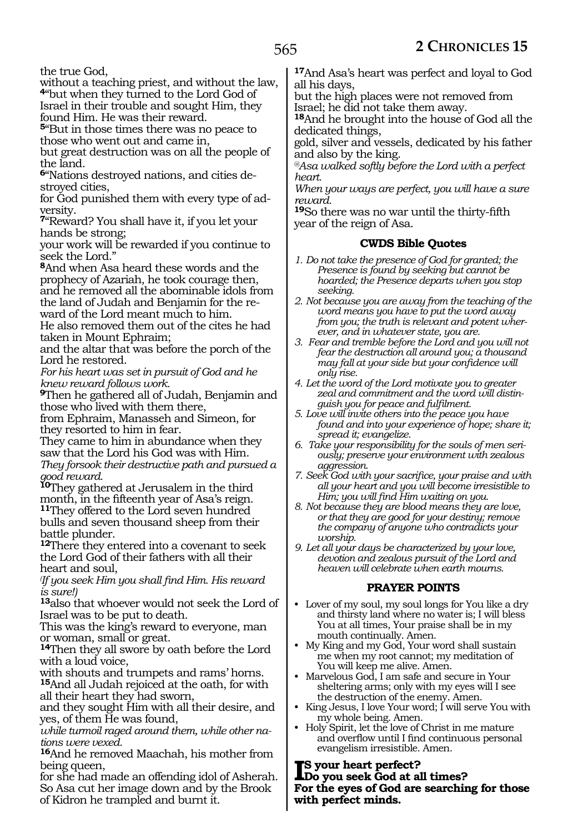the true God,

without a teaching priest, and without the law, **<sup>4</sup>**"but when they turned to the Lord God of Israel in their trouble and sought Him, they

found Him. He was their reward.

**<sup>5</sup>**"But in those times there was no peace to those who went out and came in,

but great destruction was on all the people of the land.

**<sup>6</sup>**"Nations destroyed nations, and cities de- stroyed cities,

for God punished them with every type of ad- versity.

**<sup>7</sup>**"Reward? You shall have it, if you let your hands be strong;

your work will be rewarded if you continue to seek the Lord."

**<sup>8</sup>**And when Asa heard these words and the prophecy of Azariah, he took courage then, and he removed all the abominable idols from the land of Judah and Benjamin for the re- ward of the Lord meant much to him.

He also removed them out of the cites he had taken in Mount Ephraim;

and the altar that was before the porch of the Lord he restored.

*For his heart was set in pursuit of God and he knew reward follows work.*

**<sup>9</sup>**Then he gathered all of Judah, Benjamin and those who lived with them there,

from Ephraim, Manasseh and Simeon, for they resorted to him in fear.

They came to him in abundance when they saw that the Lord his God was with Him.

*They forsook their destructive path and pursued a good reward.*

**<sup>10</sup>**They gathered at Jerusalem in the third month, in the fifteenth year of Asa's reign. **<sup>11</sup>**They offered to the Lord seven hundred

bulls and seven thousand sheep from their battle plunder.

**<sup>12</sup>**There they entered into a covenant to seek the Lord God of their fathers with all their heart and soul,

*( If you seek Him you shall find Him. His reward is sure!)*

**<sup>13</sup>**also that whoever would not seek the Lord of Israel was to be put to death.

This was the king's reward to everyone, man or woman, small or great.

**<sup>14</sup>**Then they all swore by oath before the Lord with a loud voice,

with shouts and trumpets and rams' horns. **<sup>15</sup>**And all Judah rejoiced at the oath, for with

all their heart they had sworn,

and they sought Him with all their desire, and yes, of them He was found,

*while turmoil raged around them, while other nations were vexed.*

**<sup>16</sup>**And he removed Maachah, his mother from being queen,

for she had made an offending idol of Asherah. So Asa cut her image down and by the Brook of Kidron he trampled and burnt it.

**<sup>17</sup>**And Asa's heart was perfect and loyal to God all his days,

but the high places were not removed from Israel; he did not take them away.

**<sup>18</sup>**And he brought into the house of God all the dedicated things,

gold, silver and vessels, dedicated by his father and also by the king.

*@Asa walked softly before the Lord with a perfect heart.*

*When your ways are perfect, you will have a sure reward.*

**<sup>19</sup>**So there was no war until the thirty-fifth year of the reign of Asa.

# **CWDS Bible Quotes**

*1. Do not take the presence of God for granted; the Presence is found by seeking but cannot be hoarded; the Presence departs when you stop seeking.*

*2. Not because you are away from the teaching of the word means you have to put the word away from you; the truth is relevant and potent wherever, and in whatever state, you are.*

*3. Fear and tremble before the Lord and you will not fear the destruction all around you; a thousand may fall at your side but your confidence will only rise.*

*4. Let the word of the Lord motivate you to greater zeal and commitment and the word will distinguish you for peace and fulfilment.*

*5. Love will invite others into the peace you have found and into your experience of hope; share it; spread it; evangelize.*

*6. Take your responsibility for the souls of men seriously; preserve your environment with zealous aggression.*

*7. Seek God with your sacrifice, your praise and with all your heart and you will become irresistible to Him; you will find Him waiting on you.*

*8. Not because they are blood means they are love, or that they are good for your destiny; remove the company of anyone who contradicts your worship.*

*9. Let all your days be characterized by your love, devotion and zealous pursuit of the Lord and heaven will celebrate when earth mourns.*

# **PRAYER POINTS**

• Lover of my soul, my soul longs for You like a dry and thirsty land where no water is; I will bless You at all times, Your praise shall be in my mouth continually. Amen.

• My King and my God, Your word shall sustain me when my root cannot; my meditation of You will keep me alive. Amen.

• Marvelous God, I am safe and secure in Your sheltering arms; only with my eyes will I see the destruction of the enemy. Amen.

• King Jesus, I love Your word; I will serve You with my whole being. Amen.

• Holy Spirit, let the love of Christ in me mature and overflow until I find continuous personal evangelism irresistible. Amen.

**I Do you seek God at all times? s your heart perfect? For the eyes of God are searching for those with perfect minds.**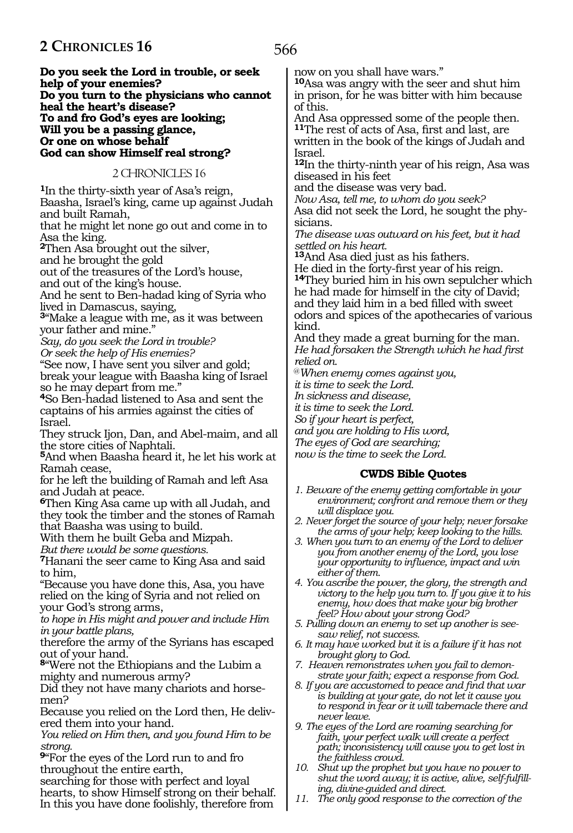566

**Do you seek the Lord in trouble, or seek help of your enemies? Do you turn to the physicians who cannot heal the heart's disease? To and fro God's eyes are looking; Will you be a passing glance, Or one on whose behalf God can show Himself real strong?**

2 CHRONICLES 16

**<sup>1</sup>**In the thirty-sixth year of Asa's reign, Baasha, Israel's king, came up against Judah and built Ramah,

that he might let none go out and come in to Asa the king.

**<sup>2</sup>**Then Asa brought out the silver,

and he brought the gold

out of the treasures of the Lord's house,

and out of the king's house.

And he sent to Ben-hadad king of Syria who lived in Damascus, saying,

**<sup>3</sup>**"Make a league with me, as it was between your father and mine."

*Say, do you seek the Lord in trouble? Or seek the help of His enemies?*

"See now, I have sent you silver and gold; break your league with Baasha king of Israel so he may depart from me."

**<sup>4</sup>**So Ben-hadad listened to Asa and sent the captains of his armies against the cities of Israel.

They struck Ijon, Dan, and Abel-maim, and all the store cities of Naphtali.

**<sup>5</sup>**And when Baasha heard it, he let his work at Ramah cease,

for he left the building of Ramah and left Asa and Judah at peace.

**<sup>6</sup>**Then King Asa came up with all Judah, and they took the timber and the stones of Ramah that Baasha was using to build.

With them he built Geba and Mizpah.

*But there would be some questions.*

**<sup>7</sup>**Hanani the seer came to King Asa and said to him,

"Because you have done this, Asa, you have relied on the king of Syria and not relied on your God's strong arms,

*to hope in His might and power and include Him in your battle plans,*

therefore the army of the Syrians has escaped out of your hand.

**<sup>8</sup>**"Were not the Ethiopians and the Lubim a mighty and numerous army?

Did they not have many chariots and horsemen?

Because you relied on the Lord then, He delivered them into your hand.

*You relied on Him then, and you found Him to be strong.*

**<sup>9</sup>**"For the eyes of the Lord run to and fro throughout the entire earth,

searching for those with perfect and loyal hearts, to show Himself strong on their behalf. In this you have done foolishly, therefore from

now on you shall have wars."

**<sup>10</sup>**Asa was angry with the seer and shut him in prison, for he was bitter with him because of this.

And Asa oppressed some of the people then. **<sup>11</sup>**The rest of acts of Asa, first and last, are

written in the book of the kings of Judah and Israel.

**<sup>12</sup>**In the thirty-ninth year of his reign, Asa was diseased in his feet

and the disease was very bad.

*Now Asa, tell me, to whom do you seek?*

Asa did not seek the Lord, he sought the phy- sicians.

*The disease was outward on his feet, but it had settled on his heart.*

**<sup>13</sup>**And Asa died just as his fathers.

He died in the forty-first year of his reign. **<sup>14</sup>**They buried him in his own sepulcher which he had made for himself in the city of David; and they laid him in a bed filled with sweet odors and spices of the apothecaries of various kind.

And they made a great burning for the man. *He had forsaken the Strength which he had first relied on.*

@*When enemy comes against you,*

*it is time to seek the Lord.*

*In sickness and disease,*

*it is time to seek the Lord.*

*So if your heart is perfect,*

*and you are holding to His word,*

*The eyes of God are searching;*

*now is the time to seek the Lord.*

#### **CWDS Bible Quotes**

- *1. Beware of the enemy getting comfortable in your environment; confront and remove them or they will displace you.*
- *2. Never forget the source of your help; never forsake the arms of your help; keep looking to the hills.*
- *3. When you turn to an enemy of the Lord to deliver you from another enemy of the Lord, you lose your opportunity to influence, impact and win either of them.*
- *4. You ascribe the power, the glory, the strength and victory to the help you turn to. If you give it to his enemy, how does that make your big brother feel? How about your strong God?*
- *5. Pulling down an enemy to set up another is seesaw relief, not success.*
- *6. It may have worked but it is a failure if it has not brought glory to God.*
- *7. Heaven remonstrates when you fail to demonstrate your faith; expect a response from God.*
- *8. If you are accustomed to peace and find that war is building at your gate, do not let it cause you to respond in fear or it will tabernacle there and never leave.*
- *9. The eyes of the Lord are roaming searching for faith, your perfect walk will create a perfect path; inconsistency will cause you to get lost in the faithless crowd.*
- *10. Shut up the prophet but you have no power to shut the word away; it is active, alive, self-fulfilling, divine-guided and direct.*
- *11. The only good response to the correction of the*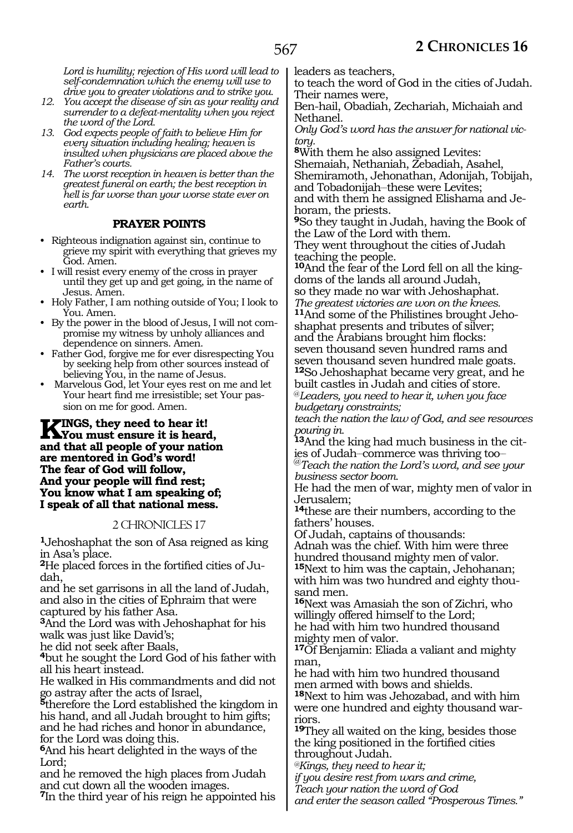*Lord is humility; rejection of His word will lead to self-condemnation which the enemy will use to drive you to greater violations and to strike you.*

- *12. You accept the disease of sin as your reality and surrender to a defeat-mentality when you reject the word of the Lord.*
- *13. God expects people of faith to believe Him for every situation including healing; heaven is insulted when physicians are placed above the Father's courts.*
- *14. The worst reception in heaven is better than the greatest funeral on earth; the best reception in hell is far worse than your worse state ever on earth.*

# **PRAYER POINTS**

- Righteous indignation against sin, continue to grieve my spirit with everything that grieves my God. Amen.
- I will resist every enemy of the cross in prayer until they get up and get going, in the name of Jesus. Amen.
- Holy Father, I am nothing outside of You; I look to You. Amen.
- By the power in the blood of Jesus, I will not compromise my witness by unholy alliances and dependence on sinners. Amen.
- Father God, forgive me for ever disrespecting You by seeking help from other sources instead of believing You, in the name of Jesus.
- Marvelous God, let Your eyes rest on me and let Your heart find me irresistible; set Your passion on me for good. Amen.

## **KINGS, they need to hear it!**<br>Now must ensure it is heard,<br>and that all needs of revy nation **and that all people of your nation are mentored in God's word! The fear of God will follow, And your people will find rest; You know what I am speaking of; I speak of all that national mess.**

# 2 CHRONICLES 17

**<sup>1</sup>**Jehoshaphat the son of Asa reigned as king in Asa's place.

**2**He placed forces in the fortified cities of Judah,

and he set garrisons in all the land of Judah, and also in the cities of Ephraim that were captured by his father Asa.

**<sup>3</sup>**And the Lord was with Jehoshaphat for his walk was just like David's;

he did not seek after Baals,

**<sup>4</sup>**but he sought the Lord God of his father with all his heart instead.

He walked in His commandments and did not go astray after the acts of Israel,

**<sup>5</sup>**therefore the Lord established the kingdom in his hand, and all Judah brought to him gifts; and he had riches and honor in abundance, for the Lord was doing this.

**<sup>6</sup>**And his heart delighted in the ways of the Lord;

and he removed the high places from Judah and cut down all the wooden images.

**<sup>7</sup>**In the third year of his reign he appointed his

leaders as teachers,

to teach the word of God in the cities of Judah. Their names were,

Ben-hail, Obadiah, Zechariah, Michaiah and Nethanel.

*Only God's word has the answer for national victory.*

**<sup>8</sup>**With them he also assigned Levites:

Shemaiah, Nethaniah, Zebadiah, Asahel, Shemiramoth, Jehonathan, Adonijah, Tobijah, and Tobadonijah-these were Levites; and with them he assigned Elishama and Je-

horam, the priests.

**<sup>9</sup>**So they taught in Judah, having the Book of the Law of the Lord with them.

They went throughout the cities of Judah teaching the people.

**10**And the fear of the Lord fell on all the kingdoms of the lands all around Judah, so they made no war with Jehoshaphat. *The greatest victories are won on the knees.* **11**And some of the Philistines brought Jehoshaphat presents and tributes of silver; and the Arabians brought him flocks: seven thousand seven hundred rams and seven thousand seven hundred male goats.

**<sup>12</sup>**So Jehoshaphat became very great, and he built castles in Judah and cities of store. @*Leaders, you need to hear it, when you face* 

*budgetary constraints;*

*teach the nation the law of God, and see resources pouring in.*

**13**And the king had much business in the cities of Judah-commerce was thriving too-@*Teach the nation the Lord's word, and see your business sector boom.*

He had the men of war, mighty men of valor in Jerusalem;

**<sup>14</sup>**these are their numbers, according to the fathers' houses.

Of Judah, captains of thousands:

Adnah was the chief. With him were three hundred thousand mighty men of valor. **<sup>15</sup>**Next to him was the captain, Jehohanan; with him was two hundred and eighty thousand men.

**<sup>16</sup>**Next was Amasiah the son of Zichri, who willingly offered himself to the Lord; he had with him two hundred thousand mighty men of valor.

**<sup>17</sup>**Of Benjamin: Eliada a valiant and mighty man,

he had with him two hundred thousand men armed with bows and shields.

**<sup>18</sup>**Next to him was Jehozabad, and with him were one hundred and eighty thousand warriors.

**<sup>19</sup>**They all waited on the king, besides those the king positioned in the fortified cities throughout Judah.

*@Kings, they need to hear it;*

*if you desire rest from wars and crime,*

*Teach your nation the word of God*

*and enter the season called "Prosperous Times."*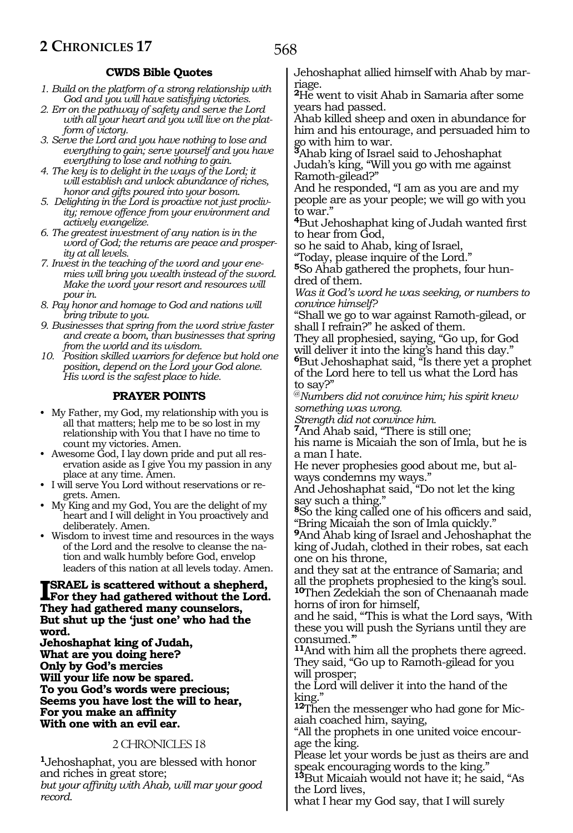# **CWDS Bible Quotes**

- *1. Build on the platform of a strong relationship with God and you will have satisfying victories.*
- *2. Err on the pathway of safety and serve the Lord with all your heart and you will live on the platform of victory.*
- *3. Serve the Lord and you have nothing to lose and everything to gain; serve yourself and you have everything to lose and nothing to gain.*
- *4. The key is to delight in the ways of the Lord; it will establish and unlock abundance of riches, honor and gifts poured into your bosom.*
- *5. Delighting in the Lord is proactive not just proclivity; remove offence from your environment and actively evangelize.*
- *6. The greatest investment of any nation is in the word of God; the returns are peace and prosperity at all levels.*
- *7. Invest in the teaching of the word and your enemies will bring you wealth instead of the sword. Make the word your resort and resources will pour in.*
- *8. Pay honor and homage to God and nations will bring tribute to you.*
- *9. Businesses that spring from the word strive faster and create a boom, than businesses that spring from the world and its wisdom.*
- *10. Position skilled warriors for defence but hold one position, depend on the Lord your God alone. His word is the safest place to hide.*

# **PRAYER POINTS**

- My Father, my God, my relationship with you is all that matters; help me to be so lost in my relationship with You that I have no time to count my victories. Amen.
- Awesome God, I lay down pride and put all reservation aside as I give You my passion in any place at any time. Amen.
- I will serve You Lord without reservations or regrets. Amen.
- My King and my God, You are the delight of my heart and I will delight in You proactively and deliberately. Amen.
- Wisdom to invest time and resources in the ways of the Lord and the resolve to cleanse the nation and walk humbly before God, envelop leaders of this nation at all levels today. Amen.

#### **I**SRAEL is scattered without a shepherd,<br>For they had gathered without the Lord **For they had gathered without the Lord. They had gathered many counselors, But shut up the 'just one' who had the word.**

**Jehoshaphat king of Judah, What are you doing here? Only by God's mercies Will your life now be spared. To you God's words were precious; Seems you have lost the will to hear, For you make an affinity With one with an evil ear.**

# 2 CHRONICLES 18

**<sup>1</sup>**Jehoshaphat, you are blessed with honor and riches in great store; *but your affinity with Ahab, will mar your good record.*

Jehoshaphat allied himself with Ahab by marriage.

**<sup>2</sup>**He went to visit Ahab in Samaria after some years had passed.

Ahab killed sheep and oxen in abundance for him and his entourage, and persuaded him to go with him to war.

**<sup>3</sup>**Ahab king of Israel said to Jehoshaphat Judah's king, "Will you go with me against Ramoth-gilead?"

And he responded, "I am as you are and my people are as your people; we will go with you to war."

**<sup>4</sup>**But Jehoshaphat king of Judah wanted first to hear from God,

so he said to Ahab, king of Israel,

"Today, please inquire of the Lord."

**5**So Ahab gathered the prophets, four hundred of them.

*Was it God's word he was seeking, or numbers to convince himself?*

"Shall we go to war against Ramoth-gilead, or shall I refrain?" he asked of them.

They all prophesied, saying, "Go up, for God will deliver it into the king's hand this day." **<sup>6</sup>**But Jehoshaphat said, "Is there yet a prophet of the Lord here to tell us what the Lord has to say?"

@*Numbers did not convince him; his spirit knew something was wrong.*

*Strength did not convince him.*

**<sup>7</sup>**And Ahab said, "There is still one;

his name is Micaiah the son of Imla, but he is a man I hate.

He never prophesies good about me, but always condemns my ways."

And Jehoshaphat said, "Do not let the king say such a thing.

**<sup>8</sup>**So the king called one of his officers and said, "Bring Micaiah the son of Imla quickly."

**<sup>9</sup>**And Ahab king of Israel and Jehoshaphat the king of Judah, clothed in their robes, sat each one on his throne,

and they sat at the entrance of Samaria; and all the prophets prophesied to the king's soul. **<sup>10</sup>**Then Zedekiah the son of Chenaanah made horns of iron for himself,

and he said, "'This is what the Lord says, 'With these you will push the Syrians until they are consumed.'"

**<sup>11</sup>**And with him all the prophets there agreed. They said, "Go up to Ramoth-gilead for you will prosper;

the Lord will deliver it into the hand of the king."

**12**Then the messenger who had gone for Micaiah coached him, saying,

"All the prophets in one united voice encourage the king.

Please let your words be just as theirs are and speak encouraging words to the king."

**<sup>13</sup>**But Micaiah would not have it; he said, "As the Lord lives,

what I hear my God say, that I will surely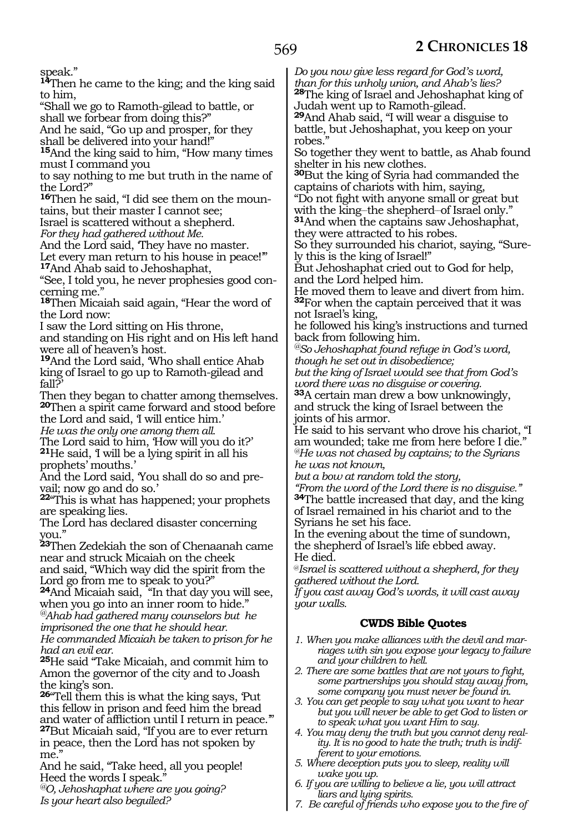speak."

**<sup>14</sup>**Then he came to the king; and the king said to him,

"Shall we go to Ramoth-gilead to battle, or shall we forbear from doing this?"

And he said, "Go up and prosper, for they shall be delivered into your hand!"

**<sup>15</sup>**And the king said to him, "How many times must I command you

to say nothing to me but truth in the name of the Lord?"

**16**Then he said, "I did see them on the mountains, but their master I cannot see;

Israel is scattered without a shepherd.

*For they had gathered without Me.*

And the Lord said, 'They have no master.

Let every man return to his house in peace!'" **<sup>17</sup>**And Ahab said to Jehoshaphat,

"See, I told you, he never prophesies good concerning me."

**<sup>18</sup>**Then Micaiah said again, "Hear the word of the Lord now:

I saw the Lord sitting on His throne,

and standing on His right and on His left hand were all of heaven's host.

**<sup>19</sup>**And the Lord said, 'Who shall entice Ahab king of Israel to go up to Ramoth-gilead and fall?'

Then they began to chatter among themselves. **<sup>20</sup>**Then a spirit came forward and stood before the Lord and said, 'I will entice him.' *He was the only one among them all.*

The Lord said to him, 'How will you do it?' **<sup>21</sup>**He said, 'I will be a lying spirit in all his prophets' mouths.'

And the Lord said, 'You shall do so and pre- vail; now go and do so.'

**<sup>22</sup>**"This is what has happened; your prophets are speaking lies.

The Lord has declared disaster concerning you."

**<sup>23</sup>**Then Zedekiah the son of Chenaanah came near and struck Micaiah on the cheek and said, "Which way did the spirit from the Lord go from me to speak to you?"

**<sup>24</sup>**And Micaiah said, "In that day you will see, when you go into an inner room to hide." *@Ahab had gathered many counselors but he imprisoned the one that he should hear.*

*He commanded Micaiah be taken to prison for he had an evil ear.*

**<sup>25</sup>**He said "Take Micaiah, and commit him to Amon the governor of the city and to Joash the king's son.

**<sup>26</sup>**"Tell them this is what the king says, 'Put this fellow in prison and feed him the bread and water of affliction until I return in peace.'" **<sup>27</sup>**But Micaiah said, "If you are to ever return in peace, then the Lord has not spoken by me."

And he said, "Take heed, all you people! Heed the words I speak."

*@O, Jehoshaphat where are you going? Is your heart also beguiled?*

*Do you now give less regard for God's word, than for this unholy union, and Ahab's lies?* **<sup>28</sup>**The king of Israel and Jehoshaphat king of Judah went up to Ramoth-gilead.

**<sup>29</sup>**And Ahab said, "I will wear a disguise to battle, but Jehoshaphat, you keep on your robes."

So together they went to battle, as Ahab found shelter in his new clothes.

**<sup>30</sup>**But the king of Syria had commanded the captains of chariots with him, saying,

"Do not fight with anyone small or great but with the king–the shepherd–of Israel only."<br><sup>31</sup>And when the captains saw Jehoshaphat, they were attracted to his robes.

So they surrounded his chariot, saying, "Surely this is the king of Israel!"

But Jehoshaphat cried out to God for help, and the Lord helped him.

He moved them to leave and divert from him. **<sup>32</sup>**For when the captain perceived that it was not Israel's king,

he followed his king's instructions and turned back from following him.

*@So Jehoshaphat found refuge in God's word, though he set out in disobedience;*

*but the king of Israel would see that from God's word there was no disguise or covering.*

**<sup>33</sup>**A certain man drew a bow unknowingly, and struck the king of Israel between the joints of his armor.

He said to his servant who drove his chariot, "I am wounded; take me from here before I die." *@He was not chased by captains; to the Syrians he was not known,*

*but a bow at random told the story,*

*"From the word of the Lord there is no disguise."* **<sup>34</sup>**The battle increased that day, and the king of Israel remained in his chariot and to the Syrians he set his face.

In the evening about the time of sundown, the shepherd of Israel's life ebbed away. He died.

@*Israel is scattered without a shepherd, for they gathered without the Lord.*

*If you cast away God's words, it will cast away your walls.*

# **CWDS Bible Quotes**

- *1. When you make alliances with the devil and marriages with sin you expose your legacy to failure and your children to hell.*
- *2. There are some battles that are not yours to fight, some partnerships you should stay away from, some company you must never be found in.*
- *3. You can get people to say what you want to hear but you will never be able to get God to listen or to speak what you want Him to say.*
- *4. You may deny the truth but you cannot deny reality. It is no good to hate the truth; truth is indifferent to your emotions.*
- *5. Where deception puts you to sleep, reality will wake you up.*
- *6. If you are willing to believe a lie, you will attract liars and lying spirits.*
- *7. Be careful of friends who expose you to the fire of*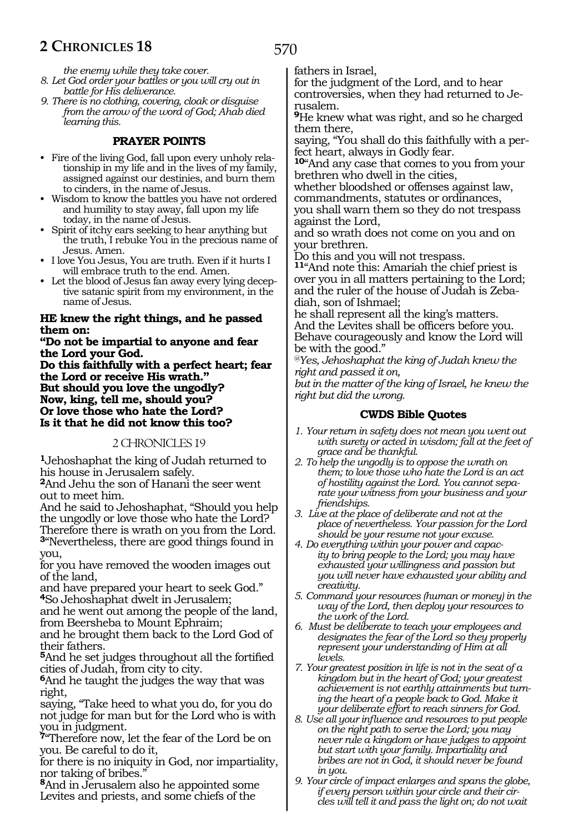570

*the enemy while they take cover.*

- *8. Let God order your battles or you will cry out in battle for His deliverance.*
- *9. There is no clothing, covering, cloak or disguise from the arrow of the word of God; Ahab died learning this.*

## **PRAYER POINTS**

- Fire of the living God, fall upon every unholy relationship in my life and in the lives of my family, assigned against our destinies, and burn them to cinders, in the name of Jesus.
- Wisdom to know the battles you have not ordered and humility to stay away, fall upon my life today, in the name of Jesus.
- Spirit of itchy ears seeking to hear anything but the truth, I rebuke You in the precious name of Jesus. Amen.
- I love You Jesus, You are truth. Even if it hurts I will embrace truth to the end. Amen.
- Let the blood of Jesus fan away every lying deceptive satanic spirit from my environment, in the name of Jesus.

#### **He knew the right things, and he passed them on:**

**"Do not be impartial to anyone and fear the Lord your God.**

**Do this faithfully with a perfect heart; fear the Lord or receive His wrath." But should you love the ungodly? Now, king, tell me, should you? Or love those who hate the Lord? Is it that he did not know this too?**

#### 2 CHRONICLES 19

**<sup>1</sup>**Jehoshaphat the king of Judah returned to his house in Jerusalem safely.

**<sup>2</sup>**And Jehu the son of Hanani the seer went out to meet him.

And he said to Jehoshaphat, "Should you help the ungodly or love those who hate the Lord? Therefore there is wrath on you from the Lord. **<sup>3</sup>**"Nevertheless, there are good things found in

you,

for you have removed the wooden images out of the land,

and have prepared your heart to seek God." **<sup>4</sup>**So Jehoshaphat dwelt in Jerusalem;

and he went out among the people of the land, from Beersheba to Mount Ephraim;

and he brought them back to the Lord God of their fathers.

**<sup>5</sup>**And he set judges throughout all the fortified cities of Judah, from city to city.

**<sup>6</sup>**And he taught the judges the way that was right,

saying, "Take heed to what you do, for you do not judge for man but for the Lord who is with you in judgment.

**<sup>7</sup>**"Therefore now, let the fear of the Lord be on you. Be careful to do it,

for there is no iniquity in God, nor impartiality, nor taking of bribes."

**<sup>8</sup>**And in Jerusalem also he appointed some Levites and priests, and some chiefs of the

fathers in Israel,

for the judgment of the Lord, and to hear controversies, when they had returned to Je-<br>rusalem.

**<sup>9</sup>**He knew what was right, and so he charged them there,

saying, "You shall do this faithfully with a perfect heart, always in Godly fear.

**<sup>10</sup>**"And any case that comes to you from your brethren who dwell in the cities,

whether bloodshed or offenses against law, commandments, statutes or ordinances,

you shall warn them so they do not trespass against the Lord,

and so wrath does not come on you and on your brethren.

Do this and you will not trespass.

**<sup>11</sup>**"And note this: Amariah the chief priest is over you in all matters pertaining to the Lord; and the ruler of the house of Judah is Zebadiah, son of Ishmael;

he shall represent all the king's matters. And the Levites shall be officers before you. Behave courageously and know the Lord will be with the good."

*@Yes, Jehoshaphat the king of Judah knew the right and passed it on,*

*but in the matter of the king of Israel, he knew the right but did the wrong.*

### **CWDS Bible Quotes**

- *1. Your return in safety does not mean you went out with surety or acted in wisdom; fall at the feet of grace and be thankful.*
- *2. To help the ungodly is to oppose the wrath on them; to love those who hate the Lord is an act of hostility against the Lord. You cannot separate your witness from your business and your friendships.*
- *3. Live at the place of deliberate and not at the place of nevertheless. Your passion for the Lord should be your resume not your excuse.*
- *4. Do everything within your power and capacity to bring people to the Lord; you may have exhausted your willingness and passion but you will never have exhausted your ability and creativity.*
- *5. Command your resources (human or money) in the way of the Lord, then deploy your resources to the work of the Lord.*
- *6. Must be deliberate to teach your employees and designates the fear of the Lord so they properly represent your understanding of Him at all levels.*
- *7. Your greatest position in life is not in the seat of a kingdom but in the heart of God; your greatest achievement is not earthly attainments but turning the heart of a people back to God. Make it your deliberate effort to reach sinners for God.*
- *8. Use all your influence and resources to put people on the right path to serve the Lord; you may never rule a kingdom or have judges to appoint but start with your family. Impartiality and bribes are not in God, it should never be found in you.*
- *9. Your circle of impact enlarges and spans the globe, if every person within your circle and their circles will tell it and pass the light on; do not wait*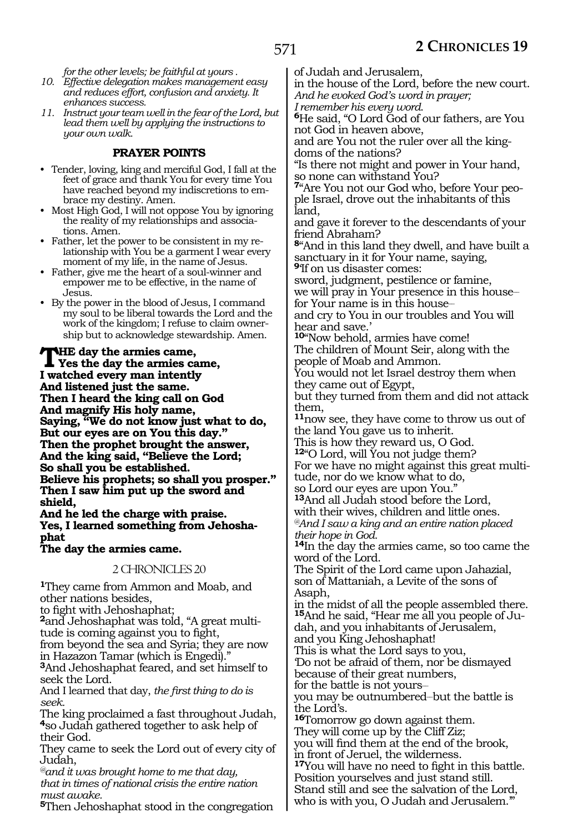*for the other levels; be faithful at yours .*

- *10. Effective delegation makes management easy and reduces effort, confusion and anxiety. It enhances success.*
- *11. Instruct your team well in the fear of the Lord, but lead them well by applying the instructions to your own walk.*

### **PRAYER POINTS**

- Tender, loving, king and merciful God, I fall at the feet of grace and thank You for every time You have reached beyond my indiscretions to embrace my destiny. Amen.
- Most High God, I will not oppose You by ignoring the reality of my relationships and associations. Amen.
- Father, let the power to be consistent in my relationship with You be a garment I wear every moment of my life, in the name of Jesus.
- Father, give me the heart of a soul-winner and empower me to be effective, in the name of Jesus.
- By the power in the blood of Jesus, I command my soul to be liberal towards the Lord and the work of the kingdom; I refuse to claim ownership but to acknowledge stewardship. Amen.

#### **THE day the armies came,<br>
Yes the day the armies came,**<br> **I** worked argument intention **I watched every man intently And listened just the same. Then I heard the king call on God And magnify His holy name, Saying, "We do not know just what to do, But our eyes are on You this day." Then the prophet brought the answer, And the king said, "Believe the Lord; So shall you be established. Believe his prophets; so shall you prosper." Then I saw him put up the sword and shield,**

**And he led the charge with praise. Yes, I learned something from Jehosha- phat**

# **The day the armies came.**

#### 2 CHRONICLES 20

**<sup>1</sup>**They came from Ammon and Moab, and other nations besides,

to fight with Jehoshaphat;

**2**and Jehoshaphat was told, "A great multitude is coming against you to fight, from beyond the sea and Syria; they are now

in Hazazon Tamar (which is Engedi)."

**<sup>3</sup>**And Jehoshaphat feared, and set himself to seek the Lord.

And I learned that day, *the first thing to do is seek.*

The king proclaimed a fast throughout Judah, **<sup>4</sup>**so Judah gathered together to ask help of their God.

They came to seek the Lord out of every city of Judah,

*@and it was brought home to me that day, that in times of national crisis the entire nation must awake.*

**<sup>5</sup>**Then Jehoshaphat stood in the congregation

of Judah and Jerusalem,

in the house of the Lord, before the new court. *And he evoked God's word in prayer;*

*I remember his every word.*

**<sup>6</sup>**He said, "O Lord God of our fathers, are You not God in heaven above,

and are You not the ruler over all the kingdoms of the nations?

"Is there not might and power in Your hand, so none can withstand You?

**7**"Are You not our God who, before Your people Israel, drove out the inhabitants of this land,

and gave it forever to the descendants of your friend Abraham?

**<sup>8</sup>**"And in this land they dwell, and have built a sanctuary in it for Your name, saying, **<sup>9</sup>**'If on us disaster comes:

sword, judgment, pestilence or famine, we will pray in Your presence in this housefor Your name is in this house-

and cry to You in our troubles and You will hear and save.'

**<sup>10</sup>**"Now behold, armies have come! The children of Mount Seir, along with the

people of Moab and Ammon.

You would not let Israel destroy them when they came out of Egypt,

but they turned from them and did not attack them,

**<sup>11</sup>**now see, they have come to throw us out of the land You gave us to inherit.

This is how they reward us, O God.

**<sup>12</sup>**"O Lord, will You not judge them? For we have no might against this great multitude, nor do we know what to do,

so Lord our eyes are upon You."

**<sup>13</sup>**And all Judah stood before the Lord, with their wives, children and little ones. *@And I saw a king and an entire nation placed their hope in God.* 

**<sup>14</sup>**In the day the armies came, so too came the word of the Lord.

The Spirit of the Lord came upon Jahazial, son of Mattaniah, a Levite of the sons of Asaph,

in the midst of all the people assembled there. **15**And he said, "Hear me all you people of Judah, and you inhabitants of Jerusalem, and you King Jehoshaphat!

This is what the Lord says to you,

'Do not be afraid of them, nor be dismayed because of their great numbers,

for the battle is not yours-

you may be outnumbered-but the battle is the Lord's.

**<sup>16</sup>**Tomorrow go down against them. They will come up by the Cliff Ziz; you will find them at the end of the brook, in front of Jeruel, the wilderness. **<sup>17</sup>**You will have no need to fight in this battle. Position yourselves and just stand still. Stand still and see the salvation of the Lord, who is with you, O Judah and Jerusalem."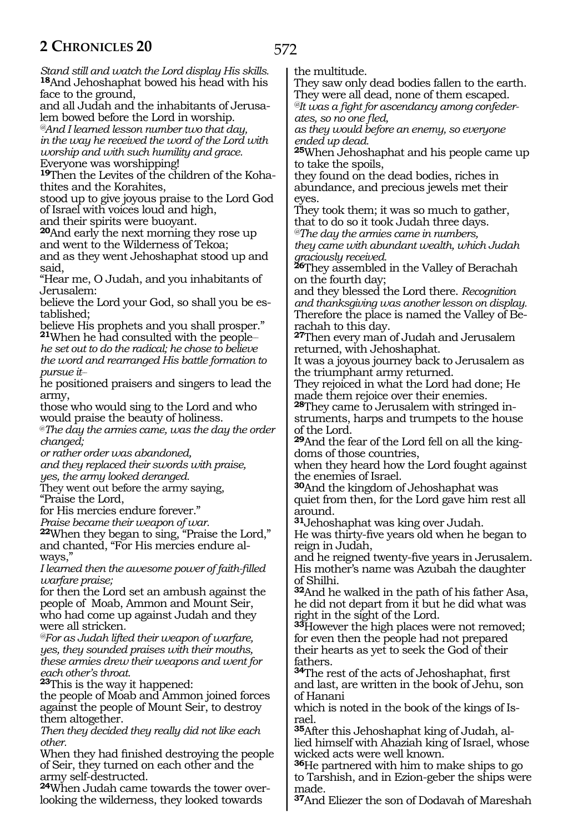*Stand still and watch the Lord display His skills.* **<sup>18</sup>**And Jehoshaphat bowed his head with his face to the ground, and all Judah and the inhabitants of Jerusalem bowed before the Lord in worship. *@And I learned lesson number two that day, in the way he received the word of the Lord with worship and with such humility and grace.* Everyone was worshipping! **19**Then the Levites of the children of the Kohathites and the Korahites, stood up to give joyous praise to the Lord God of Israel with voices loud and high, and their spirits were buoyant. **<sup>20</sup>**And early the next morning they rose up and went to the Wilderness of Tekoa; and as they went Jehoshaphat stood up and said, "Hear me, O Judah, and you inhabitants of Jerusalem: believe the Lord your God, so shall you be established; believe His prophets and you shall prosper." **<sup>21</sup>**When he had consulted with the people\_\_ *he set out to do the radical; he chose to believe the word and rearranged His battle formation to pursue it\_\_* he positioned praisers and singers to lead the army, those who would sing to the Lord and who would praise the beauty of holiness. @*The day the armies came, was the day the order changed; or rather order was abandoned, and they replaced their swords with praise, yes, the army looked deranged.* They went out before the army saying, "Praise the Lord, for His mercies endure forever." *Praise became their weapon of war.* **<sup>22</sup>**When they began to sing, "Praise the Lord," and chanted, "For His mercies endure always," *I learned then the awesome power of faith-filled warfare praise;* for then the Lord set an ambush against the people of Moab, Ammon and Mount Seir, who had come up against Judah and they were all stricken*. @For as Judah lifted their weapon of warfare, yes, they sounded praises with their mouths, these armies drew their weapons and went for each other's throat.* **<sup>23</sup>**This is the way it happened: the people of Moab and Ammon joined forces against the people of Mount Seir, to destroy them altogether.

*Then they decided they really did not like each other.*

When they had finished destroying the people of Seir, they turned on each other and the army self-destructed.

**24**When Judah came towards the tower overlooking the wilderness, they looked towards

the multitude.

They saw only dead bodies fallen to the earth. They were all dead, none of them escaped. *@It was a fight for ascendancy among confeder-*

*ates, so no one fled,*

*as they would before an enemy, so everyone ended up dead.*

**<sup>25</sup>**When Jehoshaphat and his people came up to take the spoils,

they found on the dead bodies, riches in abundance, and precious jewels met their eyes.

They took them; it was so much to gather, that to do so it took Judah three days.

*@The day the armies came in numbers, they came with abundant wealth, which Judah graciously received.*

**<sup>26</sup>**They assembled in the Valley of Berachah on the fourth day;

and they blessed the Lord there. *Recognition and thanksgiving was another lesson on display.* Therefore the place is named the Valley of Be- rachah to this day.

**<sup>27</sup>**Then every man of Judah and Jerusalem returned, with Jehoshaphat.

It was a joyous journey back to Jerusalem as the triumphant army returned.

They rejoiced in what the Lord had done; He made them rejoice over their enemies.

**<sup>28</sup>**They came to Jerusalem with stringed in- struments, harps and trumpets to the house of the Lord.

**<sup>29</sup>**And the fear of the Lord fell on all the king- doms of those countries,

when they heard how the Lord fought against the enemies of Israel.

**<sup>30</sup>**And the kingdom of Jehoshaphat was

quiet from then, for the Lord gave him rest all around.

**<sup>31</sup>**Jehoshaphat was king over Judah.

He was thirty-five years old when he began to reign in Judah,

and he reigned twenty-five years in Jerusalem. His mother's name was Azubah the daughter of Shilhi.

**<sup>32</sup>**And he walked in the path of his father Asa, he did not depart from it but he did what was right in the sight of the Lord.

**<sup>33</sup>**However the high places were not removed; for even then the people had not prepared their hearts as yet to seek the God of their fathers.

**<sup>34</sup>**The rest of the acts of Jehoshaphat, first and last, are written in the book of Jehu, son of Hanani

which is noted in the book of the kings of Israel.

**35**After this Jehoshaphat king of Judah, allied himself with Ahaziah king of Israel, whose wicked acts were well known.

**<sup>36</sup>**He partnered with him to make ships to go to Tarshish, and in Ezion-geber the ships were made.

**<sup>37</sup>**And Eliezer the son of Dodavah of Mareshah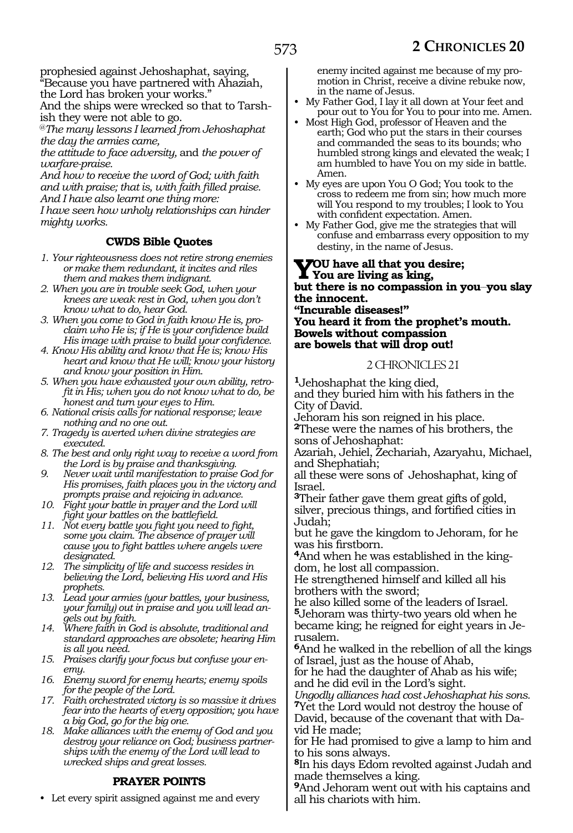prophesied against Jehoshaphat, saying, "Because you have partnered with Ahaziah,

the Lord has broken your works." And the ships were wrecked so that to Tarshish they were not able to go.

@*The many lessons I learned from Jehoshaphat the day the armies came,*

*the attitude to face adversity,* and *the power of warfare-praise.*

*And how to receive the word of God; with faith and with praise; that is, with faith filled praise. And I have also learnt one thing more: I have seen how unholy relationships can hinder mighty works.*

# **CWDS Bible Quotes**

- *1. Your righteousness does not retire strong enemies or make them redundant, it incites and riles them and makes them indignant.*
- *2. When you are in trouble seek God, when your knees are weak rest in God, when you don't know what to do, hear God.*
- *3. When you come to God in faith know He is, proclaim who He is; if He is your confidence build His image with praise to build your confidence.*
- *4. Know His ability and know that He is; know His heart and know that He will; know your history and know your position in Him.*
- *5. When you have exhausted your own ability, retrofit in His; when you do not know what to do, be honest and turn your eyes to Him.*
- *6. National crisis calls for national response; leave nothing and no one out.*
- *7. Tragedy is averted when divine strategies are executed.*
- *8. The best and only right way to receive a word from the Lord is by praise and thanksgiving.*
- *9. Never wait until manifestation to praise God for His promises, faith places you in the victory and prompts praise and rejoicing in advance.*
- *10. Fight your battle in prayer and the Lord will fight your battles on the battlefield.*
- *11. Not every battle you fight you need to fight, some you claim. The absence of prayer will cause you to fight battles where angels were designated.*
- *12. The simplicity of life and success resides in believing the Lord, believing His word and His prophets.*
- *13. Lead your armies (your battles, your business, your family) out in praise and you will lead angels out by faith.*
- *14. Where faith in God is absolute, traditional and standard approaches are obsolete; hearing Him is all you need.*
- *15. Praises clarify your focus but confuse your enemy.*
- *16. Enemy sword for enemy hearts; enemy spoils for the people of the Lord.*
- *17. Faith orchestrated victory is so massive it drives fear into the hearts of every opposition; you have a big God, go for the big one.*
- *18. Make alliances with the enemy of God and you destroy your reliance on God; business partnerships with the enemy of the Lord will lead to wrecked ships and great losses.*

# **PRAYER POINTS**

• Let every spirit assigned against me and every

enemy incited against me because of my promotion in Christ, receive a divine rebuke now, in the name of Jesus.

- My Father God, I lay it all down at Your feet and pour out to You for You to pour into me. Amen.
- Most High God, professor of Heaven and the earth; God who put the stars in their courses and commanded the seas to its bounds; who humbled strong kings and elevated the weak; I am humbled to have You on my side in battle. Amen.
- My eyes are upon You O God; You took to the cross to redeem me from sin; how much more will You respond to my troubles; I look to You with confident expectation. Amen.
- My Father God, give me the strategies that will confuse and embarrass every opposition to my destiny, in the name of Jesus.

#### **You have all that you desire; You are living as king, but there is no compassion in you\_\_you slay the innocent. "Incurable diseases!"**

**You heard it from the prophet's mouth. Bowels without compassion are bowels that will drop out!**

## 2 CHRONICLES 21

**<sup>1</sup>**Jehoshaphat the king died, and they buried him with his fathers in the City of David.

Jehoram his son reigned in his place. **<sup>2</sup>**These were the names of his brothers, the sons of Jehoshaphat:

Azariah, Jehiel, Zechariah, Azaryahu, Michael, and Shephatiah;

all these were sons of Jehoshaphat, king of Israel.

**<sup>3</sup>**Their father gave them great gifts of gold, silver, precious things, and fortified cities in Judah;

but he gave the kingdom to Jehoram, for he was his firstborn.

**4**And when he was established in the kingdom, he lost all compassion.

He strengthened himself and killed all his brothers with the sword;

he also killed some of the leaders of Israel. **<sup>5</sup>**Jehoram was thirty-two years old when he became king; he reigned for eight years in Jerusalem.

**<sup>6</sup>**And he walked in the rebellion of all the kings of Israel, just as the house of Ahab,

for he had the daughter of Ahab as his wife; and he did evil in the Lord's sight.

*Ungodly alliances had cost Jehoshaphat his sons.* **<sup>7</sup>**Yet the Lord would not destroy the house of David, because of the covenant that with Da-

vid He made; for He had promised to give a lamp to him and to his sons always.

**<sup>8</sup>**In his days Edom revolted against Judah and made themselves a king.

**<sup>9</sup>**And Jehoram went out with his captains and all his chariots with him.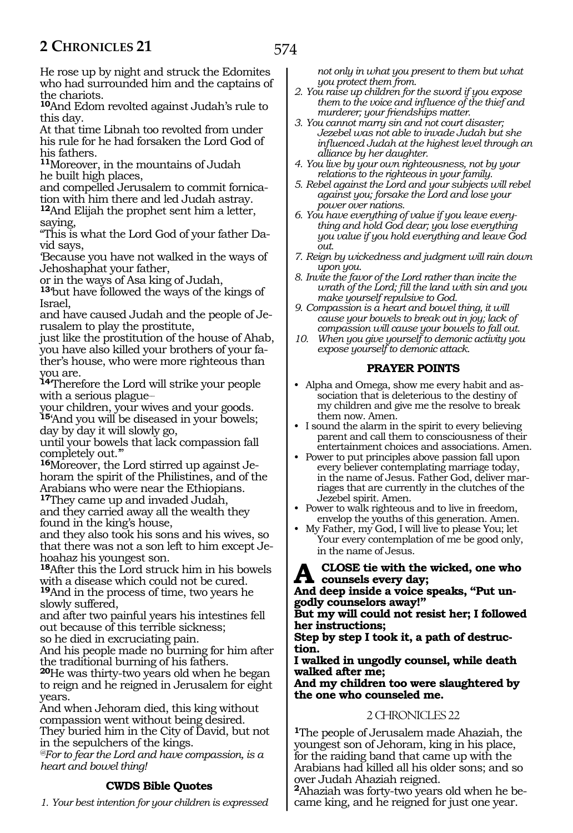He rose up by night and struck the Edomites who had surrounded him and the captains of the chariots.

**<sup>10</sup>**And Edom revolted against Judah's rule to this day.

At that time Libnah too revolted from under his rule for he had forsaken the Lord God of his fathers.

**<sup>11</sup>**Moreover, in the mountains of Judah he built high places,

and compelled Jerusalem to commit fornication with him there and led Judah astray.

**<sup>12</sup>**And Elijah the prophet sent him a letter, saying,

"This is what the Lord God of your father Da- vid says,

'Because you have not walked in the ways of Jehoshaphat your father,

or in the ways of Asa king of Judah,

**<sup>13</sup>**'but have followed the ways of the kings of Israel,

and have caused Judah and the people of Jerusalem to play the prostitute,

just like the prostitution of the house of Ahab, you have also killed your brothers of your father's house, who were more righteous than you are.

**<sup>14</sup>**'Therefore the Lord will strike your people with a serious plague

your children, your wives and your goods. **<sup>15</sup>**'And you will be diseased in your bowels; day by day it will slowly go,

until your bowels that lack compassion fall completely out.'"

**16**Moreover, the Lord stirred up against Jehoram the spirit of the Philistines, and of the Arabians who were near the Ethiopians.

**<sup>17</sup>**They came up and invaded Judah, and they carried away all the wealth they found in the king's house,

and they also took his sons and his wives, so that there was not a son left to him except Jehoahaz his youngest son.

**<sup>18</sup>**After this the Lord struck him in his bowels with a disease which could not be cured.

**<sup>19</sup>**And in the process of time, two years he slowly suffered,

and after two painful years his intestines fell out because of this terrible sickness;

so he died in excruciating pain.

And his people made no burning for him after the traditional burning of his fathers.

**<sup>20</sup>**He was thirty-two years old when he began to reign and he reigned in Jerusalem for eight years.

And when Jehoram died, this king without compassion went without being desired. They buried him in the City of David, but not in the sepulchers of the kings.

*@For to fear the Lord and have compassion, is a heart and bowel thing!*

# **CWDS Bible Quotes**

*1. Your best intention for your children is expressed* 

*not only in what you present to them but what you protect them from.*

- *2. You raise up children for the sword if you expose them to the voice and influence of the thief and murderer; your friendships matter.*
- *3. You cannot marry sin and not court disaster; Jezebel was not able to invade Judah but she influenced Judah at the highest level through an alliance by her daughter.*
- *4. You live by your own righteousness, not by your relations to the righteous in your family.*
- *5. Rebel against the Lord and your subjects will rebel against you; forsake the Lord and lose your power over nations.*
- *6. You have everything of value if you leave everything and hold God dear; you lose everything you value if you hold everything and leave God out.*
- *7. Reign by wickedness and judgment will rain down upon you.*
- *8. Invite the favor of the Lord rather than incite the wrath of the Lord; fill the land with sin and you make yourself repulsive to God.*
- *9. Compassion is a heart and bowel thing, it will cause your bowels to break out in joy; lack of compassion will cause your bowels to fall out.*
- *10. When you give yourself to demonic activity you expose yourself to demonic attack.*

## **PRAYER POINTS**

- Alpha and Omega, show me every habit and association that is deleterious to the destiny of my children and give me the resolve to break them now. Amen.
- I sound the alarm in the spirit to every believing parent and call them to consciousness of their entertainment choices and associations. Amen.
- Power to put principles above passion fall upon every believer contemplating marriage today, in the name of Jesus. Father God, deliver marriages that are currently in the clutches of the Jezebel spirit. Amen.
- Power to walk righteous and to live in freedom, envelop the youths of this generation. Amen.
- My Father, my God, I will live to please You; let Your every contemplation of me be good only, in the name of Jesus.

# A CLOSE tie with the wicked, one who<br> **And deep inside a price speaks** (i.h.t.un

**And deep inside a voice speaks, "Put ungodly counselors away!"**

**But my will could not resist her; I followed her instructions;**

**Step by step I took it, a path of destruc- tion.**

**I walked in ungodly counsel, while death walked after me;**

**And my children too were slaughtered by the one who counseled me.**

#### 2 CHRONICLES 22

**<sup>1</sup>**The people of Jerusalem made Ahaziah, the youngest son of Jehoram, king in his place, for the raiding band that came up with the Arabians had killed all his older sons; and so over Judah Ahaziah reigned.

**<sup>2</sup>**Ahaziah was forty-two years old when he be- came king, and he reigned for just one year.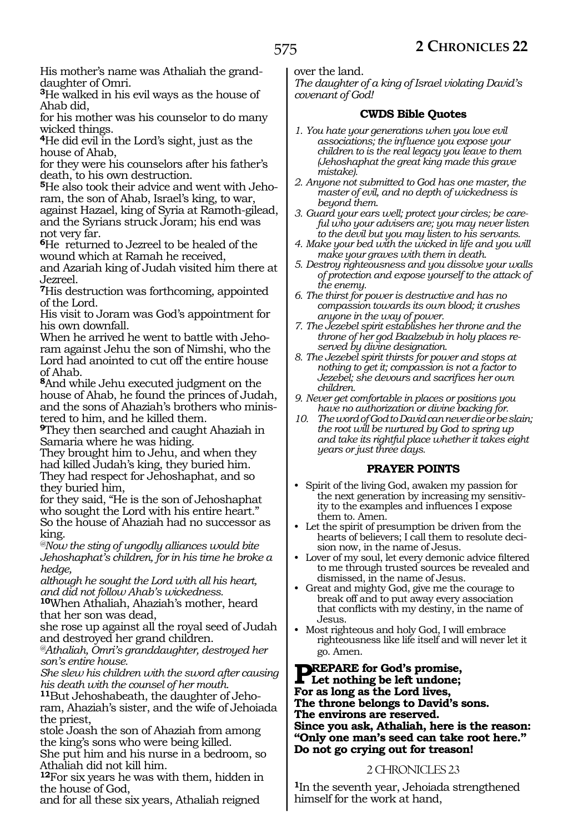His mother's name was Athaliah the granddaughter of Omri.

**<sup>3</sup>**He walked in his evil ways as the house of Ahab did,

for his mother was his counselor to do many wicked things.

**<sup>4</sup>**He did evil in the Lord's sight, just as the house of Ahab,

for they were his counselors after his father's death, to his own destruction.

**5**He also took their advice and went with Jehoram, the son of Ahab, Israel's king, to war, against Hazael, king of Syria at Ramoth-gilead, and the Syrians struck Joram; his end was

not very far. **<sup>6</sup>**He returned to Jezreel to be healed of the wound which at Ramah he received,

and Azariah king of Judah visited him there at Jezreel.

**<sup>7</sup>**His destruction was forthcoming, appointed of the Lord.

His visit to Joram was God's appointment for his own downfall.

When he arrived he went to battle with Jehoram against Jehu the son of Nimshi, who the Lord had anointed to cut off the entire house of Ahab.

**<sup>8</sup>**And while Jehu executed judgment on the house of Ahab, he found the princes of Judah, and the sons of Ahaziah's brothers who ministered to him, and he killed them.

**<sup>9</sup>**They then searched and caught Ahaziah in Samaria where he was hiding.

They brought him to Jehu, and when they had killed Judah's king, they buried him. They had respect for Jehoshaphat, and so they buried him,

for they said, "He is the son of Jehoshaphat who sought the Lord with his entire heart." So the house of Ahaziah had no successor as king.

*@Now the sting of ungodly alliances would bite Jehoshaphat's children, for in his time he broke a hedge,*

*although he sought the Lord with all his heart, and did not follow Ahab's wickedness.*

**<sup>10</sup>**When Athaliah, Ahaziah's mother, heard that her son was dead,

she rose up against all the royal seed of Judah and destroyed her grand children.

*@Athaliah, Omri's granddaughter, destroyed her son's entire house.*

*She slew his children with the sword after causing his death with the counsel of her mouth.*

**11**But Jehoshabeath, the daughter of Jehoram, Ahaziah's sister, and the wife of Jehoiada the priest,

stole Joash the son of Ahaziah from among the king's sons who were being killed. She put him and his nurse in a bedroom, so

Athaliah did not kill him.

**<sup>12</sup>**For six years he was with them, hidden in the house of God,

and for all these six years, Athaliah reigned

over the land.

*The daughter of a king of Israel violating David's covenant of God!*

# **CWDS Bible Quotes**

- *1. You hate your generations when you love evil associations; the influence you expose your children to is the real legacy you leave to them (Jehoshaphat the great king made this grave mistake).*
- *2. Anyone not submitted to God has one master, the master of evil, and no depth of wickedness is beyond them.*
- *3. Guard your ears well; protect your circles; be careful who your advisers are; you may never listen to the devil but you may listen to his servants.*
- *4. Make your bed with the wicked in life and you will make your graves with them in death.*
- *5. Destroy righteousness and you dissolve your walls of protection and expose yourself to the attack of the enemy.*
- *6. The thirst for power is destructive and has no compassion towards its own blood; it crushes anyone in the way of power.*
- *7. The Jezebel spirit establishes her throne and the throne of her god Baalzebub in holy places reserved by divine designation.*
- *8. The Jezebel spirit thirsts for power and stops at nothing to get it; compassion is not a factor to Jezebel; she devours and sacrifices her own children.*
- *9. Never get comfortable in places or positions you have no authorization or divine backing for.*
- *10. The word of God to David can never die or be slain; the root will be nurtured by God to spring up and take its rightful place whether it takes eight years or just three days.*

# **PRAYER POINTS**

- Spirit of the living God, awaken my passion for the next generation by increasing my sensitivity to the examples and influences I expose them to. Amen.
- Let the spirit of presumption be driven from the hearts of believers; I call them to resolute decision now, in the name of Jesus.
- Lover of my soul, let every demonic advice filtered to me through trusted sources be revealed and dismissed, in the name of Jesus.
- Great and mighty God, give me the courage to break off and to put away every association that conflicts with my destiny, in the name of Jesus.
- Most righteous and holy God, I will embrace righteousness like life itself and will never let it go. Amen.

**PREPARE for God's promise,**<br> **Let nothing be left undone;**<br> **Represe lang as the Lard lines For as long as the Lord lives, The throne belongs to David's sons. The environs are reserved. Since you ask, Athaliah, here is the reason: "Only one man's seed can take root here." Do not go crying out for treason!**

# 2 CHRONICLES 23

**<sup>1</sup>**In the seventh year, Jehoiada strengthened himself for the work at hand,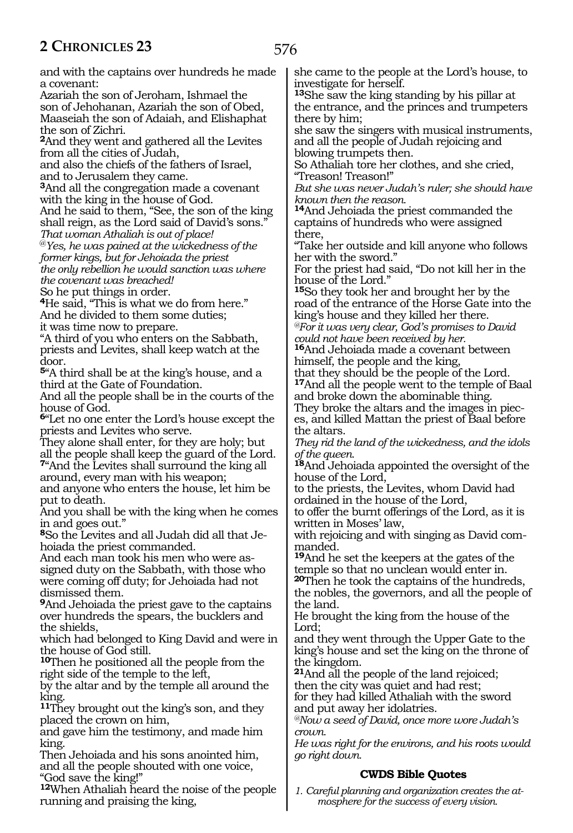and with the captains over hundreds he made a covenant:

Azariah the son of Jeroham, Ishmael the son of Jehohanan, Azariah the son of Obed, Maaseiah the son of Adaiah, and Elishaphat the son of Zichri.

**<sup>2</sup>**And they went and gathered all the Levites from all the cities of Judah,

and also the chiefs of the fathers of Israel, and to Jerusalem they came.

**<sup>3</sup>**And all the congregation made a covenant with the king in the house of God.

And he said to them, "See, the son of the king shall reign, as the Lord said of David's sons." *That woman Athaliah is out of place!*

@*Yes, he was pained at the wickedness of the former kings, but for Jehoiada the priest the only rebellion he would sanction was where the covenant was breached!*

So he put things in order.

**<sup>4</sup>**He said, "This is what we do from here." And he divided to them some duties; it was time now to prepare.

"A third of you who enters on the Sabbath, priests and Levites, shall keep watch at the door.

**<sup>5</sup>**"A third shall be at the king's house, and a third at the Gate of Foundation.

And all the people shall be in the courts of the house of God.

**<sup>6</sup>**"Let no one enter the Lord's house except the priests and Levites who serve.

They alone shall enter, for they are holy; but all the people shall keep the guard of the Lord. **<sup>7</sup>**"And the Levites shall surround the king all

around, every man with his weapon; and anyone who enters the house, let him be put to death.

And you shall be with the king when he comes in and goes out."

**<sup>8</sup>**So the Levites and all Judah did all that Je- hoiada the priest commanded.

And each man took his men who were as- signed duty on the Sabbath, with those who were coming off duty; for Jehoiada had not dismissed them.

**<sup>9</sup>**And Jehoiada the priest gave to the captains over hundreds the spears, the bucklers and the shields,

which had belonged to King David and were in the house of God still.

**<sup>10</sup>**Then he positioned all the people from the right side of the temple to the left,

by the altar and by the temple all around the king.

**<sup>11</sup>**They brought out the king's son, and they placed the crown on him,

and gave him the testimony, and made him king.

Then Jehoiada and his sons anointed him, and all the people shouted with one voice, "God save the king!"

**<sup>12</sup>**When Athaliah heard the noise of the people running and praising the king,

she came to the people at the Lord's house, to investigate for herself.

**<sup>13</sup>**She saw the king standing by his pillar at the entrance, and the princes and trumpeters there by him;

she saw the singers with musical instruments, and all the people of Judah rejoicing and blowing trumpets then.

So Athaliah tore her clothes, and she cried, "Treason! Treason!"

*But she was never Judah's ruler; she should have known then the reason.*

**<sup>14</sup>**And Jehoiada the priest commanded the captains of hundreds who were assigned there,

"Take her outside and kill anyone who follows her with the sword."

For the priest had said, "Do not kill her in the house of the Lord."

**<sup>15</sup>**So they took her and brought her by the road of the entrance of the Horse Gate into the king's house and they killed her there.

*@For it was very clear, God's promises to David could not have been received by her.*

**<sup>16</sup>**And Jehoiada made a covenant between himself, the people and the king,

that they should be the people of the Lord. **<sup>17</sup>**And all the people went to the temple of Baal and broke down the abominable thing.

They broke the altars and the images in pieces, and killed Mattan the priest of Baal before the altars.

*They rid the land of the wickedness, and the idols of the queen.*

**<sup>18</sup>**And Jehoiada appointed the oversight of the house of the Lord,

to the priests, the Levites, whom David had ordained in the house of the Lord,

to offer the burnt offerings of the Lord, as it is written in Moses' law,

with rejoicing and with singing as David com- manded.

**<sup>19</sup>**And he set the keepers at the gates of the temple so that no unclean would enter in.

**<sup>20</sup>**Then he took the captains of the hundreds, the nobles, the governors, and all the people of the land.

He brought the king from the house of the Lord;

and they went through the Upper Gate to the king's house and set the king on the throne of the kingdom.

**<sup>21</sup>**And all the people of the land rejoiced; then the city was quiet and had rest; for they had killed Athaliah with the sword and put away her idolatries.

*@Now a seed of David, once more wore Judah's crown.*

*He was right for the environs, and his roots would go right down.*

# **CWDS Bible Quotes**

*1. Careful planning and organization creates the atmosphere for the success of every vision.*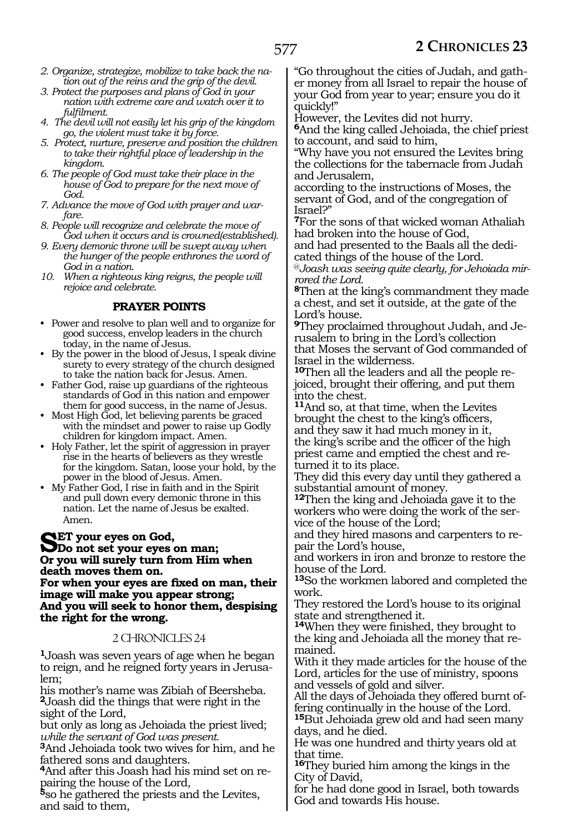- *2. Organize, strategize, mobilize to take back the nation out of the reins and the grip of the devil.*
- *3. Protect the purposes and plans of God in your nation with extreme care and watch over it to fulfilment.*
- *4. The devil will not easily let his grip of the kingdom go, the violent must take it by force.*
- *5. Protect, nurture, preserve and position the children to take their rightful place of leadership in the kingdom.*
- *6. The people of God must take their place in the house of God to prepare for the next move of God.*
- *7. Advance the move of God with prayer and warfare.*
- *8. People will recognize and celebrate the move of God when it occurs and is crowned(established).*
- *9. Every demonic throne will be swept away when the hunger of the people enthrones the word of God in a nation.*
- *10. When a righteous king reigns, the people will rejoice and celebrate.*

#### **PRAYER POINTS**

- Power and resolve to plan well and to organize for good success, envelop leaders in the church today, in the name of Jesus.
- By the power in the blood of Jesus, I speak divine surety to every strategy of the church designed to take the nation back for Jesus. Amen.
- Father God, raise up guardians of the righteous standards of God in this nation and empower them for good success, in the name of Jesus.
- Most High God, let believing parents be graced with the mindset and power to raise up Godly children for kingdom impact. Amen.
- Holy Father, let the spirit of aggression in prayer rise in the hearts of believers as they wrestle for the kingdom. Satan, loose your hold, by the power in the blood of Jesus. Amen.
- My Father God, I rise in faith and in the Spirit and pull down every demonic throne in this nation. Let the name of Jesus be exalted. Amen.

**SET** your eyes on God,<br> **SDo not set your eyes on man;**<br> **On you will quady turn from Him Or you will surely turn from Him when death moves them on.**

**For when your eyes are fixed on man, their image will make you appear strong; And you will seek to honor them, despising the right for the wrong.**

#### 2 CHRONICLES 24

**<sup>1</sup>**Joash was seven years of age when he began to reign, and he reigned forty years in Jerusalem;

his mother's name was Zibiah of Beersheba. **<sup>2</sup>**Joash did the things that were right in the sight of the Lord,

but only as long as Jehoiada the priest lived; *while the servant of God was present.*

**<sup>3</sup>**And Jehoiada took two wives for him, and he

fathered sons and daughters.<br>**4**And after this Joash had his mind set on re-**<sup>4</sup>**And after this Joash had his mind set on re- pairing the house of the Lord,

**<sup>5</sup>**so he gathered the priests and the Levites, and said to them,

"Go throughout the cities of Judah, and gather money from all Israel to repair the house of your God from year to year; ensure you do it quickly!"

However, the Levites did not hurry.

**<sup>6</sup>**And the king called Jehoiada, the chief priest to account, and said to him,

"Why have you not ensured the Levites bring the collections for the tabernacle from Judah and Jerusalem,

according to the instructions of Moses, the servant of God, and of the congregation of Israel?"

**<sup>7</sup>**For the sons of that wicked woman Athaliah had broken into the house of God,

and had presented to the Baals all the dedi- cated things of the house of the Lord.

@*Joash was seeing quite clearly, for Jehoiada mirrored the Lord.*

**<sup>8</sup>**Then at the king's commandment they made a chest, and set it outside, at the gate of the Lord's house.

**<sup>9</sup>**They proclaimed throughout Judah, and Je- rusalem to bring in the Lord's collection that Moses the servant of God commanded of Israel in the wilderness.

**<sup>10</sup>**Then all the leaders and all the people re- joiced, brought their offering, and put them into the chest.

**<sup>11</sup>**And so, at that time, when the Levites brought the chest to the king's officers, and they saw it had much money in it, the king's scribe and the officer of the high priest came and emptied the chest and re- turned it to its place.

They did this every day until they gathered a substantial amount of money.

**<sup>12</sup>**Then the king and Jehoiada gave it to the workers who were doing the work of the ser- vice of the house of the Lord;

and they hired masons and carpenters to re- pair the Lord's house,

and workers in iron and bronze to restore the house of the Lord.

**<sup>13</sup>**So the workmen labored and completed the work.

They restored the Lord's house to its original state and strengthened it.

**<sup>14</sup>**When they were finished, they brought to the king and Jehoiada all the money that re- mained.

With it they made articles for the house of the Lord, articles for the use of ministry, spoons and vessels of gold and silver.

All the days of Jehoiada they offered burnt offering continually in the house of the Lord.

**<sup>15</sup>**But Jehoiada grew old and had seen many days, and he died.

He was one hundred and thirty years old at that time.

**<sup>16</sup>**They buried him among the kings in the City of David,

for he had done good in Israel, both towards God and towards His house.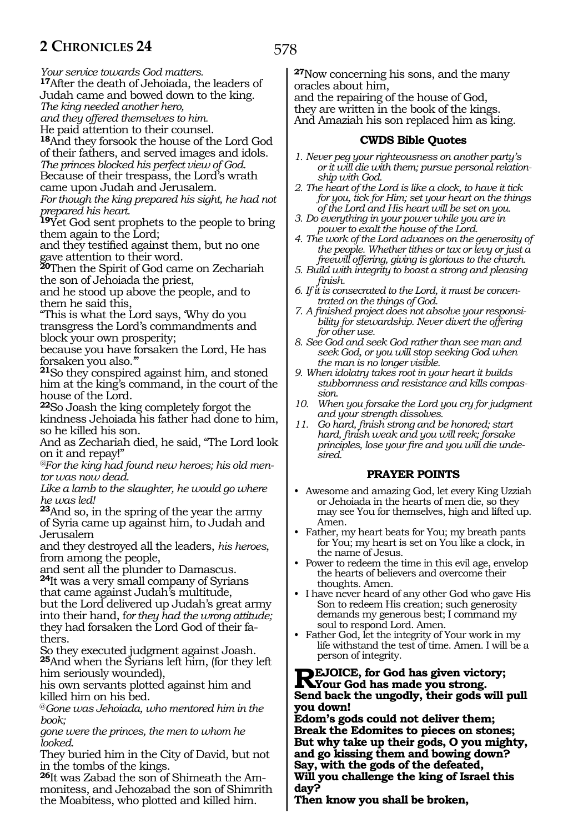*Your service towards God matters.*

**<sup>17</sup>**After the death of Jehoiada, the leaders of Judah came and bowed down to the king.

*The king needed another hero,*

*and they offered themselves to him.*

He paid attention to their counsel.

**<sup>18</sup>**And they forsook the house of the Lord God of their fathers, and served images and idols. *The princes blocked his perfect view of God.* Because of their trespass, the Lord's wrath came upon Judah and Jerusalem.

*For though the king prepared his sight, he had not prepared his heart.*

**<sup>19</sup>**Yet God sent prophets to the people to bring them again to the Lord;

and they testified against them, but no one gave attention to their word.

**<sup>20</sup>**Then the Spirit of God came on Zechariah the son of Jehoiada the priest,

and he stood up above the people, and to them he said this,

"This is what the Lord says, 'Why do you transgress the Lord's commandments and block your own prosperity;

because you have forsaken the Lord, He has forsaken you also.'"

**<sup>21</sup>**So they conspired against him, and stoned him at the king's command, in the court of the house of the Lord.

**<sup>22</sup>**So Joash the king completely forgot the kindness Jehoiada his father had done to him, so he killed his son.

And as Zechariah died, he said, "The Lord look on it and repay!"

*@For the king had found new heroes; his old mentor was now dead.*

*Like a lamb to the slaughter, he would go where he was led!*

**<sup>23</sup>**And so, in the spring of the year the army of Syria came up against him, to Judah and Jerusalem

and they destroyed all the leaders, *his heroes*, from among the people,

and sent all the plunder to Damascus. **<sup>24</sup>**It was a very small company of Syrians

that came against Judah's multitude, but the Lord delivered up Judah's great army into their hand, f*or they had the wrong attitude;* they had forsaken the Lord God of their fathers.

So they executed judgment against Joash. **<sup>25</sup>**And when the Syrians left him, (for they left him seriously wounded),

his own servants plotted against him and killed him on his bed.

@*Gone was Jehoiada, who mentored him in the book;* 

*gone were the princes, the men to whom he looked.*

They buried him in the City of David, but not in the tombs of the kings.

**26**It was Zabad the son of Shimeath the Ammonitess, and Jehozabad the son of Shimrith the Moabitess, who plotted and killed him.

**<sup>27</sup>**Now concerning his sons, and the many oracles about him,

and the repairing of the house of God, they are written in the book of the kings. And Amaziah his son replaced him as king.

## **CWDS Bible Quotes**

- *1. Never peg your righteousness on another party's or it will die with them; pursue personal relationship with God.*
- *2. The heart of the Lord is like a clock, to have it tick for you, tick for Him; set your heart on the things of the Lord and His heart will be set on you.*
- *3. Do everything in your power while you are in power to exalt the house of the Lord.*
- *4. The work of the Lord advances on the generosity of the people. Whether tithes or tax or levy or just a freewill offering, giving is glorious to the church.*
- *5. Build with integrity to boast a strong and pleasing finish.*
- *6. If it is consecrated to the Lord, it must be concentrated on the things of God.*
- *7. A finished project does not absolve your responsibility for stewardship. Never divert the offering for other use.*
- *8. See God and seek God rather than see man and seek God, or you will stop seeking God when the man is no longer visible.*
- *9. When idolatry takes root in your heart it builds stubbornness and resistance and kills compassion.*
- *10. When you forsake the Lord you cry for judgment and your strength dissolves.*
- *11. Go hard, finish strong and be honored; start hard, finish weak and you will reek; forsake principles, lose your fire and you will die undesired.*

# **PRAYER POINTS**

- Awesome and amazing God, let every King Uzziah or Jehoiada in the hearts of men die, so they may see You for themselves, high and lifted up. Amen.
- Father, my heart beats for You; my breath pants for You; my heart is set on You like a clock, in the name of Jesus.
- Power to redeem the time in this evil age, envelop the hearts of believers and overcome their thoughts. Amen.
- I have never heard of any other God who gave His Son to redeem His creation; such generosity demands my generous best; I command my soul to respond Lord. Amen.
- Father God, let the integrity of Your work in my life withstand the test of time. Amen. I will be a person of integrity.

# **REJOICE, for God has given victory;**<br>
Sand book the ungedly their gods will **Send back the ungodly, their gods will pull you down!**

**Edom's gods could not deliver them; Break the Edomites to pieces on stones; But why take up their gods, O you mighty, and go kissing them and bowing down? Say, with the gods of the defeated, Will you challenge the king of Israel this day?**

**Then know you shall be broken,**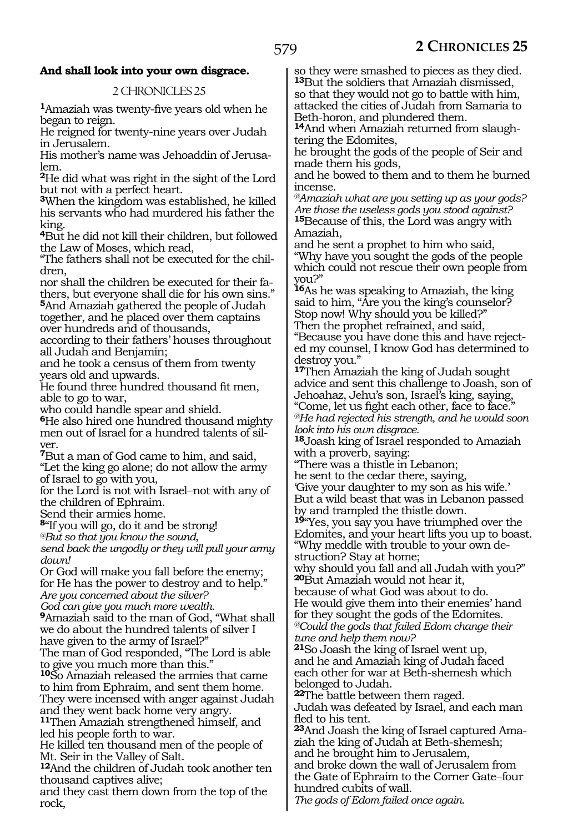# **And shall look into your own disgrace.**

# 2 CHRONICLES 25

**<sup>1</sup>**Amaziah was twenty-five years old when he began to reign.

He reigned for twenty-nine years over Judah in Jerusalem.

His mother's name was Jehoaddin of Jerusalem.

**<sup>2</sup>**He did what was right in the sight of the Lord but not with a perfect heart.

**<sup>3</sup>**When the kingdom was established, he killed his servants who had murdered his father the king.

**<sup>4</sup>**But he did not kill their children, but followed the Law of Moses, which read,

"The fathers shall not be executed for the children,

nor shall the children be executed for their fathers, but everyone shall die for his own sins.' **<sup>5</sup>**And Amaziah gathered the people of Judah

together, and he placed over them captains over hundreds and of thousands,

according to their fathers' houses throughout all Judah and Benjamin;

and he took a census of them from twenty years old and upwards.

He found three hundred thousand fit men, able to go to war,

who could handle spear and shield.

**<sup>6</sup>**He also hired one hundred thousand mighty men out of Israel for a hundred talents of silver.

**<sup>7</sup>**But a man of God came to him, and said, "Let the king go alone; do not allow the army of Israel to go with you,

for the Lord is not with Israel–not with any of the children of Ephraim.

Send their armies home.

**<sup>8</sup>**"If you will go, do it and be strong!

*@But so that you know the sound,*

*send back the ungodly or they will pull your army down!*

Or God will make you fall before the enemy; for He has the power to destroy and to help."

*Are you concerned about the silver? God can give you much more wealth.*

**<sup>9</sup>**Amaziah said to the man of God, "What shall we do about the hundred talents of silver I have given to the army of Israel?"

The man of God responded, "The Lord is able to give you much more than this."

**<sup>10</sup>**So Amaziah released the armies that came to him from Ephraim, and sent them home. They were incensed with anger against Judah and they went back home very angry.

**<sup>11</sup>**Then Amaziah strengthened himself, and led his people forth to war.

He killed ten thousand men of the people of Mt. Seir in the Valley of Salt.

**<sup>12</sup>**And the children of Judah took another ten thousand captives alive;

and they cast them down from the top of the rock,

so they were smashed to pieces as they died. **<sup>13</sup>**But the soldiers that Amaziah dismissed, so that they would not go to battle with him, attacked the cities of Judah from Samaria to Beth-horon, and plundered them.

**14**And when Amaziah returned from slaughtering the Edomites,

he brought the gods of the people of Seir and made them his gods,

and he bowed to them and to them he burned incense.

*@Amaziah what are you setting up as your gods? Are those the useless gods you stood against?* **<sup>15</sup>**Because of this, the Lord was angry with Amaziah,

and he sent a prophet to him who said, "Why have you sought the gods of the people which could not rescue their own people from you?"

**<sup>16</sup>**As he was speaking to Amaziah, the king said to him, "Are you the king's counselor? Stop now! Why should you be killed?" Then the prophet refrained, and said,

"Because you have done this and have rejected my counsel, I know God has determined to destroy you."

**<sup>17</sup>**Then Amaziah the king of Judah sought advice and sent this challenge to Joash, son of Jehoahaz, Jehu's son, Israel's king, saying, "Come, let us fight each other, face to face." *@He had rejected his strength, and he would soon look into his own disgrace.*

**<sup>18</sup>**Joash king of Israel responded to Amaziah with a proverb, saying:

"There was a thistle in Lebanon;

he sent to the cedar there, saying,

'Give your daughter to my son as his wife.' But a wild beast that was in Lebanon passed by and trampled the thistle down.

**<sup>19</sup>**"Yes, you say you have triumphed over the Edomites, and your heart lifts you up to boast. "Why meddle with trouble to your own destruction? Stay at home;

why should you fall and all Judah with you?" **<sup>20</sup>**But Amaziah would not hear it,

because of what God was about to do. He would give them into their enemies' hand for they sought the gods of the Edomites. *@Could the gods that failed Edom change their tune and help them now?*

**<sup>21</sup>**So Joash the king of Israel went up, and he and Amaziah king of Judah faced each other for war at Beth-shemesh which belonged to Judah.

**<sup>22</sup>**The battle between them raged.

Judah was defeated by Israel, and each man fled to his tent.

**23**And Joash the king of Israel captured Amaziah the king of Judah at Beth-shemesh; and he brought him to Jerusalem,

and broke down the wall of Jerusalem from the Gate of Ephraim to the Corner Gate-four hundred cubits of wall.

*The gods of Edom failed once again.*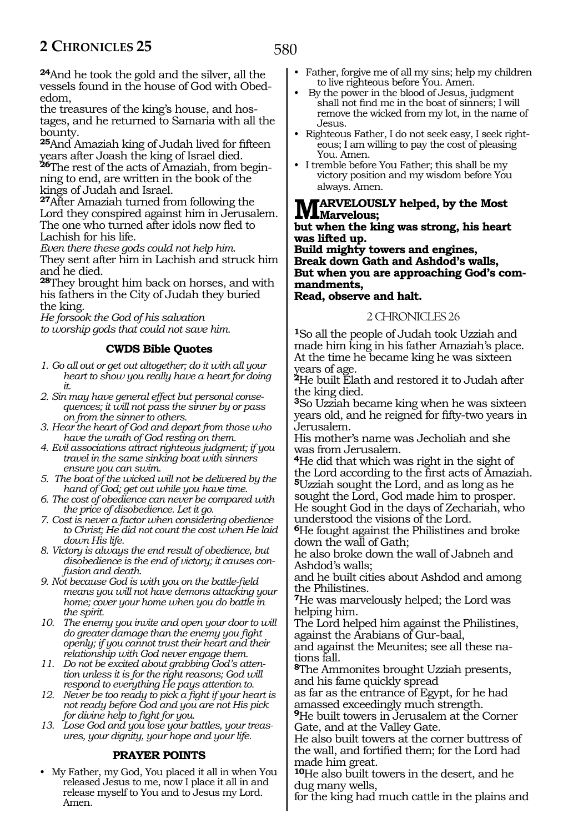**<sup>24</sup>**And he took the gold and the silver, all the vessels found in the house of God with Obededom,

the treasures of the king's house, and hostages, and he returned to Samaria with all the bounty.

**<sup>25</sup>**And Amaziah king of Judah lived for fifteen years after Joash the king of Israel died. **26**The rest of the acts of Amaziah, from begin-

ning to end, are written in the book of the kings of Judah and Israel.

**<sup>27</sup>**After Amaziah turned from following the Lord they conspired against him in Jerusalem. The one who turned after idols now fled to Lachish for his life.

*Even there these gods could not help him.* They sent after him in Lachish and struck him and he died.

**<sup>28</sup>**They brought him back on horses, and with his fathers in the City of Judah they buried the king.

*He forsook the God of his salvation to worship gods that could not save him.*

# **CWDS Bible Quotes**

- *1. Go all out or get out altogether; do it with all your heart to show you really have a heart for doing it.*
- *2. Sin may have general effect but personal consequences; it will not pass the sinner by or pass on from the sinner to others.*
- *3. Hear the heart of God and depart from those who have the wrath of God resting on them.*
- *4. Evil associations attract righteous judgment; if you travel in the same sinking boat with sinners ensure you can swim.*
- *5. The boat of the wicked will not be delivered by the hand of God; get out while you have time.*
- *6. The cost of obedience can never be compared with the price of disobedience. Let it go.*
- *7. Cost is never a factor when considering obedience to Christ; He did not count the cost when He laid down His life.*
- *8. Victory is always the end result of obedience, but disobedience is the end of victory; it causes confusion and death.*
- *9. Not because God is with you on the battle-field means you will not have demons attacking your home; cover your home when you do battle in the spirit.*
- *10. The enemy you invite and open your door to will do greater damage than the enemy you fight openly; if you cannot trust their heart and their relationship with God never engage them.*
- *11. Do not be excited about grabbing God's attention unless it is for the right reasons; God will respond to everything He pays attention to.*
- *12. Never be too ready to pick a fight if your heart is not ready before God and you are not His pick for divine help to fight for you.*
- *13. Lose God and you lose your battles, your treasures, your dignity, your hope and your life.*

# **PRAYER POINTS**

• My Father, my God, You placed it all in when You released Jesus to me, now I place it all in and release myself to You and to Jesus my Lord. Amen.

- Father, forgive me of all my sins; help my children to live righteous before You. Amen.
- By the power in the blood of Jesus, judgment shall not find me in the boat of sinners; I will remove the wicked from my lot, in the name of Jesus.
- Righteous Father, I do not seek easy, I seek righteous; I am willing to pay the cost of pleasing You. Amen.
- I tremble before You Father; this shall be my victory position and my wisdom before You always. Amen.

# **Marvelously helped, by the Most Marvelous;**

**but when the king was strong, his heart was lifted up.**

**Build mighty towers and engines, Break down Gath and Ashdod's walls, But when you are approaching God's commandments, Read, observe and halt.**

#### 2 CHRONICLES 26

**<sup>1</sup>**So all the people of Judah took Uzziah and made him king in his father Amaziah's place. At the time he became king he was sixteen years of age.

**<sup>2</sup>**He built Elath and restored it to Judah after the king died.

**<sup>3</sup>**So Uzziah became king when he was sixteen years old, and he reigned for fifty-two years in Jerusalem.

His mother's name was Jecholiah and she was from Jerusalem.

**<sup>4</sup>**He did that which was right in the sight of the Lord according to the first acts of Amaziah. **<sup>5</sup>**Uzziah sought the Lord, and as long as he sought the Lord, God made him to prosper.

He sought God in the days of Zechariah, who understood the visions of the Lord.

**<sup>6</sup>**He fought against the Philistines and broke down the wall of Gath;

he also broke down the wall of Jabneh and Ashdod's walls;

and he built cities about Ashdod and among the Philistines.

**<sup>7</sup>**He was marvelously helped; the Lord was helping him.

The Lord helped him against the Philistines, against the Arabians of Gur-baal,

and against the Meunites; see all these nations fall.

**<sup>8</sup>**The Ammonites brought Uzziah presents, and his fame quickly spread

as far as the entrance of Egypt, for he had amassed exceedingly much strength.

**<sup>9</sup>**He built towers in Jerusalem at the Corner Gate, and at the Valley Gate.

He also built towers at the corner buttress of the wall, and fortified them; for the Lord had made him great.

**<sup>10</sup>**He also built towers in the desert, and he dug many wells,

for the king had much cattle in the plains and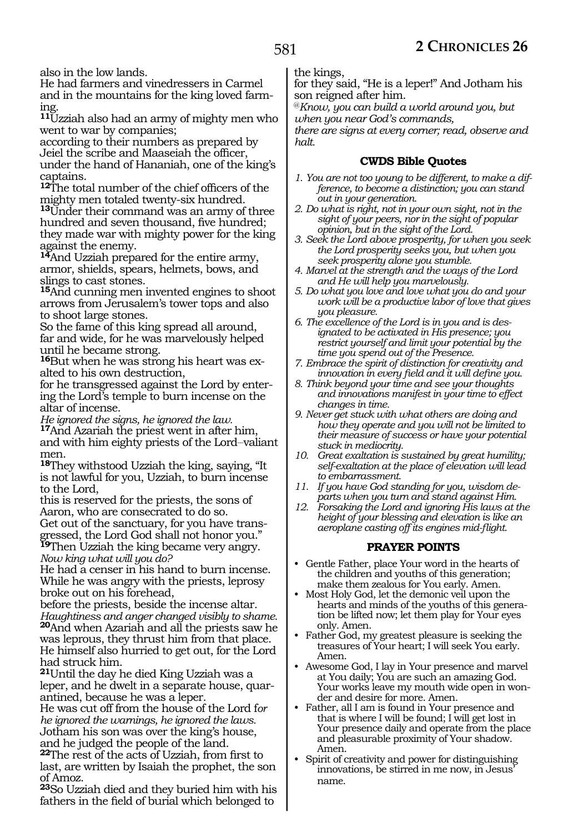also in the low lands.

He had farmers and vinedressers in Carmel and in the mountains for the king loved farming.

**<sup>11</sup>**Uzziah also had an army of mighty men who went to war by companies;

according to their numbers as prepared by Jeiel the scribe and Maaseiah the officer, under the hand of Hananiah, one of the king's captains.

**<sup>12</sup>**The total number of the chief officers of the mighty men totaled twenty-six hundred.

**<sup>13</sup>**Under their command was an army of three hundred and seven thousand, five hundred; they made war with mighty power for the king against the enemy.

**<sup>14</sup>**And Uzziah prepared for the entire army, armor, shields, spears, helmets, bows, and slings to cast stones.

**<sup>15</sup>**And cunning men invented engines to shoot arrows from Jerusalem's tower tops and also to shoot large stones.

So the fame of this king spread all around, far and wide, for he was marvelously helped until he became strong.

**16**But when he was strong his heart was exalted to his own destruction,

for he transgressed against the Lord by entering the Lord's temple to burn incense on the altar of incense.

*He ignored the signs, he ignored the law.* **<sup>17</sup>**And Azariah the priest went in after him, and with him eighty priests of the Lord-valiant men.

**<sup>18</sup>**They withstood Uzziah the king, saying, "It is not lawful for you, Uzziah, to burn incense to the Lord,

this is reserved for the priests, the sons of Aaron, who are consecrated to do so. Get out of the sanctuary, for you have transgressed, the Lord God shall not honor you." **<sup>19</sup>**Then Uzziah the king became very angry.

*Now king what will you do?*

He had a censer in his hand to burn incense. While he was angry with the priests, leprosy broke out on his forehead,

before the priests, beside the incense altar*. Haughtiness and anger changed visibly to shame.* **<sup>20</sup>**And when Azariah and all the priests saw he was leprous, they thrust him from that place. He himself also hurried to get out, for the Lord had struck him.

**<sup>21</sup>**Until the day he died King Uzziah was a leper, and he dwelt in a separate house, quarantined, because he was a leper.

He was cut off from the house of the Lord f*or he ignored the warnings, he ignored the laws.* Jotham his son was over the king's house, and he judged the people of the land.

**<sup>22</sup>**The rest of the acts of Uzziah, from first to last, are written by Isaiah the prophet, the son of Amoz.

**<sup>23</sup>**So Uzziah died and they buried him with his fathers in the field of burial which belonged to

the kings,

for they said, "He is a leper!" And Jotham his son reigned after him.

@*Know, you can build a world around you, but when you near God's commands,*

*there are signs at every corner; read, observe and halt.*

# **CWDS Bible Quotes**

- *1. You are not too young to be different, to make a difference, to become a distinction; you can stand out in your generation.*
- *2. Do what is right, not in your own sight, not in the sight of your peers, nor in the sight of popular opinion, but in the sight of the Lord.*
- *3. Seek the Lord above prosperity, for when you seek the Lord prosperity seeks you, but when you seek prosperity alone you stumble.*
- *4. Marvel at the strength and the ways of the Lord and He will help you marvelously.*
- *5. Do what you love and love what you do and your work will be a productive labor of love that gives you pleasure.*
- *6. The excellence of the Lord is in you and is designated to be activated in His presence; you restrict yourself and limit your potential by the time you spend out of the Presence.*
- *7. Embrace the spirit of distinction for creativity and innovation in every field and it will define you.*
- *8. Think beyond your time and see your thoughts and innovations manifest in your time to effect changes in time.*
- *9. Never get stuck with what others are doing and how they operate and you will not be limited to their measure of success or have your potential stuck in mediocrity.*
- *10. Great exaltation is sustained by great humility; self-exaltation at the place of elevation will lead to embarrassment.*
- *11. If you have God standing for you, wisdom departs when you turn and stand against Him.*
- *12. Forsaking the Lord and ignoring His laws at the height of your blessing and elevation is like an aeroplane casting off its engines mid-flight.*

# **PRAYER POINTS**

- Gentle Father, place Your word in the hearts of the children and youths of this generation; make them zealous for You early. Amen.
- Most Holy God, let the demonic veil upon the hearts and minds of the youths of this generation be lifted now; let them play for Your eyes only. Amen.
- Father God, my greatest pleasure is seeking the treasures of Your heart; I will seek You early. Amen.
- Awesome God, I lay in Your presence and marvel at You daily; You are such an amazing God. Your works leave my mouth wide open in wonder and desire for more. Amen.
- Father, all I am is found in Your presence and that is where I will be found; I will get lost in Your presence daily and operate from the place and pleasurable proximity of Your shadow. Amen.
- Spirit of creativity and power for distinguishing innovations, be stirred in me now, in Jesus' name.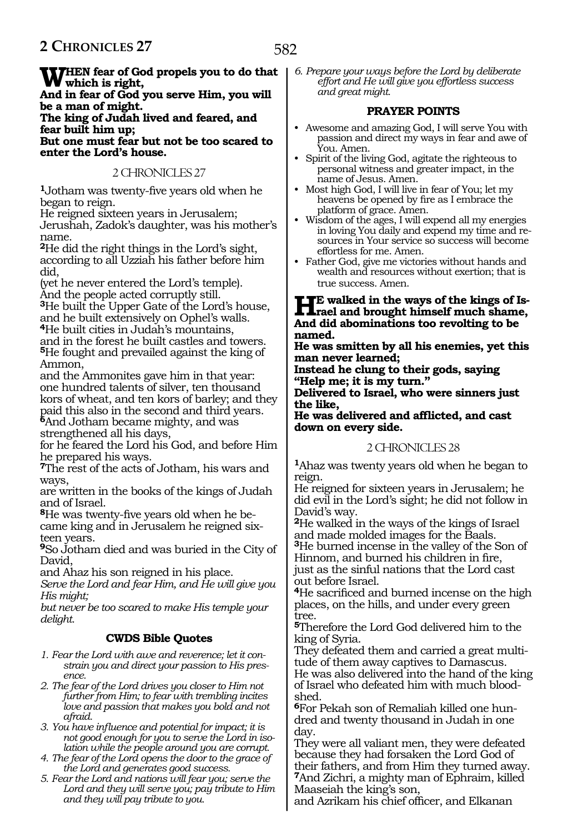582

WHEN fear of God propels you to do that<br> **Which is right,**<br> **which is fear of God results are a strip of the strip of the strip of the strip of the strip of the strip of the strip of the strip of the strip of the strip of** 

**And in fear of God you serve Him, you will be a man of might.**

**The king of Judah lived and feared, and fear built him up;**

**But one must fear but not be too scared to enter the Lord's house.**

# 2 CHRONICLES 27

**<sup>1</sup>**Jotham was twenty-five years old when he began to reign.

He reigned sixteen years in Jerusalem; Jerushah, Zadok's daughter, was his mother's name.

**<sup>2</sup>**He did the right things in the Lord's sight, according to all Uzziah his father before him did,

(yet he never entered the Lord's temple). And the people acted corruptly still.

**<sup>3</sup>**He built the Upper Gate of the Lord's house, and he built extensively on Ophel's walls.

**<sup>4</sup>**He built cities in Judah's mountains, and in the forest he built castles and towers. **<sup>5</sup>**He fought and prevailed against the king of Ammon,

and the Ammonites gave him in that year: one hundred talents of silver, ten thousand kors of wheat, and ten kors of barley; and they paid this also in the second and third years.

**<sup>6</sup>**And Jotham became mighty, and was strengthened all his days,

for he feared the Lord his God, and before Him he prepared his ways.

**<sup>7</sup>**The rest of the acts of Jotham, his wars and ways,

are written in the books of the kings of Judah and of Israel.

**8**He was twenty-five years old when he became king and in Jerusalem he reigned sixteen years.

**<sup>9</sup>**So Jotham died and was buried in the City of David,

and Ahaz his son reigned in his place.

*Serve the Lord and fear Him, and He will give you His might;*

*but never be too scared to make His temple your delight.*

# **CWDS Bible Quotes**

- *1. Fear the Lord with awe and reverence; let it constrain you and direct your passion to His presence.*
- *2. The fear of the Lord drives you closer to Him not further from Him; to fear with trembling incites love and passion that makes you bold and not afraid.*
- *3. You have influence and potential for impact; it is not good enough for you to serve the Lord in isolation while the people around you are corrupt.*
- *4. The fear of the Lord opens the door to the grace of the Lord and generates good success.*
- *5. Fear the Lord and nations will fear you; serve the Lord and they will serve you; pay tribute to Him and they will pay tribute to you.*

*6. Prepare your ways before the Lord by deliberate effort and He will give you effortless success and great might.*

# **PRAYER POINTS**

- Awesome and amazing God, I will serve You with passion and direct my ways in fear and awe of You. Amen.
- Spirit of the living God, agitate the righteous to personal witness and greater impact, in the name of Jesus. Amen.
- Most high God, I will live in fear of You; let my heavens be opened by fire as I embrace the platform of grace. Amen.
- Wisdom of the ages, I will expend all my energies in loving You daily and expend my time and resources in Your service so success will become effortless for me. Amen.
- Father God, give me victories without hands and wealth and resources without exertion; that is true success. Amen.

**He walked in the ways of the kings of Is-rael and brought himself much shame, And did abominations too revolting to be named.**

**He was smitten by all his enemies, yet this man never learned;**

**Instead he clung to their gods, saying "Help me; it is my turn."**

#### **Delivered to Israel, who were sinners just the like,**

**He was delivered and afflicted, and cast down on every side.**

# 2 CHRONICLES 28

**<sup>1</sup>**Ahaz was twenty years old when he began to reign.

He reigned for sixteen years in Jerusalem; he did evil in the Lord's sight; he did not follow in David's way.

**<sup>2</sup>**He walked in the ways of the kings of Israel and made molded images for the Baals. **<sup>3</sup>**He burned incense in the valley of the Son of

Hinnom, and burned his children in fire, just as the sinful nations that the Lord cast out before Israel.

**<sup>4</sup>**He sacrificed and burned incense on the high places, on the hills, and under every green tree.

**<sup>5</sup>**Therefore the Lord God delivered him to the king of Syria.

They defeated them and carried a great multitude of them away captives to Damascus. He was also delivered into the hand of the king of Israel who defeated him with much bloodshed.

**6**For Pekah son of Remaliah killed one hundred and twenty thousand in Judah in one day.

They were all valiant men, they were defeated because they had forsaken the Lord God of their fathers, and from Him they turned away. **<sup>7</sup>**And Zichri, a mighty man of Ephraim, killed Maaseiah the king's son,

and Azrikam his chief officer, and Elkanan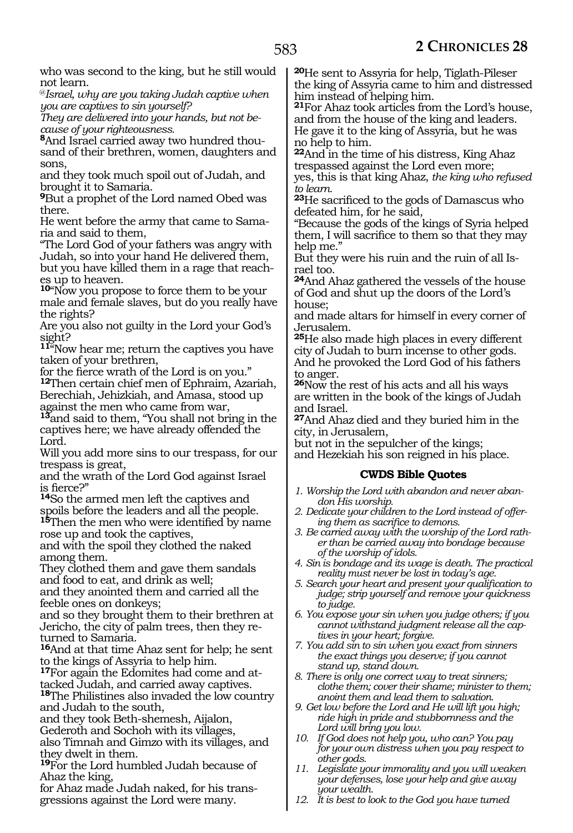who was second to the king, but he still would not learn.

@*Israel, why are you taking Judah captive when you are captives to sin yourself?*

*They are delivered into your hands, but not because of your righteousness.*

**8**And Israel carried away two hundred thousand of their brethren, women, daughters and sons,

and they took much spoil out of Judah, and brought it to Samaria.

**<sup>9</sup>**But a prophet of the Lord named Obed was there.

He went before the army that came to Sama- ria and said to them,

"The Lord God of your fathers was angry with Judah, so into your hand He delivered them, but you have killed them in a rage that reach- es up to heaven.

**<sup>10</sup>**"Now you propose to force them to be your male and female slaves, but do you really have the rights?

Are you also not guilty in the Lord your God's sight?

**<sup>11</sup>**"Now hear me; return the captives you have taken of your brethren,

for the fierce wrath of the Lord is on you."

**<sup>12</sup>**Then certain chief men of Ephraim, Azariah, Berechiah, Jehizkiah, and Amasa, stood up against the men who came from war,

**<sup>13</sup>**and said to them, "You shall not bring in the captives here; we have already offended the Lord.

Will you add more sins to our trespass, for our trespass is great,

and the wrath of the Lord God against Israel is fierce?"

**<sup>14</sup>**So the armed men left the captives and spoils before the leaders and all the people.

**<sup>15</sup>**Then the men who were identified by name rose up and took the captives,

and with the spoil they clothed the naked among them.

They clothed them and gave them sandals and food to eat, and drink as well;

and they anointed them and carried all the feeble ones on donkeys;

and so they brought them to their brethren at Jericho, the city of palm trees, then they returned to Samaria.

**<sup>16</sup>**And at that time Ahaz sent for help; he sent to the kings of Assyria to help him.

**<sup>17</sup>**For again the Edomites had come and at- tacked Judah, and carried away captives.

**<sup>18</sup>**The Philistines also invaded the low country and Judah to the south,

and they took Beth-shemesh, Aijalon,

Gederoth and Sochoh with its villages,

also Timnah and Gimzo with its villages, and they dwelt in them.

**<sup>19</sup>**For the Lord humbled Judah because of Ahaz the king,

for Ahaz made Judah naked, for his transgressions against the Lord were many.

**<sup>20</sup>**He sent to Assyria for help, Tiglath-Pileser the king of Assyria came to him and distressed him instead of helping him.

**<sup>21</sup>**For Ahaz took articles from the Lord's house, and from the house of the king and leaders. He gave it to the king of Assyria, but he was no help to him.

**<sup>22</sup>**And in the time of his distress, King Ahaz trespassed against the Lord even more; yes, this is that king Ahaz, *the king who refused* 

*to learn.* **<sup>23</sup>**He sacrificed to the gods of Damascus who

defeated him, for he said, "Because the gods of the kings of Syria helped them, I will sacrifice to them so that they may help me."

But they were his ruin and the ruin of all Israel too.

**<sup>24</sup>**And Ahaz gathered the vessels of the house of God and shut up the doors of the Lord's house;

and made altars for himself in every corner of Jerusalem.

**<sup>25</sup>**He also made high places in every different city of Judah to burn incense to other gods. And he provoked the Lord God of his fathers to anger.

**<sup>26</sup>**Now the rest of his acts and all his ways are written in the book of the kings of Judah and Israel.

**<sup>27</sup>**And Ahaz died and they buried him in the city, in Jerusalem,

but not in the sepulcher of the kings; and Hezekiah his son reigned in his place.

# **CWDS Bible Quotes**

- *1. Worship the Lord with abandon and never abandon His worship.*
- *2. Dedicate your children to the Lord instead of offering them as sacrifice to demons.*
- *3. Be carried away with the worship of the Lord rather than be carried away into bondage because of the worship of idols.*
- *4. Sin is bondage and its wage is death. The practical reality must never be lost in today's age.*
- *5. Search your heart and present your qualification to judge; strip yourself and remove your quickness to judge.*
- *6. You expose your sin when you judge others; if you cannot withstand judgment release all the captives in your heart; forgive.*
- *7. You add sin to sin when you exact from sinners the exact things you deserve; if you cannot stand up, stand down.*
- *8. There is only one correct way to treat sinners; clothe them; cover their shame; minister to them; anoint them and lead them to salvation.*
- *9. Get low before the Lord and He will lift you high; ride high in pride and stubbornness and the Lord will bring you low.*
- *10. If God does not help you, who can? You pay for your own distress when you pay respect to other gods.*
- *11. Legislate your immorality and you will weaken your defenses, lose your help and give away your wealth.*
- *12. It is best to look to the God you have turned*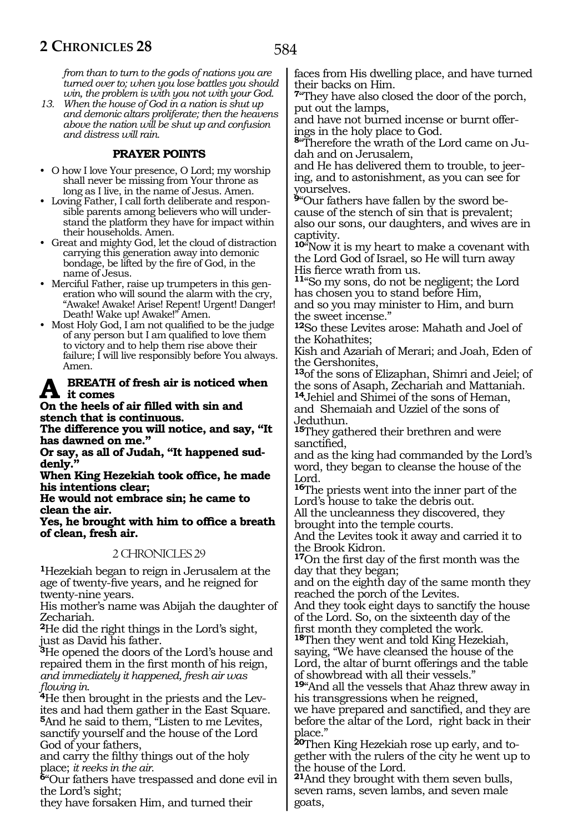*from than to turn to the gods of nations you are turned over to; when you lose battles you should win, the problem is with you not with your God.*

*13. When the house of God in a nation is shut up and demonic altars proliferate; then the heavens above the nation will be shut up and confusion and distress will rain.*

# **PRAYER POINTS**

- O how I love Your presence, O Lord; my worship shall never be missing from Your throne as long as I live, in the name of Jesus. Amen.
- Loving Father, I call forth deliberate and responsible parents among believers who will understand the platform they have for impact within their households. Amen.
- Great and mighty God, let the cloud of distraction carrying this generation away into demonic bondage, be lifted by the fire of God, in the name of Jesus.
- Merciful Father, raise up trumpeters in this generation who will sound the alarm with the cry, "Awake! Awake! Arise! Repent! Urgent! Danger! Death! Wake up! Awake!" Amen.
- Most Holy God, I am not qualified to be the judge of any person but I am qualified to love them to victory and to help them rise above their failure; I will live responsibly before You always. Amen.

#### **BREATH** of fresh air is noticed when **it comes**

#### **On the heels of air filled with sin and stench that is continuous.**

**The difference you will notice, and say, "It has dawned on me."**

**Or say, as all of Judah, "It happened sud- denly."**

**When King Hezekiah took office, he made his intentions clear;**

**He would not embrace sin; he came to clean the air.**

**Yes, he brought with him to office a breath of clean, fresh air.**

# 2 CHRONICLES 29

**<sup>1</sup>**Hezekiah began to reign in Jerusalem at the age of twenty-five years, and he reigned for twenty-nine years.

His mother's name was Abijah the daughter of Zechariah.

**<sup>2</sup>**He did the right things in the Lord's sight, just as David his father.

**<sup>3</sup>**He opened the doors of the Lord's house and repaired them in the first month of his reign, *and immediately it happened, fresh air was flowing in.* 

**<sup>4</sup>**He then brought in the priests and the Lev- ites and had them gather in the East Square. **<sup>5</sup>**And he said to them, "Listen to me Levites, sanctify yourself and the house of the Lord God of your fathers,

and carry the filthy things out of the holy

place; *it reeks in the air*. **<sup>6</sup>**"Our fathers have trespassed and done evil in the Lord's sight;

they have forsaken Him, and turned their

faces from His dwelling place, and have turned their backs on Him.

**<sup>7</sup>**"They have also closed the door of the porch, put out the lamps,

and have not burned incense or burnt offer- ings in the holy place to God.

**<sup>8</sup>**"Therefore the wrath of the Lord came on Ju- dah and on Jerusalem,

and He has delivered them to trouble, to jeer- ing, and to astonishment, as you can see for yourselves.

**9**"Our fathers have fallen by the sword because of the stench of sin that is prevalent; also our sons, our daughters, and wives are in captivity.

**<sup>10</sup>**"Now it is my heart to make a covenant with the Lord God of Israel, so He will turn away His fierce wrath from us.

**<sup>11</sup>**"So my sons, do not be negligent; the Lord has chosen you to stand before Him, and so you may minister to Him, and burn the sweet incense."

**<sup>12</sup>**So these Levites arose: Mahath and Joel of the Kohathites;

Kish and Azariah of Merari; and Joah, Eden of the Gershonites,

**<sup>13</sup>**of the sons of Elizaphan, Shimri and Jeiel; of the sons of Asaph, Zechariah and Mattaniah.

**<sup>14</sup>**Jehiel and Shimei of the sons of Heman, and Shemaiah and Uzziel of the sons of Jeduthun.

**<sup>15</sup>**They gathered their brethren and were sanctified,

and as the king had commanded by the Lord's word, they began to cleanse the house of the Lord.

**<sup>16</sup>**The priests went into the inner part of the Lord's house to take the debris out.

All the uncleanness they discovered, they brought into the temple courts.

And the Levites took it away and carried it to the Brook Kidron.

**<sup>17</sup>**On the first day of the first month was the day that they began;

and on the eighth day of the same month they reached the porch of the Levites.

And they took eight days to sanctify the house of the Lord. So, on the sixteenth day of the first month they completed the work.

**<sup>18</sup>**Then they went and told King Hezekiah, saying, "We have cleansed the house of the Lord, the altar of burnt offerings and the table of showbread with all their vessels."

**<sup>19</sup>**"And all the vessels that Ahaz threw away in his transgressions when he reigned,

we have prepared and sanctified, and they are before the altar of the Lord, right back in their place."

**20**Then King Hezekiah rose up early, and together with the rulers of the city he went up to the house of the Lord.

**<sup>21</sup>**And they brought with them seven bulls, seven rams, seven lambs, and seven male goats,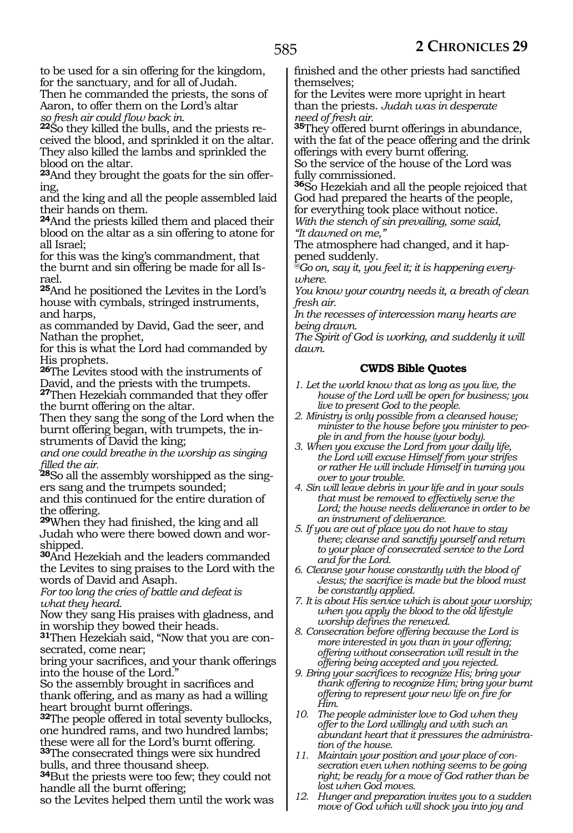to be used for a sin offering for the kingdom, for the sanctuary, and for all of Judah. Then he commanded the priests, the sons of Aaron, to offer them on the Lord's altar *so fresh air could flow back in.* 

**22**So they killed the bulls, and the priests received the blood, and sprinkled it on the altar. They also killed the lambs and sprinkled the blood on the altar.

**<sup>23</sup>**And they brought the goats for the sin offer- ing,

and the king and all the people assembled laid their hands on them.

**<sup>24</sup>**And the priests killed them and placed their blood on the altar as a sin offering to atone for all Israel;

for this was the king's commandment, that the burnt and sin offering be made for all Israel.

**<sup>25</sup>**And he positioned the Levites in the Lord's house with cymbals, stringed instruments, and harps,

as commanded by David, Gad the seer, and Nathan the prophet,

for this is what the Lord had commanded by His prophets.

**<sup>26</sup>**The Levites stood with the instruments of David, and the priests with the trumpets. **<sup>27</sup>**Then Hezekiah commanded that they offer

the burnt offering on the altar. Then they sang the song of the Lord when the burnt offering began, with trumpets, the in-

struments of David the king;

*and one could breathe in the worship as singing filled the air.*

**<sup>28</sup>**So all the assembly worshipped as the sing- ers sang and the trumpets sounded;

and this continued for the entire duration of the offering.

**<sup>29</sup>**When they had finished, the king and all Judah who were there bowed down and worshipped.

**<sup>30</sup>**And Hezekiah and the leaders commanded the Levites to sing praises to the Lord with the words of David and Asaph.

*For too long the cries of battle and defeat is what they heard.* 

Now they sang His praises with gladness, and in worship they bowed their heads.

**31**Then Hezekiah said, "Now that you are consecrated, come near;

bring your sacrifices, and your thank offerings into the house of the Lord."

So the assembly brought in sacrifices and thank offering, and as many as had a willing heart brought burnt offerings.

**<sup>32</sup>**The people offered in total seventy bullocks, one hundred rams, and two hundred lambs; these were all for the Lord's burnt offering.

**<sup>33</sup>**The consecrated things were six hundred bulls, and three thousand sheep.

**<sup>34</sup>**But the priests were too few; they could not handle all the burnt offering;

so the Levites helped them until the work was

finished and the other priests had sanctified themselves;

for the Levites were more upright in heart than the priests. *Judah was in desperate need of fresh air.* 

**<sup>35</sup>**They offered burnt offerings in abundance, with the fat of the peace offering and the drink offerings with every burnt offering.

So the service of the house of the Lord was fully commissioned.

**<sup>36</sup>**So Hezekiah and all the people rejoiced that God had prepared the hearts of the people, for everything took place without notice.

*With the stench of sin prevailing, some said, "It dawned on me,"* 

The atmosphere had changed, and it happened suddenly.

*@Go on, say it, you feel it; it is happening everywhere.*

*You know your country needs it, a breath of clean fresh air.*

*In the recesses of intercession many hearts are being drawn.*

*The Spirit of God is working, and suddenly it will dawn.*

# **CWDS Bible Quotes**

- *1. Let the world know that as long as you live, the house of the Lord will be open for business; you live to present God to the people.*
- *2. Ministry is only possible from a cleansed house; minister to the house before you minister to people in and from the house (your body).*
- *3. When you excuse the Lord from your daily life, the Lord will excuse Himself from your strifes or rather He will include Himself in turning you over to your trouble.*
- *4. Sin will leave debris in your life and in your souls that must be removed to effectively serve the Lord; the house needs deliverance in order to be an instrument of deliverance.*
- *5. If you are out of place you do not have to stay there; cleanse and sanctify yourself and return to your place of consecrated service to the Lord and for the Lord.*
- *6. Cleanse your house constantly with the blood of Jesus; the sacrifice is made but the blood must be constantly applied.*
- *7. It is about His service which is about your worship; when you apply the blood to the old lifestyle worship defines the renewed.*
- *8. Consecration before offering because the Lord is more interested in you than in your offering; offering without consecration will result in the offering being accepted and you rejected.*
- *9. Bring your sacrifices to recognize His; bring your thank offering to recognize Him; bring your burnt offering to represent your new life on fire for Him.*
- *10. The people administer love to God when they offer to the Lord willingly and with such an abundant heart that it pressures the administration of the house.*
- *11. Maintain your position and your place of consecration even when nothing seems to be going right; be ready for a move of God rather than be lost when God moves.*
- *12. Hunger and preparation invites you to a sudden move of God which will shock you into joy and*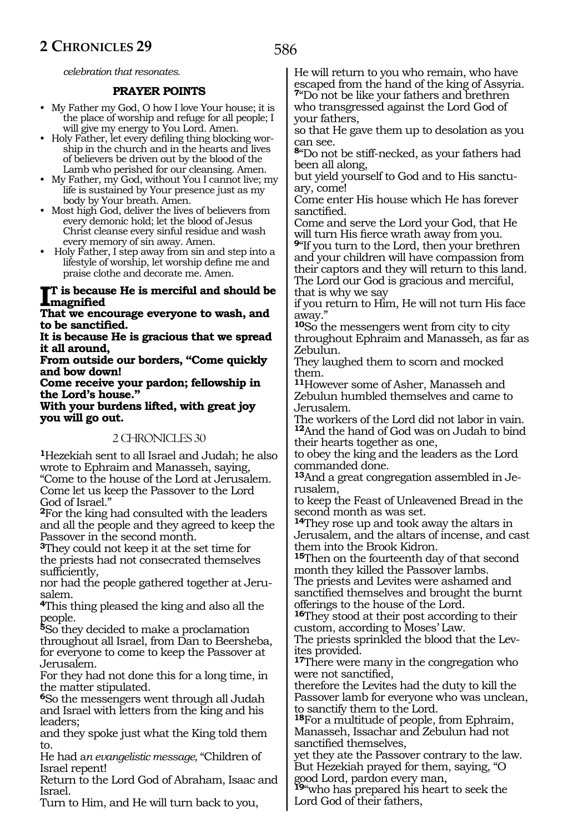*celebration that resonates.*

## **PRAYER POINTS**

- My Father my God, O how I love Your house; it is the place of worship and refuge for all people; I will give my energy to You Lord. Amen.
- Holy Father, let every defiling thing blocking worship in the church and in the hearts and lives of believers be driven out by the blood of the Lamb who perished for our cleansing. Amen.
- My Father, my God, without You I cannot live; my life is sustained by Your presence just as my body by Your breath. Amen.
- Most high God, deliver the lives of believers from every demonic hold; let the blood of Jesus Christ cleanse every sinful residue and wash every memory of sin away. Amen.
- Holy Father, I step away from sin and step into a lifestyle of worship, let worship define me and praise clothe and decorate me. Amen.

# **I magnified t is because He is merciful and should be**

#### **That we encourage everyone to wash, and to be sanctified.**

**It is because He is gracious that we spread it all around,** 

**From outside our borders, "Come quickly and bow down!** 

**Come receive your pardon; fellowship in the Lord's house."** 

**With your burdens lifted, with great joy you will go out.** 

# 2 CHRONICLES 30

**<sup>1</sup>**Hezekiah sent to all Israel and Judah; he also wrote to Ephraim and Manasseh, saying, "Come to the house of the Lord at Jerusalem. Come let us keep the Passover to the Lord

God of Israel." **<sup>2</sup>**For the king had consulted with the leaders and all the people and they agreed to keep the Passover in the second month.

**<sup>3</sup>**They could not keep it at the set time for the priests had not consecrated themselves sufficiently,

nor had the people gathered together at Jerusalem.

**<sup>4</sup>**This thing pleased the king and also all the people.

**<sup>5</sup>**So they decided to make a proclamation throughout all Israel, from Dan to Beersheba, for everyone to come to keep the Passover at Jerusalem.

For they had not done this for a long time, in the matter stipulated.

**<sup>6</sup>**So the messengers went through all Judah and Israel with letters from the king and his leaders;

and they spoke just what the King told them to.

He had a*n evangelistic message,* "Children of Israel repent!

Return to the Lord God of Abraham, Isaac and Israel.

Turn to Him, and He will turn back to you,

He will return to you who remain, who have escaped from the hand of the king of Assyria.

**<sup>7</sup>**"Do not be like your fathers and brethren who transgressed against the Lord God of your fathers,

so that He gave them up to desolation as you can see.

**<sup>8</sup>**"Do not be stiff-necked, as your fathers had been all along,

but yield yourself to God and to His sanctuary, come!

Come enter His house which He has forever sanctified.

Come and serve the Lord your God, that He will turn His fierce wrath away from you.

**<sup>9</sup>**"If you turn to the Lord, then your brethren and your children will have compassion from their captors and they will return to this land. The Lord our God is gracious and merciful,

that is why we say if you return to Him, He will not turn His face away."

**<sup>10</sup>**So the messengers went from city to city throughout Ephraim and Manasseh, as far as Zebulun.

They laughed them to scorn and mocked them.

**<sup>11</sup>**However some of Asher, Manasseh and Zebulun humbled themselves and came to Jerusalem.

The workers of the Lord did not labor in vain. **<sup>12</sup>**And the hand of God was on Judah to bind their hearts together as one,

to obey the king and the leaders as the Lord commanded done.

**13**And a great congregation assembled in Jerusalem,

to keep the Feast of Unleavened Bread in the second month as was set.

**<sup>14</sup>**They rose up and took away the altars in Jerusalem, and the altars of incense, and cast them into the Brook Kidron.

**<sup>15</sup>**Then on the fourteenth day of that second month they killed the Passover lambs.

The priests and Levites were ashamed and sanctified themselves and brought the burnt offerings to the house of the Lord.

**<sup>16</sup>**They stood at their post according to their custom, according to Moses' Law.

The priests sprinkled the blood that the Levites provided.

**<sup>17</sup>**There were many in the congregation who were not sanctified,

therefore the Levites had the duty to kill the Passover lamb for everyone who was unclean, to sanctify them to the Lord.

**<sup>18</sup>**For a multitude of people, from Ephraim, Manasseh, Issachar and Zebulun had not sanctified themselves,

yet they ate the Passover contrary to the law. But Hezekiah prayed for them, saying, "O good Lord, pardon every man,

**<sup>19</sup>**"who has prepared his heart to seek the Lord God of their fathers,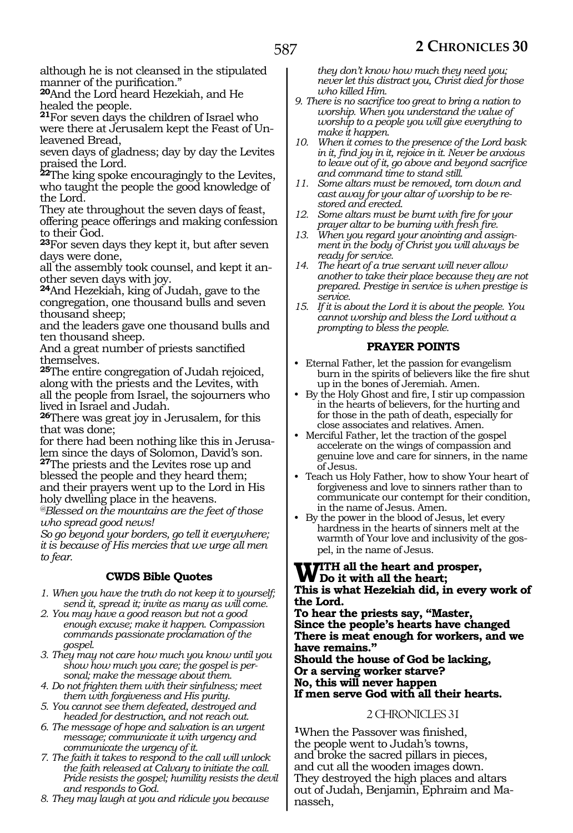although he is not cleansed in the stipulated manner of the purification."

**<sup>20</sup>**And the Lord heard Hezekiah, and He healed the people.

**<sup>21</sup>**For seven days the children of Israel who were there at Jerusalem kept the Feast of Unleavened Bread,

seven days of gladness; day by day the Levites praised the Lord.

**<sup>22</sup>**The king spoke encouragingly to the Levites, who taught the people the good knowledge of the Lord.

They ate throughout the seven days of feast, offering peace offerings and making confession to their God.

**<sup>23</sup>**For seven days they kept it, but after seven days were done,

all the assembly took counsel, and kept it another seven days with joy.

**<sup>24</sup>**And Hezekiah, king of Judah, gave to the congregation, one thousand bulls and seven thousand sheep;

and the leaders gave one thousand bulls and ten thousand sheep.

And a great number of priests sanctified themselves.

**<sup>25</sup>**The entire congregation of Judah rejoiced, along with the priests and the Levites, with all the people from Israel, the sojourners who lived in Israel and Judah.

**<sup>26</sup>**There was great joy in Jerusalem, for this that was done;

for there had been nothing like this in Jerusalem since the days of Solomon, David's son. **<sup>27</sup>**The priests and the Levites rose up and blessed the people and they heard them; and their prayers went up to the Lord in His holy dwelling place in the heavens.

*@Blessed on the mountains are the feet of those who spread good news!* 

*So go beyond your borders, go tell it everywhere; it is because of His mercies that we urge all men to fear.*

# **CWDS Bible Quotes**

*1. When you have the truth do not keep it to yourself; send it, spread it; invite as many as will come.*

*2. You may have a good reason but not a good enough excuse; make it happen. Compassion commands passionate proclamation of the gospel.*

*3. They may not care how much you know until you show how much you care; the gospel is personal; make the message about them.*

*4. Do not frighten them with their sinfulness; meet them with forgiveness and His purity.*

*5. You cannot see them defeated, destroyed and headed for destruction, and not reach out.*

*6. The message of hope and salvation is an urgent message; communicate it with urgency and communicate the urgency of it.*

*7. The faith it takes to respond to the call will unlock the faith released at Calvary to initiate the call. Pride resists the gospel; humility resists the devil and responds to God.*

*8. They may laugh at you and ridicule you because* 

*they don't know how much they need you; never let this distract you, Christ died for those who killed Him.*

*9. There is no sacrifice too great to bring a nation to worship. When you understand the value of worship to a people you will give everything to make it happen.*

*10. When it comes to the presence of the Lord bask in it, find joy in it, rejoice in it. Never be anxious to leave out of it, go above and beyond sacrifice and command time to stand still.*

*11. Some altars must be removed, torn down and cast away for your altar of worship to be restored and erected.*

*12. Some altars must be burnt with fire for your prayer altar to be burning with fresh fire.*

*13. When you regard your anointing and assignment in the body of Christ you will always be ready for service.*

*14. The heart of a true servant will never allow another to take their place because they are not prepared. Prestige in service is when prestige is service.*

*15. If it is about the Lord it is about the people. You cannot worship and bless the Lord without a prompting to bless the people.*

# **PRAYER POINTS**

- Eternal Father, let the passion for evangelism burn in the spirits of believers like the fire shut up in the bones of Jeremiah. Amen.
- By the Holy Ghost and fire, I stir up compassion in the hearts of believers, for the hurting and for those in the path of death, especially for close associates and relatives. Amen.

• Merciful Father, let the traction of the gospel accelerate on the wings of compassion and genuine love and care for sinners, in the name of Jesus.

• Teach us Holy Father, how to show Your heart of forgiveness and love to sinners rather than to communicate our contempt for their condition, in the name of Jesus. Amen.

• By the power in the blood of Jesus, let every hardness in the hearts of sinners melt at the warmth of Your love and inclusivity of the gospel, in the name of Jesus.

# **WITH all the heart and prosper,<br>
This is what Hazakiah did in anomy This is what Hezekiah did, in every work of**

**the Lord. To hear the priests say, "Master, Since the people's hearts have changed There is meat enough for workers, and we have remains."**

**Should the house of God be lacking, Or a serving worker starve? No, this will never happen If men serve God with all their hearts.**

# 2 CHRONICLES 31

**<sup>1</sup>**When the Passover was finished, the people went to Judah's towns, and broke the sacred pillars in pieces, and cut all the wooden images down. They destroyed the high places and altars out of Judah, Benjamin, Ephraim and Ma- nasseh,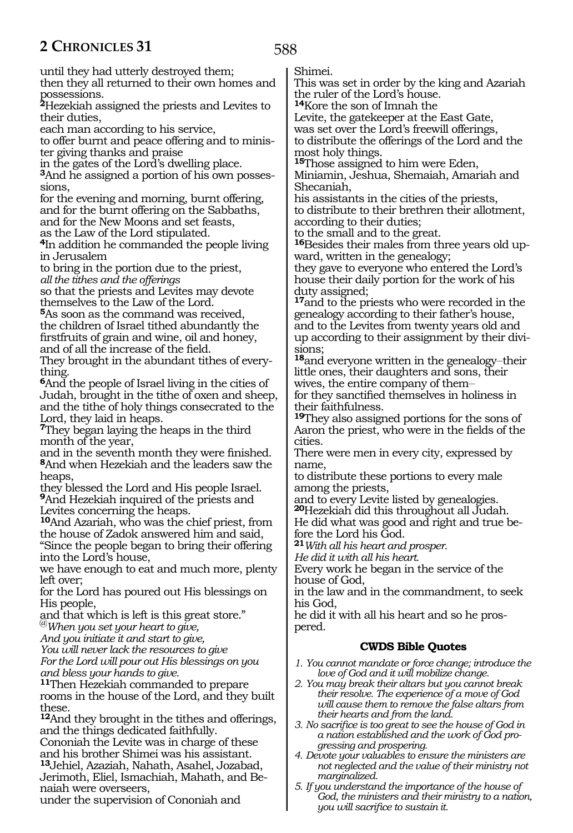until they had utterly destroyed them;

then they all returned to their own homes and possessions.

**<sup>2</sup>**Hezekiah assigned the priests and Levites to their duties,

each man according to his service,

to offer burnt and peace offering and to minis- ter giving thanks and praise

in the gates of the Lord's dwelling place.

**3**And he assigned a portion of his own possessions,

for the evening and morning, burnt offering, and for the burnt offering on the Sabbaths, and for the New Moons and set feasts,

as the Law of the Lord stipulated. **<sup>4</sup>**In addition he commanded the people living in Jerusalem

to bring in the portion due to the priest,

*all the tithes and the offerings*

so that the priests and Levites may devote themselves to the Law of the Lord.

**<sup>5</sup>**As soon as the command was received, the children of Israel tithed abundantly the firstfruits of grain and wine, oil and honey, and of all the increase of the field.

They brought in the abundant tithes of everything.

**<sup>6</sup>**And the people of Israel living in the cities of Judah, brought in the tithe of oxen and sheep, and the tithe of holy things consecrated to the Lord, they laid in heaps.

**<sup>7</sup>**They began laying the heaps in the third month of the year,

and in the seventh month they were finished. **<sup>8</sup>**And when Hezekiah and the leaders saw the heaps,

they blessed the Lord and His people Israel. **<sup>9</sup>**And Hezekiah inquired of the priests and Levites concerning the heaps.

**<sup>10</sup>**And Azariah, who was the chief priest, from the house of Zadok answered him and said, "Since the people began to bring their offering into the Lord's house,

we have enough to eat and much more, plenty left over;

for the Lord has poured out His blessings on His people,

and that which is left is this great store." @*When you set your heart to give,*

*And you initiate it and start to give,*

*You will never lack the resources to give*

*For the Lord will pour out His blessings on you and bless your hands to give.*

**<sup>11</sup>**Then Hezekiah commanded to prepare rooms in the house of the Lord, and they built these.

**<sup>12</sup>**And they brought in the tithes and offerings, and the things dedicated faithfully.

Cononiah the Levite was in charge of these and his brother Shimei was his assistant. **<sup>13</sup>**Jehiel, Azaziah, Nahath, Asahel, Jozabad,

Jerimoth, Eliel, Ismachiah, Mahath, and Benaiah were overseers,

under the supervision of Cononiah and

Shimei.

This was set in order by the king and Azariah the ruler of the Lord's house.

**<sup>14</sup>**Kore the son of Imnah the

Levite, the gatekeeper at the East Gate,

was set over the Lord's freewill offerings, to distribute the offerings of the Lord and the most holy things.

**<sup>15</sup>**Those assigned to him were Eden, Miniamin, Jeshua, Shemaiah, Amariah and Shecaniah,

his assistants in the cities of the priests, to distribute to their brethren their allotment, according to their duties;

to the small and to the great.

**16**Besides their males from three years old upward, written in the genealogy;

they gave to everyone who entered the Lord's house their daily portion for the work of his duty assigned;

**<sup>17</sup>**and to the priests who were recorded in the genealogy according to their father's house, and to the Levites from twenty years old and up according to their assignment by their divisions;

18<sub>and</sub> everyone written in the genealogy-their little ones, their daughters and sons, their wives, the entire company of them-

for they sanctified themselves in holiness in their faithfulness.

**<sup>19</sup>**They also assigned portions for the sons of Aaron the priest, who were in the fields of the cities.

There were men in every city, expressed by name,

to distribute these portions to every male among the priests,

and to every Levite listed by genealogies. **<sup>20</sup>**Hezekiah did this throughout all Judah. He did what was good and right and true before the Lord his God.

**<sup>21</sup>***With all his heart and prosper.*

*He did it with all his heart.*

Every work he began in the service of the house of God,

in the law and in the commandment, to seek his God,

he did it with all his heart and so he prospered.

# **CWDS Bible Quotes**

*1. You cannot mandate or force change; introduce the love of God and it will mobilize change.*

*2. You may break their altars but you cannot break their resolve. The experience of a move of God will cause them to remove the false altars from their hearts and from the land.*

*3. No sacrifice is too great to see the house of God in a nation established and the work of God progressing and prospering.*

*4. Devote your valuables to ensure the ministers are not neglected and the value of their ministry not marginalized.*

*5. If you understand the importance of the house of God, the ministers and their ministry to a nation, you will sacrifice to sustain it.*

588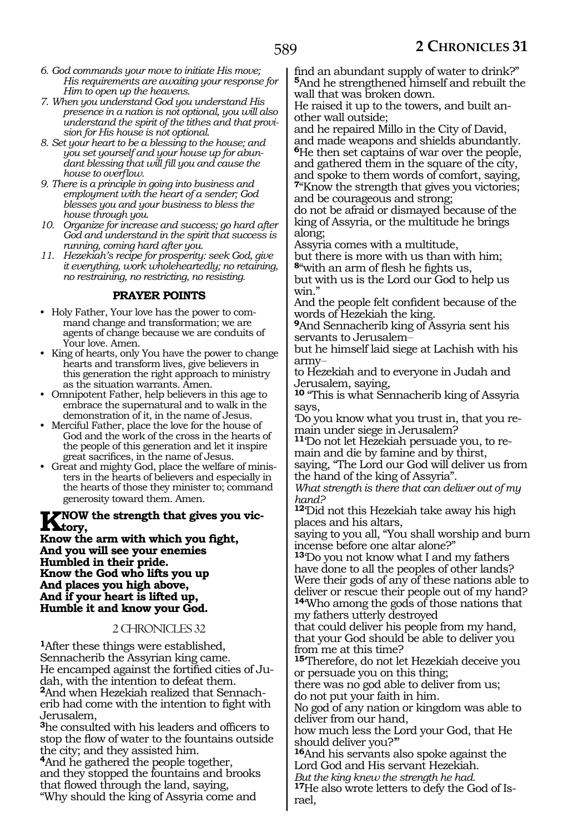- *6. God commands your move to initiate His move; His requirements are awaiting your response for Him to open up the heavens.*
- *7. When you understand God you understand His presence in a nation is not optional, you will also understand the spirit of the tithes and that provision for His house is not optional.*
- *8. Set your heart to be a blessing to the house; and you set yourself and your house up for abundant blessing that will fill you and cause the house to overflow.*
- *9. There is a principle in going into business and employment with the heart of a sender; God blesses you and your business to bless the house through you.*
- *10. Organize for increase and success; go hard after God and understand in the spirit that success is running, coming hard after you.*
- *11. Hezekiah's recipe for prosperity: seek God, give it everything, work wholeheartedly; no retaining, no restraining, no restricting, no resisting.*

# **PRAYER POINTS**

- Holy Father, Your love has the power to command change and transformation; we are agents of change because we are conduits of Your love. Amen.
- King of hearts, only You have the power to change hearts and transform lives, give believers in this generation the right approach to ministry as the situation warrants. Amen.
- Omnipotent Father, help believers in this age to embrace the supernatural and to walk in the demonstration of it, in the name of Jesus.
- Merciful Father, place the love for the house of God and the work of the cross in the hearts of the people of this generation and let it inspire great sacrifices, in the name of Jesus.
- Great and mighty God, place the welfare of ministers in the hearts of believers and especially in the hearts of those they minister to; command generosity toward them. Amen.

# **K**NOW the strength that gives you vic-<br> **K**now the sum with which you fight

**Know the arm with which you fight, And you will see your enemies Humbled in their pride. Know the God who lifts you up And places you high above, And if your heart is lifted up, Humble it and know your God.**

# 2 CHRONICLES 32

**<sup>1</sup>**After these things were established, Sennacherib the Assyrian king came. He encamped against the fortified cities of Judah, with the intention to defeat them. **2**And when Hezekiah realized that Sennacherib had come with the intention to fight with Jerusalem,

**<sup>3</sup>**he consulted with his leaders and officers to stop the flow of water to the fountains outside the city; and they assisted him.

**<sup>4</sup>**And he gathered the people together, and they stopped the fountains and brooks that flowed through the land, saying, "Why should the king of Assyria come and

find an abundant supply of water to drink?" **<sup>5</sup>**And he strengthened himself and rebuilt the wall that was broken down.

He raised it up to the towers, and built another wall outside;

and he repaired Millo in the City of David, and made weapons and shields abundantly. **<sup>6</sup>**He then set captains of war over the people, and gathered them in the square of the city, and spoke to them words of comfort, saying, **<sup>7</sup>**"Know the strength that gives you victories; and be courageous and strong;

do not be afraid or dismayed because of the king of Assyria, or the multitude he brings along;

Assyria comes with a multitude, but there is more with us than with him;

**<sup>8</sup>**"with an arm of flesh he fights us, but with us is the Lord our God to help us win."

And the people felt confident because of the words of Hezekiah the king.

**<sup>9</sup>**And Sennacherib king of Assyria sent his servants to Jerusalem-

but he himself laid siege at Lachish with his army\_\_

to Hezekiah and to everyone in Judah and Jerusalem, saying,

**<sup>10</sup>** "This is what Sennacherib king of Assyria says,

'Do you know what you trust in, that you remain under siege in Jerusalem?

**11**'Do not let Hezekiah persuade you, to remain and die by famine and by thirst,

saying, "The Lord our God will deliver us from the hand of the king of Assyria".

*What strength is there that can deliver out of my hand?*

**<sup>12</sup>**'Did not this Hezekiah take away his high places and his altars,

saying to you all, "You shall worship and burn incense before one altar alone?"

**<sup>13</sup>**'Do you not know what I and my fathers have done to all the peoples of other lands? Were their gods of any of these nations able to deliver or rescue their people out of my hand? **<sup>14</sup>**'Who among the gods of those nations that

my fathers utterly destroyed that could deliver his people from my hand, that your God should be able to deliver you from me at this time?

**<sup>15</sup>**'Therefore, do not let Hezekiah deceive you or persuade you on this thing;

there was no god able to deliver from us; do not put your faith in him.

No god of any nation or kingdom was able to deliver from our hand,

how much less the Lord your God, that He should deliver you?"

**<sup>16</sup>**And his servants also spoke against the Lord God and His servant Hezekiah. *But the king knew the strength he had.*

**<sup>17</sup>**He also wrote letters to defy the God of Is- rael,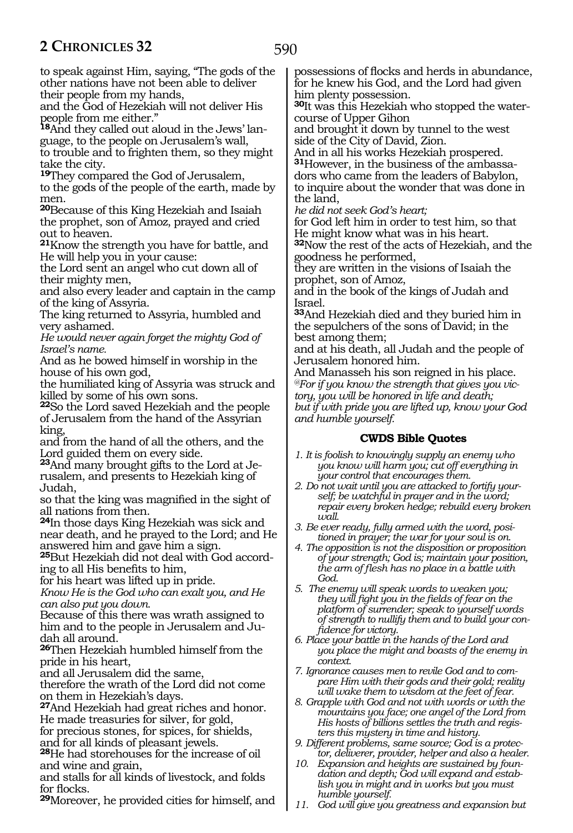590

to speak against Him, saying, "The gods of the other nations have not been able to deliver their people from my hands,

and the God of Hezekiah will not deliver His people from me either."

**<sup>18</sup>**And they called out aloud in the Jews' lan- guage, to the people on Jerusalem's wall, to trouble and to frighten them, so they might take the city.

**<sup>19</sup>**They compared the God of Jerusalem, to the gods of the people of the earth, made by men.

**<sup>20</sup>**Because of this King Hezekiah and Isaiah the prophet, son of Amoz, prayed and cried out to heaven.

**<sup>21</sup>**Know the strength you have for battle, and He will help you in your cause:

the Lord sent an angel who cut down all of their mighty men,

and also every leader and captain in the camp of the king of Assyria.

The king returned to Assyria, humbled and very ashamed.

*He would never again forget the mighty God of Israel's name.*

And as he bowed himself in worship in the house of his own god,

the humiliated king of Assyria was struck and killed by some of his own sons.

**<sup>22</sup>**So the Lord saved Hezekiah and the people of Jerusalem from the hand of the Assyrian king,

and from the hand of all the others, and the Lord guided them on every side.

**<sup>23</sup>**And many brought gifts to the Lord at Je- rusalem, and presents to Hezekiah king of Judah,

so that the king was magnified in the sight of all nations from then.

**<sup>24</sup>**In those days King Hezekiah was sick and near death, and he prayed to the Lord; and He answered him and gave him a sign.

**<sup>25</sup>**But Hezekiah did not deal with God accord- ing to all His benefits to him,

for his heart was lifted up in pride.

*Know He is the God who can exalt you, and He can also put you down.*

Because of this there was wrath assigned to him and to the people in Jerusalem and Ju- dah all around.

**<sup>26</sup>**Then Hezekiah humbled himself from the pride in his heart,

and all Jerusalem did the same,

therefore the wrath of the Lord did not come on them in Hezekiah's days.

**<sup>27</sup>**And Hezekiah had great riches and honor. He made treasuries for silver, for gold,

for precious stones, for spices, for shields, and for all kinds of pleasant jewels.

**<sup>28</sup>**He had storehouses for the increase of oil and wine and grain,

and stalls for all kinds of livestock, and folds for flocks.

**<sup>29</sup>**Moreover, he provided cities for himself, and

possessions of flocks and herds in abundance, for he knew his God, and the Lord had given him plenty possession.

**<sup>30</sup>**It was this Hezekiah who stopped the water- course of Upper Gihon

and brought it down by tunnel to the west side of the City of David, Zion.

And in all his works Hezekiah prospered. **<sup>31</sup>**However, in the business of the ambassa- dors who came from the leaders of Babylon, to inquire about the wonder that was done in the land,

*he did not seek God's heart;*

for God left him in order to test him, so that He might know what was in his heart.

**<sup>32</sup>**Now the rest of the acts of Hezekiah, and the goodness he performed,

they are written in the visions of Isaiah the prophet, son of Amoz,

and in the book of the kings of Judah and Israel.

**<sup>33</sup>**And Hezekiah died and they buried him in the sepulchers of the sons of David; in the best among them;

and at his death, all Judah and the people of Jerusalem honored him.

And Manasseh his son reigned in his place. *@For if you know the strength that gives you victory, you will be honored in life and death; but if with pride you are lifted up, know your God and humble yourself.* 

# **CWDS Bible Quotes**

- *1. It is foolish to knowingly supply an enemy who you know will harm you; cut off everything in your control that encourages them.*
- *2. Do not wait until you are attacked to fortify yourself; be watchful in prayer and in the word; repair every broken hedge; rebuild every broken wall.*
- *3. Be ever ready, fully armed with the word, positioned in prayer; the war for your soul is on.*
- *4. The opposition is not the disposition or proposition of your strength; God is; maintain your position, the arm of flesh has no place in a battle with God.*
- *5. The enemy will speak words to weaken you; they will fight you in the fields of fear on the platform of surrender; speak to yourself words of strength to nullify them and to build your confidence for victory.*
- *6. Place your battle in the hands of the Lord and you place the might and boasts of the enemy in context.*
- *7. Ignorance causes men to revile God and to compare Him with their gods and their gold; reality will wake them to wisdom at the feet of fear.*
- *8. Grapple with God and not with words or with the mountains you face; one angel of the Lord from His hosts of billions settles the truth and registers this mystery in time and history.*
- *9. Different problems, same source; God is a protector, deliverer, provider, helper and also a healer.*
- *10. Expansion and heights are sustained by foundation and depth; God will expand and establish you in might and in works but you must humble yourself.*
- *11. God will give you greatness and expansion but*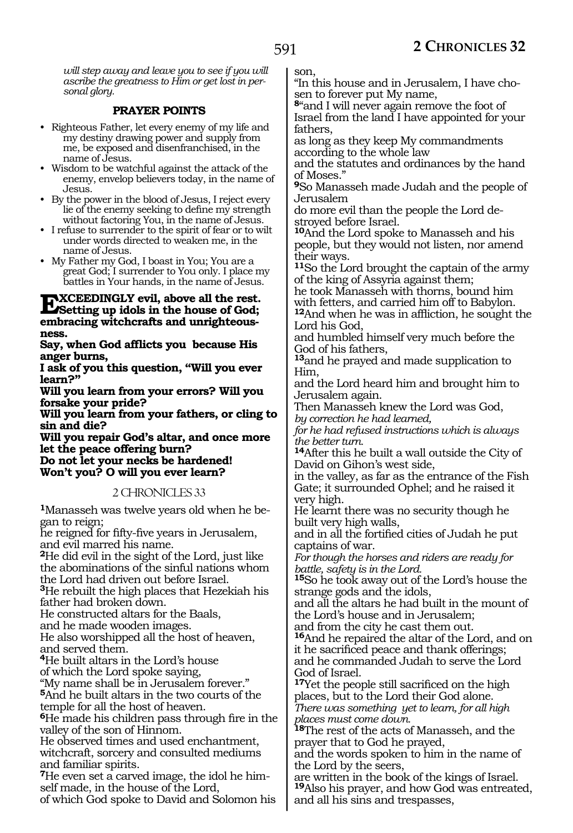*will step away and leave you to see if you will ascribe the greatness to Him or get lost in personal glory.*

## **PRAYER POINTS**

- Righteous Father, let every enemy of my life and my destiny drawing power and supply from me, be exposed and disenfranchised, in the name of Jesus.
- Wisdom to be watchful against the attack of the enemy, envelop believers today, in the name of Jesus.
- By the power in the blood of Jesus, I reject every lie of the enemy seeking to define my strength without factoring You, in the name of Jesus.
- I refuse to surrender to the spirit of fear or to wilt under words directed to weaken me, in the name of Jesus.
- My Father my God, I boast in You; You are a great God; I surrender to You only. I place my battles in Your hands, in the name of Jesus.

# **EXCEEDINGLY evil, above all the rest.**<br> **Setting up idols in the house of God;**<br> **organization conductive embracing witchcrafts and unrighteousness.**

**Say, when God afflicts you because His anger burns,**

**I ask of you this question, "Will you ever learn?"**

**Will you learn from your errors? Will you forsake your pride?**

**Will you learn from your fathers, or cling to sin and die?**

**Will you repair God's altar, and once more let the peace offering burn? Do not let your necks be hardened!** 

**Won't you? O will you ever learn?**

#### 2 CHRONICLES 33

**1**Manasseh was twelve years old when he began to reign;

he reigned for fifty-five years in Jerusalem, and evil marred his name.

**<sup>2</sup>**He did evil in the sight of the Lord, just like the abominations of the sinful nations whom the Lord had driven out before Israel.

**<sup>3</sup>**He rebuilt the high places that Hezekiah his father had broken down.

He constructed altars for the Baals,

and he made wooden images.

He also worshipped all the host of heaven, and served them.

**<sup>4</sup>**He built altars in the Lord's house

of which the Lord spoke saying, "My name shall be in Jerusalem forever."

**<sup>5</sup>**And he built altars in the two courts of the temple for all the host of heaven.

**<sup>6</sup>**He made his children pass through fire in the valley of the son of Hinnom.

He observed times and used enchantment, witchcraft, sorcery and consulted mediums and familiar spirits.

**7**He even set a carved image, the idol he himself made, in the house of the Lord,

of which God spoke to David and Solomon his

son,

"In this house and in Jerusalem, I have chosen to forever put My name,

**<sup>8</sup>**"and I will never again remove the foot of Israel from the land I have appointed for your fathers,

as long as they keep My commandments according to the whole law

and the statutes and ordinances by the hand of Moses."

**<sup>9</sup>**So Manasseh made Judah and the people of Jerusalem

do more evil than the people the Lord destroyed before Israel.

**<sup>10</sup>**And the Lord spoke to Manasseh and his people, but they would not listen, nor amend their ways.

**<sup>11</sup>**So the Lord brought the captain of the army of the king of Assyria against them;

he took Manasseh with thorns, bound him with fetters, and carried him off to Babylon. **<sup>12</sup>**And when he was in affliction, he sought the Lord his God,

and humbled himself very much before the God of his fathers,

**<sup>13</sup>**and he prayed and made supplication to Him,

and the Lord heard him and brought him to Jerusalem again.

Then Manasseh knew the Lord was God, *by correction he had learned,*

*for he had refused instructions which is always the better turn.*

**<sup>14</sup>**After this he built a wall outside the City of David on Gihon's west side,

in the valley, as far as the entrance of the Fish Gate; it surrounded Ophel; and he raised it very high.

He learnt there was no security though he built very high walls,

and in all the fortified cities of Judah he put captains of war.

*For though the horses and riders are ready for battle, safety is in the Lord.*

**<sup>15</sup>**So he took away out of the Lord's house the strange gods and the idols,

and all the altars he had built in the mount of the Lord's house and in Jerusalem;

and from the city he cast them out.

**<sup>16</sup>**And he repaired the altar of the Lord, and on it he sacrificed peace and thank offerings; and he commanded Judah to serve the Lord God of Israel.

**<sup>17</sup>**Yet the people still sacrificed on the high places, but to the Lord their God alone. *There was something yet to learn, for all high places must come down.*

**<sup>18</sup>**The rest of the acts of Manasseh, and the prayer that to God he prayed,

and the words spoken to him in the name of the Lord by the seers,

are written in the book of the kings of Israel. **<sup>19</sup>**Also his prayer, and how God was entreated, and all his sins and trespasses,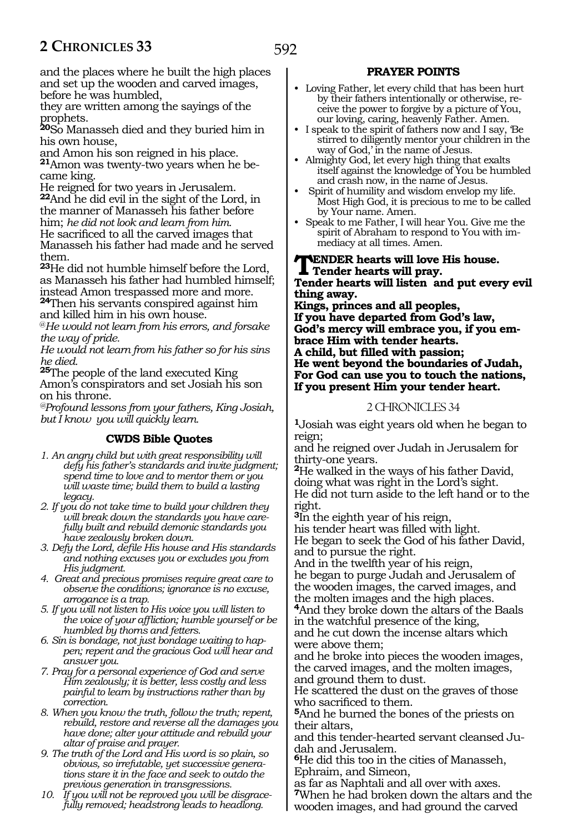and the places where he built the high places and set up the wooden and carved images, before he was humbled,

they are written among the sayings of the prophets.

**<sup>20</sup>**So Manasseh died and they buried him in his own house,

and Amon his son reigned in his place. **21**Amon was twenty-two years when he became king.

He reigned for two years in Jerusalem. **<sup>22</sup>**And he did evil in the sight of the Lord, in the manner of Manasseh his father before him; *he did not look and learn from him.* He sacrificed to all the carved images that Manasseh his father had made and he served them.

**<sup>23</sup>**He did not humble himself before the Lord, as Manasseh his father had humbled himself; instead Amon trespassed more and more.

**<sup>24</sup>**Then his servants conspired against him and killed him in his own house.

@*He would not learn from his errors, and forsake the way of pride.*

*He would not learn from his father so for his sins he died.*

**<sup>25</sup>**The people of the land executed King Amon's conspirators and set Josiah his son on his throne.

*@Profound lessons from your fathers, King Josiah, but I know you will quickly learn.*

# **CWDS Bible Quotes**

- *1. An angry child but with great responsibility will defy his father's standards and invite judgment; spend time to love and to mentor them or you will waste time; build them to build a lasting legacy.*
- *2. If you do not take time to build your children they will break down the standards you have carefully built and rebuild demonic standards you have zealously broken down.*
- *3. Defy the Lord, defile His house and His standards and nothing excuses you or excludes you from His judgment.*
- *4. Great and precious promises require great care to observe the conditions; ignorance is no excuse, arrogance is a trap.*
- *5. If you will not listen to His voice you will listen to the voice of your affliction; humble yourself or be humbled by thorns and fetters.*
- *6. Sin is bondage, not just bondage waiting to happen; repent and the gracious God will hear and answer you.*
- *7. Pray for a personal experience of God and serve Him zealously; it is better, less costly and less painful to learn by instructions rather than by correction.*
- *8. When you know the truth, follow the truth; repent, rebuild, restore and reverse all the damages you have done; alter your attitude and rebuild your altar of praise and prayer.*
- *9. The truth of the Lord and His word is so plain, so obvious, so irrefutable, yet successive generations stare it in the face and seek to outdo the previous generation in transgressions.*
- *10. If you will not be reproved you will be disgracefully removed; headstrong leads to headlong.*

# **PRAYER POINTS**

- Loving Father, let every child that has been hurt by their fathers intentionally or otherwise, receive the power to forgive by a picture of You, our loving, caring, heavenly Father. Amen.
- I speak to the spirit of fathers now and I say, 'Be stirred to diligently mentor your children in the way of God,' in the name of Jesus.
- Almighty God, let every high thing that exalts itself against the knowledge of You be humbled and crash now, in the name of Jesus.
- Spirit of humility and wisdom envelop my life. Most High God, it is precious to me to be called by Your name. Amen.
- Speak to me Father, I will hear You. Give me the spirit of Abraham to respond to You with immediacy at all times. Amen.

**WENDER hearts will love His house. Tender hearts will pray.**

**Tender hearts will listen and put every evil thing away.**

**Kings, princes and all peoples, If you have departed from God's law, God's mercy will embrace you, if you embrace Him with tender hearts. A child, but filled with passion; He went beyond the boundaries of Judah, For God can use you to touch the nations, If you present Him your tender heart.**

# 2 CHRONICLES 34

**<sup>1</sup>**Josiah was eight years old when he began to reign;

and he reigned over Judah in Jerusalem for thirty-one years.

**<sup>2</sup>**He walked in the ways of his father David, doing what was right in the Lord's sight. He did not turn aside to the left hand or to the right.

**<sup>3</sup>**In the eighth year of his reign,

his tender heart was filled with light. He began to seek the God of his father David,

and to pursue the right.

And in the twelfth year of his reign, he began to purge Judah and Jerusalem of the wooden images, the carved images, and the molten images and the high places.

**<sup>4</sup>**And they broke down the altars of the Baals in the watchful presence of the king,

and he cut down the incense altars which were above them;

and he broke into pieces the wooden images, the carved images, and the molten images, and ground them to dust.

He scattered the dust on the graves of those who sacrificed to them.

**<sup>5</sup>**And he burned the bones of the priests on their altars,

and this tender-hearted servant cleansed Judah and Jerusalem.

**<sup>6</sup>**He did this too in the cities of Manasseh, Ephraim, and Simeon,

as far as Naphtali and all over with axes. **<sup>7</sup>**When he had broken down the altars and the wooden images, and had ground the carved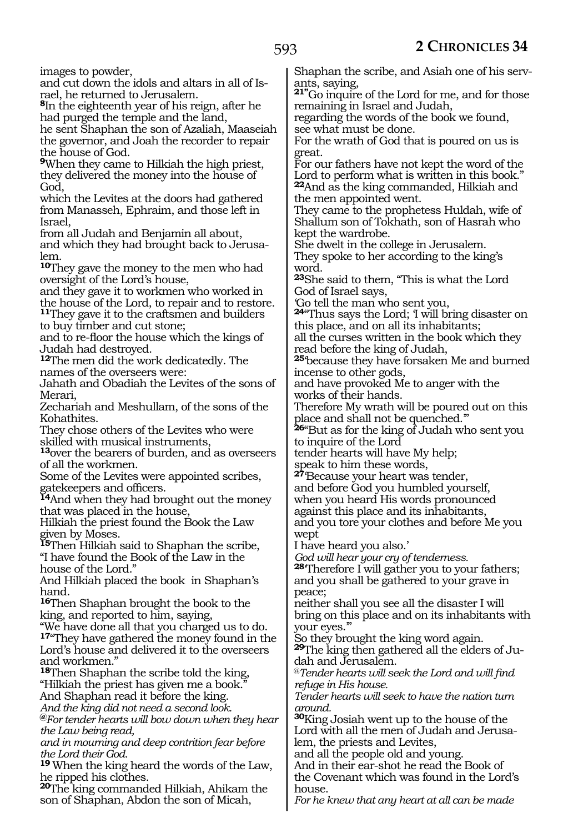images to powder,

and cut down the idols and altars in all of Israel, he returned to Jerusalem.

**<sup>8</sup>**In the eighteenth year of his reign, after he had purged the temple and the land,

he sent Shaphan the son of Azaliah, Maaseiah the governor, and Joah the recorder to repair the house of God.

**<sup>9</sup>**When they came to Hilkiah the high priest, they delivered the money into the house of God,

which the Levites at the doors had gathered from Manasseh, Ephraim, and those left in Israel,

from all Judah and Benjamin all about, and which they had brought back to Jerusalem.

**<sup>10</sup>**They gave the money to the men who had oversight of the Lord's house,

and they gave it to workmen who worked in the house of the Lord, to repair and to restore.

**<sup>11</sup>**They gave it to the craftsmen and builders to buy timber and cut stone;

and to re-floor the house which the kings of Judah had destroyed.

**<sup>12</sup>**The men did the work dedicatedly. The names of the overseers were:

Jahath and Obadiah the Levites of the sons of Merari,

Zechariah and Meshullam, of the sons of the Kohathites.

They chose others of the Levites who were skilled with musical instruments,

**<sup>13</sup>**over the bearers of burden, and as overseers of all the workmen.

Some of the Levites were appointed scribes, gatekeepers and officers.

**<sup>14</sup>**And when they had brought out the money that was placed in the house,

Hilkiah the priest found the Book the Law given by Moses.

**<sup>15</sup>**Then Hilkiah said to Shaphan the scribe, "I have found the Book of the Law in the house of the Lord."

And Hilkiah placed the book in Shaphan's hand.

**<sup>16</sup>**Then Shaphan brought the book to the king, and reported to him, saying,

"We have done all that you charged us to do. **<sup>17</sup>**"They have gathered the money found in the Lord's house and delivered it to the overseers and workmen."

**<sup>18</sup>**Then Shaphan the scribe told the king, "Hilkiah the priest has given me a book." And Shaphan read it before the king.

*And the king did not need a second look.*

**@***For tender hearts will bow down when they hear the Law being read,*

*and in mourning and deep contrition fear before the Lord their God.*

**<sup>19</sup>**When the king heard the words of the Law, he ripped his clothes.

**<sup>20</sup>**The king commanded Hilkiah, Ahikam the son of Shaphan, Abdon the son of Micah,

Shaphan the scribe, and Asiah one of his servants, saying,

**21"**Go inquire of the Lord for me, and for those remaining in Israel and Judah,

regarding the words of the book we found, see what must be done.

For the wrath of God that is poured on us is great.

For our fathers have not kept the word of the Lord to perform what is written in this book." **<sup>22</sup>**And as the king commanded, Hilkiah and the men appointed went.

They came to the prophetess Huldah, wife of Shallum son of Tokhath, son of Hasrah who kept the wardrobe.

She dwelt in the college in Jerusalem. They spoke to her according to the king's word.

**<sup>23</sup>**She said to them, "This is what the Lord God of Israel says,

'Go tell the man who sent you,

**<sup>24</sup>**"Thus says the Lord; 'I will bring disaster on this place, and on all its inhabitants; all the curses written in the book which they

read before the king of Judah,

**<sup>25</sup>**'because they have forsaken Me and burned incense to other gods,

and have provoked Me to anger with the works of their hands.

Therefore My wrath will be poured out on this place and shall not be quenched.'"

**<sup>26</sup>**"But as for the king of Judah who sent you to inquire of the Lord

tender hearts will have My help;

speak to him these words,

**<sup>27</sup>**'Because your heart was tender, and before God you humbled yourself, when you heard His words pronounced against this place and its inhabitants, and you tore your clothes and before Me you wept

I have heard you also.'

*God will hear your cry of tenderness.*

**<sup>28</sup>**'Therefore I will gather you to your fathers; and you shall be gathered to your grave in peace;

neither shall you see all the disaster I will bring on this place and on its inhabitants with your eyes.'"

So they brought the king word again.

**29**The king then gathered all the elders of Judah and Jerusalem.

@*Tender hearts will seek the Lord and will find refuge in His house.*

*Tender hearts will seek to have the nation turn around.*

**<sup>30</sup>**King Josiah went up to the house of the Lord with all the men of Judah and Jerusalem, the priests and Levites,

and all the people old and young.

And in their ear-shot he read the Book of the Covenant which was found in the Lord's house.

*For he knew that any heart at all can be made*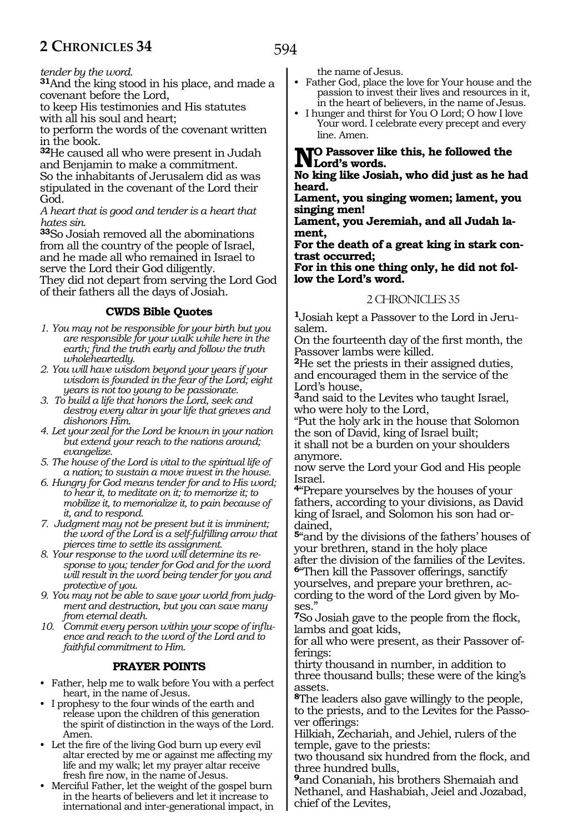594

*tender by the word.*

**<sup>31</sup>**And the king stood in his place, and made a covenant before the Lord,

to keep His testimonies and His statutes with all his soul and heart;

to perform the words of the covenant written in the book.

**<sup>32</sup>**He caused all who were present in Judah and Benjamin to make a commitment. So the inhabitants of Jerusalem did as was stipulated in the covenant of the Lord their God.

*A heart that is good and tender is a heart that hates sin.*

**<sup>33</sup>**So Josiah removed all the abominations from all the country of the people of Israel, and he made all who remained in Israel to serve the Lord their God diligently.

They did not depart from serving the Lord God of their fathers all the days of Josiah.

# **CWDS Bible Quotes**

- *1. You may not be responsible for your birth but you are responsible for your walk while here in the earth; find the truth early and follow the truth wholeheartedly.*
- *2. You will have wisdom beyond your years if your wisdom is founded in the fear of the Lord; eight years is not too young to be passionate.*
- *3. To build a life that honors the Lord, seek and destroy every altar in your life that grieves and dishonors Him.*
- *4. Let your zeal for the Lord be known in your nation but extend your reach to the nations around; evangelize.*
- *5. The house of the Lord is vital to the spiritual life of a nation; to sustain a move invest in the house.*
- *6. Hungry for God means tender for and to His word; to hear it, to meditate on it; to memorize it; to mobilize it, to memorialize it, to pain because of it, and to respond.*
- *7. Judgment may not be present but it is imminent; the word of the Lord is a self-fulfilling arrow that pierces time to settle its assignment.*
- *8. Your response to the word will determine its response to you; tender for God and for the word will result in the word being tender for you and protective of you.*
- *9. You may not be able to save your world from judgment and destruction, but you can save many from eternal death.*
- *10. Commit every person within your scope of influence and reach to the word of the Lord and to faithful commitment to Him.*

# **PRAYER POINTS**

- Father, help me to walk before You with a perfect heart, in the name of Jesus.
- I prophesy to the four winds of the earth and release upon the children of this generation the spirit of distinction in the ways of the Lord. Amen.
- Let the fire of the living God burn up every evil altar erected by me or against me affecting my life and my walk; let my prayer altar receive fresh fire now, in the name of Jesus.
- Merciful Father, let the weight of the gospel burn in the hearts of believers and let it increase to international and inter-generational impact, in

the name of Jesus.

- Father God, place the love for Your house and the passion to invest their lives and resources in it, in the heart of believers, in the name of Jesus.
- I hunger and thirst for You O Lord; O how I love Your word. I celebrate every precept and every line. Amen.

#### **No Passover like this, he followed the Lord's words.**

**No king like Josiah, who did just as he had heard.**

**Lament, you singing women; lament, you singing men!**

**Lament, you Jeremiah, and all Judah lament,**

**For the death of a great king in stark contrast occurred;**

**For in this one thing only, he did not follow the Lord's word.** 

## 2 CHRONICLES 35

**1**Josiah kept a Passover to the Lord in Jerusalem.

On the fourteenth day of the first month, the Passover lambs were killed.

**<sup>2</sup>**He set the priests in their assigned duties, and encouraged them in the service of the Lord's house,

**<sup>3</sup>**and said to the Levites who taught Israel, who were holy to the Lord,

"Put the holy ark in the house that Solomon the son of David, king of Israel built;

it shall not be a burden on your shoulders anymore.

now serve the Lord your God and His people Israel.

**<sup>4</sup>**"Prepare yourselves by the houses of your fathers, according to your divisions, as David king of Israel, and Solomon his son had ordained,

**<sup>5</sup>**"and by the divisions of the fathers' houses of your brethren, stand in the holy place after the division of the families of the Levites.

**<sup>6</sup>**"Then kill the Passover offerings, sanctify yourselves, and prepare your brethren, according to the word of the Lord given by Moses."

**<sup>7</sup>**So Josiah gave to the people from the flock, lambs and goat kids,

for all who were present, as their Passover offerings:

thirty thousand in number, in addition to three thousand bulls; these were of the king's assets.

**<sup>8</sup>**The leaders also gave willingly to the people, to the priests, and to the Levites for the Passover offerings:

Hilkiah, Zechariah, and Jehiel, rulers of the temple, gave to the priests:

two thousand six hundred from the flock, and three hundred bulls,

**<sup>9</sup>**and Conaniah, his brothers Shemaiah and Nethanel, and Hashabiah, Jeiel and Jozabad, chief of the Levites,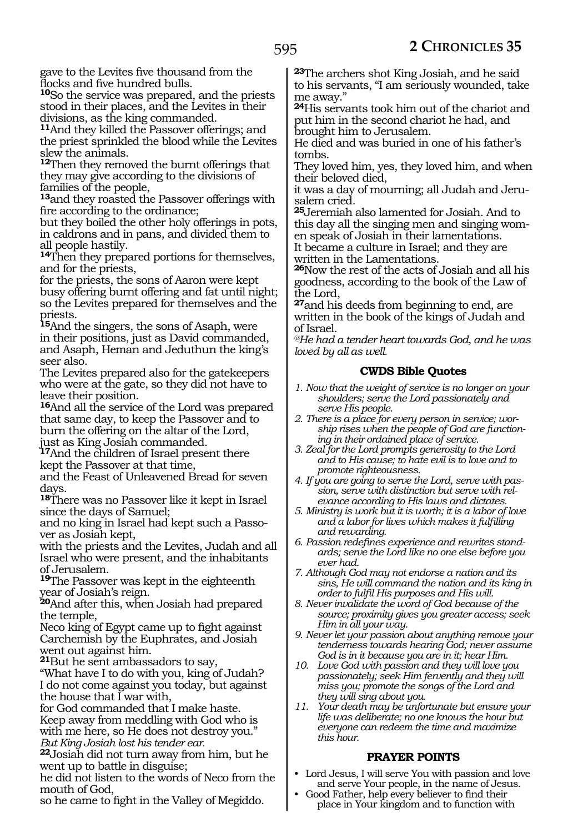gave to the Levites five thousand from the flocks and five hundred bulls.

**<sup>10</sup>**So the service was prepared, and the priests stood in their places, and the Levites in their divisions, as the king commanded.

**<sup>11</sup>**And they killed the Passover offerings; and the priest sprinkled the blood while the Levites slew the animals.

**<sup>12</sup>**Then they removed the burnt offerings that they may give according to the divisions of families of the people,

**<sup>13</sup>**and they roasted the Passover offerings with fire according to the ordinance;

but they boiled the other holy offerings in pots, in caldrons and in pans, and divided them to all people hastily.

**<sup>14</sup>**Then they prepared portions for themselves, and for the priests,

for the priests, the sons of Aaron were kept busy offering burnt offering and fat until night; so the Levites prepared for themselves and the priests.

**<sup>15</sup>**And the singers, the sons of Asaph, were in their positions, just as David commanded, and Asaph, Heman and Jeduthun the king's seer also.

The Levites prepared also for the gatekeepers who were at the gate, so they did not have to leave their position.

**<sup>16</sup>**And all the service of the Lord was prepared that same day, to keep the Passover and to burn the offering on the altar of the Lord, just as King Josiah commanded.

**<sup>17</sup>**And the children of Israel present there kept the Passover at that time,

and the Feast of Unleavened Bread for seven days.

**<sup>18</sup>**There was no Passover like it kept in Israel since the days of Samuel;

and no king in Israel had kept such a Passover as Josiah kept,

with the priests and the Levites, Judah and all Israel who were present, and the inhabitants of Jerusalem.

**<sup>19</sup>**The Passover was kept in the eighteenth year of Josiah's reign.

**<sup>20</sup>**And after this, when Josiah had prepared the temple,

Neco king of Egypt came up to fight against Carchemish by the Euphrates, and Josiah went out against him.

**<sup>21</sup>**But he sent ambassadors to say,

"What have I to do with you, king of Judah? I do not come against you today, but against the house that I war with,

for God commanded that I make haste. Keep away from meddling with God who is with me here, so He does not destroy you." *But King Josiah lost his tender ear.*

**<sup>22</sup>**Josiah did not turn away from him, but he went up to battle in disguise;

he did not listen to the words of Neco from the mouth of God,

so he came to fight in the Valley of Megiddo.

**<sup>23</sup>**The archers shot King Josiah, and he said to his servants, "I am seriously wounded, take me away."

**<sup>24</sup>**His servants took him out of the chariot and put him in the second chariot he had, and brought him to Jerusalem.

He died and was buried in one of his father's tombs.

They loved him, yes, they loved him, and when their beloved died,

it was a day of mourning; all Judah and Jerusalem cried.

**<sup>25</sup>**Jeremiah also lamented for Josiah. And to this day all the singing men and singing wom- en speak of Josiah in their lamentations.

It became a culture in Israel; and they are written in the Lamentations.

**<sup>26</sup>**Now the rest of the acts of Josiah and all his goodness, according to the book of the Law of the Lord,

**<sup>27</sup>**and his deeds from beginning to end, are written in the book of the kings of Judah and of Israel.

*@He had a tender heart towards God, and he was loved by all as well.*

# **CWDS Bible Quotes**

- *1. Now that the weight of service is no longer on your shoulders; serve the Lord passionately and serve His people.*
- *2. There is a place for every person in service; worship rises when the people of God are functioning in their ordained place of service.*
- *3. Zeal for the Lord prompts generosity to the Lord and to His cause; to hate evil is to love and to promote righteousness.*
- *4. If you are going to serve the Lord, serve with passion, serve with distinction but serve with relevance according to His laws and dictates.*
- *5. Ministry is work but it is worth; it is a labor of love and a labor for lives which makes it fulfilling and rewarding.*
- *6. Passion redefines experience and rewrites standards; serve the Lord like no one else before you ever had.*
- *7. Although God may not endorse a nation and its sins, He will command the nation and its king in order to fulfil His purposes and His will.*
- *8. Never invalidate the word of God because of the source; proximity gives you greater access; seek Him in all your way.*
- *9. Never let your passion about anything remove your tenderness towards hearing God; never assume God is in it because you are in it; hear Him.*
- *10. Love God with passion and they will love you passionately; seek Him fervently and they will miss you; promote the songs of the Lord and they will sing about you.*
- *11. Your death may be unfortunate but ensure your life was deliberate; no one knows the hour but everyone can redeem the time and maximize this hour.*

# **PRAYER POINTS**

- Lord Jesus, I will serve You with passion and love and serve Your people, in the name of Jesus.
- Good Father, help every believer to find their place in Your kingdom and to function with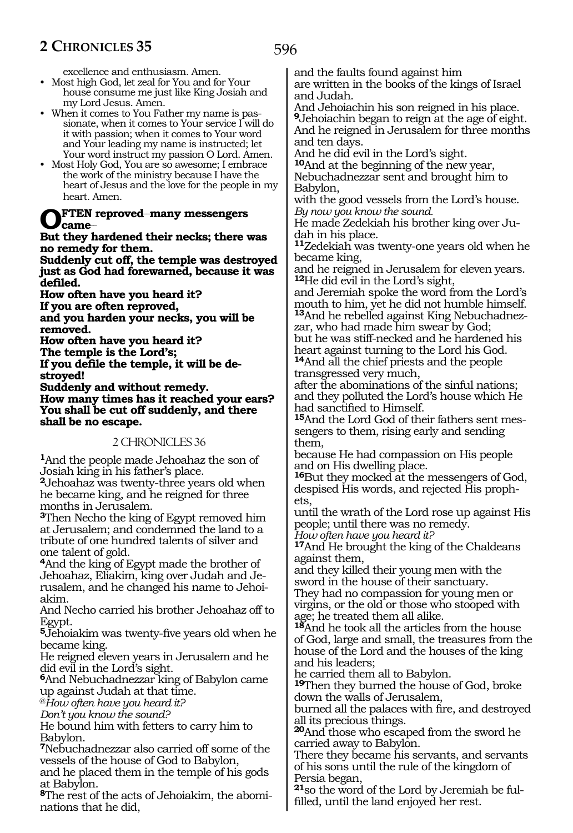excellence and enthusiasm. Amen.

- Most high God, let zeal for You and for Your house consume me just like King Josiah and my Lord Jesus. Amen.
- When it comes to You Father my name is passionate, when it comes to Your service I will do it with passion; when it comes to Your word and Your leading my name is instructed; let Your word instruct my passion O Lord. Amen.
- Most Holy God, You are so awesome; I embrace the work of the ministry because I have the heart of Jesus and the love for the people in my heart. Amen.

#### **Often reproved\_\_many messengers came\_\_**

#### **But they hardened their necks; there was no remedy for them.**

**Suddenly cut off, the temple was destroyed just as God had forewarned, because it was defiled.**

**How often have you heard it?**

**If you are often reproved,** 

**and you harden your necks, you will be removed.**

**How often have you heard it?**

**The temple is the Lord's;**

**If you defile the temple, it will be destroyed!**

**Suddenly and without remedy.**

**How many times has it reached your ears? You shall be cut off suddenly, and there shall be no escape.** 

# 2 CHRONICLES 36

**<sup>1</sup>**And the people made Jehoahaz the son of Josiah king in his father's place.

**<sup>2</sup>**Jehoahaz was twenty-three years old when he became king, and he reigned for three months in Jerusalem.

**<sup>3</sup>**Then Necho the king of Egypt removed him at Jerusalem; and condemned the land to a tribute of one hundred talents of silver and one talent of gold.

**<sup>4</sup>**And the king of Egypt made the brother of Jehoahaz, Eliakim, king over Judah and Jerusalem, and he changed his name to Jehoiakim.

And Necho carried his brother Jehoahaz off to Egypt.

**<sup>5</sup>**Jehoiakim was twenty-five years old when he became king.

He reigned eleven years in Jerusalem and he did evil in the Lord's sight.

**<sup>6</sup>**And Nebuchadnezzar king of Babylon came up against Judah at that time.

@*How often have you heard it?*

*Don't you know the sound?*

He bound him with fetters to carry him to Babylon.

**<sup>7</sup>**Nebuchadnezzar also carried off some of the vessels of the house of God to Babylon,

and he placed them in the temple of his gods at Babylon.

**8**The rest of the acts of Jehoiakim, the abominations that he did,

and the faults found against him

are written in the books of the kings of Israel and Judah.

And Jehoiachin his son reigned in his place. **<sup>9</sup>**Jehoiachin began to reign at the age of eight. And he reigned in Jerusalem for three months and ten days.

And he did evil in the Lord's sight.

**<sup>10</sup>**And at the beginning of the new year, Nebuchadnezzar sent and brought him to Babylon,

with the good vessels from the Lord's house. *By now you know the sound.*

He made Zedekiah his brother king over Judah in his place.

**<sup>11</sup>**Zedekiah was twenty-one years old when he became king,

and he reigned in Jerusalem for eleven years. **<sup>12</sup>**He did evil in the Lord's sight,

and Jeremiah spoke the word from the Lord's mouth to him, yet he did not humble himself. **13**And he rebelled against King Nebuchadnezzar, who had made him swear by God;

but he was stiff-necked and he hardened his heart against turning to the Lord his God. **<sup>14</sup>**And all the chief priests and the people

transgressed very much,

after the abominations of the sinful nations; and they polluted the Lord's house which He had sanctified to Himself.

**15**And the Lord God of their fathers sent messengers to them, rising early and sending them,

because He had compassion on His people and on His dwelling place.

**<sup>16</sup>**But they mocked at the messengers of God, despised His words, and rejected His prophets,

until the wrath of the Lord rose up against His people; until there was no remedy.

*How often have you heard it?*  **<sup>17</sup>**And He brought the king of the Chaldeans against them,

and they killed their young men with the sword in the house of their sanctuary.

They had no compassion for young men or virgins, or the old or those who stooped with age; he treated them all alike.

**<sup>18</sup>**And he took all the articles from the house of God, large and small, the treasures from the house of the Lord and the houses of the king and his leaders;

he carried them all to Babylon.

**<sup>19</sup>**Then they burned the house of God, broke down the walls of Jerusalem,

burned all the palaces with fire, and destroyed all its precious things.

**<sup>20</sup>**And those who escaped from the sword he carried away to Babylon.

There they became his servants, and servants of his sons until the rule of the kingdom of Persia began,

**21**so the word of the Lord by Jeremiah be fulfilled, until the land enjoyed her rest.